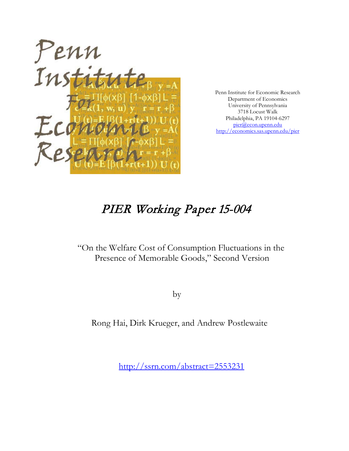

Penn Institute for Economic Research Department of Economics University of Pennsylvania 3718 Locust Walk Philadelphia, PA 19104-6297 [pier@econ.upenn.edu](mailto:pier@econ.upenn.edu) <http://economics.sas.upenn.edu/pier>

# PIER Working Paper 15-004

# "On the Welfare Cost of Consumption Fluctuations in the Presence of Memorable Goods," Second Version

by

Rong Hai, Dirk Krueger, and Andrew Postlewaite

[http://ssrn.com/abstract=2](http://ssrn.com/abstract_id=)553231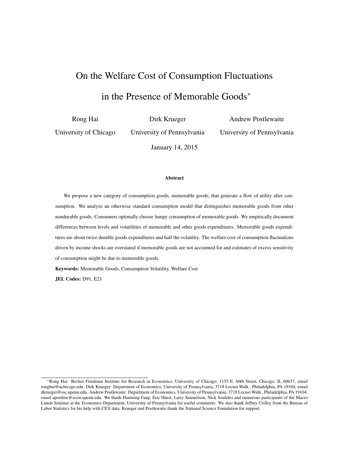# On the Welfare Cost of Consumption Fluctuations in the Presence of Memorable Goods<sup>∗</sup>

Rong Hai

Dirk Krueger

University of Chicago

University of Pennsylvania

Andrew Postlewaite University of Pennsylvania

January 14, 2015

# Abstract

We propose a new category of consumption goods, memorable goods, that generate a flow of utility after consumption. We analyze an otherwise standard consumption model that distinguishes memorable goods from other nondurable goods. Consumers optimally choose lumpy consumption of memorable goods. We empirically document differences between levels and volatilities of memorable and other goods expenditures. Memorable goods expenditures are about twice durable goods expenditures and half the volatility. The welfare cost of consumption fluctuations driven by income shocks are overstated if memorable goods are not accounted for and estimates of excess sensitivity of consumption might be due to memorable goods.

Keywords: Memorable Goods, Consumption Volatility, Welfare Cost

JEL Codes: D91, E21

<sup>∗</sup>Rong Hai: Becker Friedman Institute for Research in Economics, University of Chicago, 1155 E. 60th Street, Chicago, IL 60637, email ronghai@uchicago.edu. Dirk Krueger: Department of Economics, University of Pennsylvania, 3718 Locust Walk , Philadelphia, PA 19104, email dkrueger@ssc.upenn.edu. Andrew Postlewaite: Department of Economics, University of Pennsylvania, 3718 Locust Walk , Philadelphia, PA 19104, email apostlew@econ.upenn.edu. We thank Hanming Fang, Eric Hurst, Larry Samuelson, Nick Souleles and numerous participants of the Macro Lunch Seminar at the Economics Department, University of Pennsylvania for useful comments. We also thank Jeffrey Crilley from the Bureau of Labor Statistics for his help with CEX data. Krueger and Postlewaite thank the National Science Foundation for support.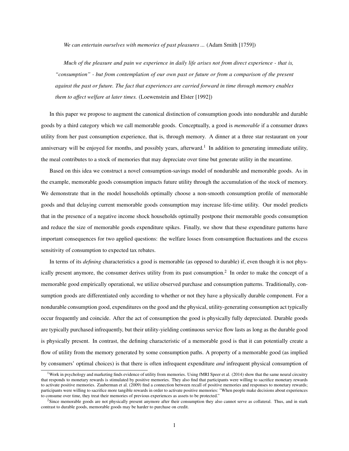*We can entertain ourselves with memories of past pleasures ...* (Adam Smith [1759])

*Much of the pleasure and pain we experience in daily life arises not from direct experience - that is, "consumption" - but from contemplation of our own past or future or from a comparison of the present against the past or future. The fact that experiences are carried forward in time through memory enables them to affect welfare at later times.* (Loewenstein and Elster [1992])

In this paper we propose to augment the canonical distinction of consumption goods into nondurable and durable goods by a third category which we call memorable goods. Conceptually, a good is *memorable* if a consumer draws utility from her past consumption experience, that is, through memory. A dinner at a three star restaurant on your anniversary will be enjoyed for months, and possibly years, afterward.<sup>1</sup> In addition to generating immediate utility, the meal contributes to a stock of memories that may depreciate over time but generate utility in the meantime.

Based on this idea we construct a novel consumption-savings model of nondurable and memorable goods. As in the example, memorable goods consumption impacts future utility through the accumulation of the stock of memory. We demonstrate that in the model households optimally choose a non-smooth consumption profile of memorable goods and that delaying current memorable goods consumption may increase life-time utility. Our model predicts that in the presence of a negative income shock households optimally postpone their memorable goods consumption and reduce the size of memorable goods expenditure spikes. Finally, we show that these expenditure patterns have important consequences for two applied questions: the welfare losses from consumption fluctuations and the excess sensitivity of consumption to expected tax rebates.

In terms of its *defining* characteristics a good is memorable (as opposed to durable) if, even though it is not physically present anymore, the consumer derives utility from its past consumption.<sup>2</sup> In order to make the concept of a memorable good empirically operational, we utilize observed purchase and consumption patterns. Traditionally, consumption goods are differentiated only according to whether or not they have a physically durable component. For a nondurable consumption good, expenditures on the good and the physical, utility-generating consumption act typically occur frequently and coincide. After the act of consumption the good is physically fully depreciated. Durable goods are typically purchased infrequently, but their utility-yielding continuous service flow lasts as long as the durable good is physically present. In contrast, the defining characteristic of a memorable good is that it can potentially create a flow of utility from the memory generated by some consumption paths. A property of a memorable good (as implied by consumers' optimal choices) is that there is often infrequent expenditure *and* infrequent physical consumption of

<sup>&</sup>lt;sup>1</sup>Work in psychology and marketing finds evidence of utility from memories. Using fMRI Speer et al.  $(2014)$  show that the same neural circuitry that responds to monetary rewards is stimulated by positive memories. They also find that participants were willing to sacrifice monetary rewards to activate positive memories. Zauberman et al. (2009) find a connection between recall of positive memories and responses to monetary rewards; participants were willing to sacrifice more tangible rewards in order to activate positive memories: "When people make decisions about experiences to consume over time, they treat their memories of previous experiences as assets to be protected."

<sup>&</sup>lt;sup>2</sup>Since memorable goods are not physically present anymore after their consumption they also cannot serve as collateral. Thus, and in stark contrast to durable goods, memorable goods may be harder to purchase on credit.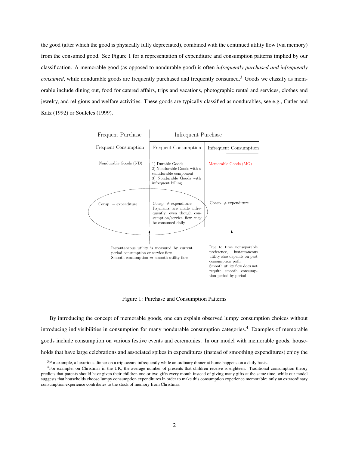the good (after which the good is physically fully depreciated), combined with the continued utility flow (via memory) from the consumed good. See Figure 1 for a representation of expenditure and consumption patterns implied by our classification. A memorable good (as opposed to nondurable good) is often *infrequently purchased and infrequently consumed*, while nondurable goods are frequently purchased and frequently consumed.<sup>3</sup> Goods we classify as memorable include dining out, food for catered affairs, trips and vacations, photographic rental and services, clothes and jewelry, and religious and welfare activities. These goods are typically classified as nondurables, see e.g., Cutler and Katz (1992) or Souleles (1999).



Figure 1: Purchase and Consumption Patterns

By introducing the concept of memorable goods, one can explain observed lumpy consumption choices without introducing indivisibilities in consumption for many nondurable consumption categories.<sup>4</sup> Examples of memorable goods include consumption on various festive events and ceremonies. In our model with memorable goods, households that have large celebrations and associated spikes in expenditures (instead of smoothing expenditures) enjoy the

<sup>&</sup>lt;sup>3</sup>For example, a luxurious dinner on a trip occurs infrequently while an ordinary dinner at home happens on a daily basis.

<sup>4</sup>For example, on Christmas in the UK, the average number of presents that children receive is eighteen. Traditional consumption theory predicts that parents should have given their children one or two gifts every month instead of giving many gifts at the same time, while our model suggests that households choose lumpy consumption expenditures in order to make this consumption experience memorable: only an extraordinary consumption experience contributes to the stock of memory from Christmas.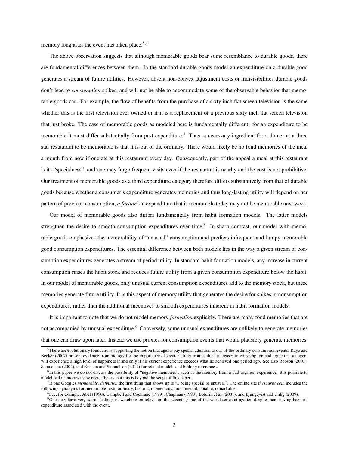memory long after the event has taken place.<sup>5,6</sup>

The above observation suggests that although memorable goods bear some resemblance to durable goods, there are fundamental differences between them. In the standard durable goods model an expenditure on a durable good generates a stream of future utilities. However, absent non-convex adjustment costs or indivisibilities durable goods don't lead to *consumption* spikes, and will not be able to accommodate some of the observable behavior that memorable goods can. For example, the flow of benefits from the purchase of a sixty inch flat screen television is the same whether this is the first television ever owned or if it is a replacement of a previous sixty inch flat screen television that just broke. The case of memorable goods as modeled here is fundamentally different: for an expenditure to be memorable it must differ substantially from past expenditure.<sup>7</sup> Thus, a necessary ingredient for a dinner at a three star restaurant to be memorable is that it is out of the ordinary. There would likely be no fond memories of the meal a month from now if one ate at this restaurant every day. Consequently, part of the appeal a meal at this restaurant is its "specialness", and one may forgo frequent visits even if the restaurant is nearby and the cost is not prohibitive. Our treatment of memorable goods as a third expenditure category therefore differs substantively from that of durable goods because whether a consumer's expenditure generates memories and thus long-lasting utility will depend on her pattern of previous consumption; *a fortiori* an expenditure that is memorable today may not be memorable next week.

Our model of memorable goods also differs fundamentally from habit formation models. The latter models strengthen the desire to smooth consumption expenditures over time.<sup>8</sup> In sharp contrast, our model with memorable goods emphasizes the memorability of "unusual" consumption and predicts infrequent and lumpy memorable good consumption expenditures. The essential difference between both models lies in the way a given stream of consumption expenditures generates a stream of period utility. In standard habit formation models, any increase in current consumption raises the habit stock and reduces future utility from a given consumption expenditure below the habit. In our model of memorable goods, only unusual current consumption expenditures add to the memory stock, but these memories generate future utility. It is this aspect of memory utility that generates the desire for spikes in consumption expenditures, rather than the additional incentives to smooth expenditures inherent in habit formation models.

It is important to note that we do not model memory *formation* explicitly. There are many fond memories that are not accompanied by unusual expenditure.<sup>9</sup> Conversely, some unusual expenditures are unlikely to generate memories that one can draw upon later. Instead we use proxies for consumption events that would plausibly generate memories.

 $5$ There are evolutionary foundations supporting the notion that agents pay special attention to out-of-the-ordinary consumption events. Rayo and Becker (2007) present evidence from biology for the importance of greater utility from sudden increases in consumption and argue that an agent will experience a high level of happiness if and only if his current experience exceeds what he achieved one period ago. See also Robson (2001), Samuelson (2004), and Robson and Samuelson (2011) for related models and biology references.

<sup>&</sup>lt;sup>6</sup>In this paper we do not discuss the possibility of "negative memories", such as the memory from a bad vacation experience. It is possible to model bad memories using regret theory, but this is beyond the scope of this paper.

<sup>7</sup> If one Googles *memorable, definition* the first thing that shows up is "...being special or unusual". The online site *thesaurus.com* includes the following synonyms for memorable: extraordinary, historic, momentous, monumental, notable, remarkable.

<sup>&</sup>lt;sup>8</sup>See, for example, Abel (1990), Campbell and Cochrane (1999), Chapman (1998), Boldrin et al. (2001), and Ljungqvist and Uhlig (2009).

<sup>&</sup>lt;sup>9</sup>One may have very warm feelings of watching on television the seventh game of the world series at age ten despite there having been no expenditure associated with the event.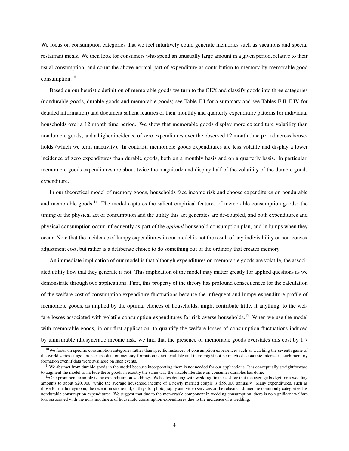We focus on consumption categories that we feel intuitively could generate memories such as vacations and special restaurant meals. We then look for consumers who spend an unusually large amount in a given period, relative to their usual consumption, and count the above-normal part of expenditure as contribution to memory by memorable good consumption.<sup>10</sup>

Based on our heuristic definition of memorable goods we turn to the CEX and classify goods into three categories (nondurable goods, durable goods and memorable goods; see Table E.I for a summary and see Tables E.II-E.IV for detailed information) and document salient features of their monthly and quarterly expenditure patterns for individual households over a 12 month time period. We show that memorable goods display more expenditure volatility than nondurable goods, and a higher incidence of zero expenditures over the observed 12 month time period across households (which we term inactivity). In contrast, memorable goods expenditures are less volatile and display a lower incidence of zero expenditures than durable goods, both on a monthly basis and on a quarterly basis. In particular, memorable goods expenditures are about twice the magnitude and display half of the volatility of the durable goods expenditure.

In our theoretical model of memory goods, households face income risk and choose expenditures on nondurable and memorable goods.<sup>11</sup> The model captures the salient empirical features of memorable consumption goods: the timing of the physical act of consumption and the utility this act generates are de-coupled, and both expenditures and physical consumption occur infrequently as part of the *optimal* household consumption plan, and in lumps when they occur. Note that the incidence of lumpy expenditures in our model is not the result of any indivisibility or non-convex adjustment cost, but rather is a deliberate choice to do something out of the ordinary that creates memory.

An immediate implication of our model is that although expenditures on memorable goods are volatile, the associated utility flow that they generate is not. This implication of the model may matter greatly for applied questions as we demonstrate through two applications. First, this property of the theory has profound consequences for the calculation of the welfare cost of consumption expenditure fluctuations because the infrequent and lumpy expenditure profile of memorable goods, as implied by the optimal choices of households, might contribute little, if anything, to the welfare losses associated with volatile consumption expenditures for risk-averse households.<sup>12</sup> When we use the model with memorable goods, in our first application, to quantify the welfare losses of consumption fluctuations induced by uninsurable idiosyncratic income risk, we find that the presence of memorable goods overstates this cost by 1.7

 $10$ We focus on specific consumption categories rather than specific instances of consumption experiences such as watching the seventh game of the world series at age ten because data on memory formation is not available and there might not be much of economic interest in such memory formation even if data were available on such events.

<sup>&</sup>lt;sup>11</sup>We abstract from durable goods in the model because incorporating them is not needed for our applications. It is conceptually straightforward to augment the model to include these goods in exactly the same way the sizable literature on consumer durables has done.

 $12$ One prominent example is the expenditure on weddings. Web sites dealing with wedding finances show that the average budget for a wedding amounts to about \$20,000, while the average household income of a newly married couple is \$55,000 annually. Many expenditures, such as those for the honeymoon, the reception site rental, outlays for photography and video services or the rehearsal dinner are commonly categorized as nondurable consumption expenditures. We suggest that due to the memorable component in wedding consumption, there is no significant welfare loss associated with the nonsmoothness of household consumption expenditures due to the incidence of a wedding.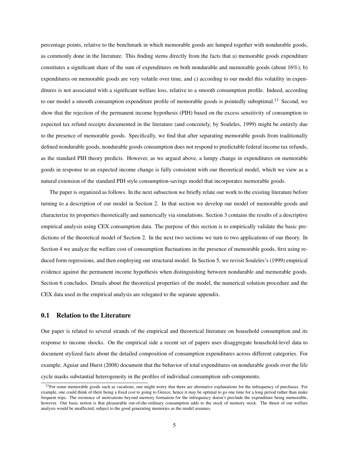percentage points, relative to the benchmark in which memorable goods are lumped together with nondurable goods, as commonly done in the literature. This finding stems directly from the facts that a) memorable goods expenditure constitutes a significant share of the sum of expenditures on both nondurable and memorable goods (about 16%), b) expenditures on memorable goods are very volatile over time, and c) according to our model this volatility in expenditures is not associated with a significant welfare loss, relative to a smooth consumption profile. Indeed, according to our model a smooth consumption expenditure profile of memorable goods is pointedly suboptimal.<sup>13</sup> Second, we show that the rejection of the permanent income hypothesis (PIH) based on the excess sensitivity of consumption to expected tax refund receipts documented in the literature (and concretely, by Souleles, 1999) might be entirely due to the presence of memorable goods. Specifically, we find that after separating memorable goods from traditionally defined nondurable goods, nondurable goods consumption does not respond to predictable federal income tax refunds, as the standard PIH theory predicts. However, as we argued above, a lumpy change in expenditures on memorable goods in response to an expected income change is fully consistent with our theoretical model, which we view as a natural extension of the standard PIH style consumption-savings model that incorporates memorable goods.

The paper is organized as follows. In the next subsection we briefly relate our work to the existing literature before turning to a description of our model in Section 2. In that section we develop our model of memorable goods and characterize its properties theoretically and numerically via simulations. Section 3 contains the results of a descriptive empirical analysis using CEX consumption data. The purpose of this section is to empirically validate the basic predictions of the theoretical model of Section 2. In the next two sections we turn to two applications of our theory. In Section 4 we analyze the welfare cost of consumption fluctuations in the presence of memorable goods, first using reduced form regressions, and then employing our structural model. In Section 5, we revisit Souleles's (1999) empirical evidence against the permanent income hypothesis when distinguishing between nondurable and memorable goods. Section 6 concludes. Details about the theoretical properties of the model, the numerical solution procedure and the CEX data used in the empirical analysis are relegated to the separate appendix.

# 0.1 Relation to the Literature

Our paper is related to several strands of the empirical and theoretical literature on household consumption and its response to income shocks. On the empirical side a recent set of papers uses disaggregate household-level data to document stylized facts about the detailed composition of consumption expenditures across different categories. For example, Aguiar and Hurst (2008) document that the behavior of total expenditures on nondurable goods over the life cycle masks substantial heterogeneity in the profiles of individual consumption sub-components.

<sup>&</sup>lt;sup>13</sup>For some memorable goods such as vacations, one might worry that there are alternative explanations for the infrequency of purchases. For example, one could think of there being a fixed cost to going to Greece, hence it may be optimal to go one time for a long period rather than make frequent trips. The existence of motivations beyond memory formation for the infrequency doesn't preclude the expenditure being memorable, however. Our basic notion is that pleasurable out-of-the-ordinary consumption adds to the stock of memory stock. The thrust of our welfare analysis would be unaffected, subject to the good generating memories as the model assumes.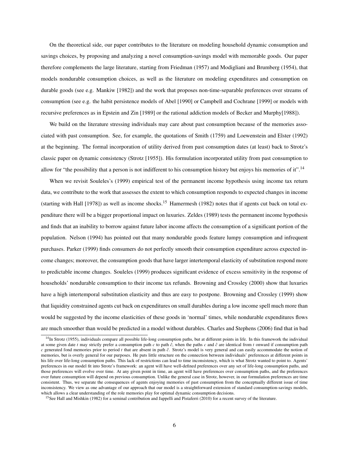On the theoretical side, our paper contributes to the literature on modeling household dynamic consumption and savings choices, by proposing and analyzing a novel consumption-savings model with memorable goods. Our paper therefore complements the large literature, starting from Friedman (1957) and Modigliani and Brumberg (1954), that models nondurable consumption choices, as well as the literature on modeling expenditures and consumption on durable goods (see e.g. Mankiw [1982]) and the work that proposes non-time-separable preferences over streams of consumption (see e.g. the habit persistence models of Abel [1990] or Campbell and Cochrane [1999] or models with recursive preferences as in Epstein and Zin [1989] or the rational addiction models of Becker and Murphy[1988]).

We build on the literature stressing individuals may care about past consumption because of the memories associated with past consumption. See, for example, the quotations of Smith (1759) and Loewenstein and Elster (1992) at the beginning. The formal incorporation of utility derived from past consumption dates (at least) back to Strotz's classic paper on dynamic consistency (Strotz [1955]). His formulation incorporated utility from past consumption to allow for "the possibility that a person is not indifferent to his consumption history but enjoys his memories of it".<sup>14</sup>

When we revisit Souleles's (1999) empirical test of the permanent income hypothesis using income tax return data, we contribute to the work that assesses the extent to which consumption responds to expected changes in income (starting with Hall [1978]) as well as income shocks.<sup>15</sup> Hamermesh (1982) notes that if agents cut back on total expenditure there will be a bigger proportional impact on luxuries. Zeldes (1989) tests the permanent income hypothesis and finds that an inability to borrow against future labor income affects the consumption of a significant portion of the population. Nelson (1994) has pointed out that many nondurable goods feature lumpy consumption and infrequent purchases. Parker (1999) finds consumers do not perfectly smooth their consumption expenditure across expected income changes; moreover, the consumption goods that have larger intertemporal elasticity of substitution respond more to predictable income changes. Souleles (1999) produces significant evidence of excess sensitivity in the response of households' nondurable consumption to their income tax refunds. Browning and Crossley (2000) show that luxuries have a high intertemporal substitution elasticity and thus are easy to postpone. Browning and Crossley (1999) show that liquidity constrained agents cut back on expenditures on small durables during a low income spell much more than would be suggested by the income elasticities of these goods in 'normal' times, while nondurable expenditures flows are much smoother than would be predicted in a model without durables. Charles and Stephens (2006) find that in bad

<sup>&</sup>lt;sup>14</sup>In Strotz (1955), individuals compare all possible life-long consumption paths, but at different points in life. In this framework the individual at some given date *t* may strictly prefer a consumption path  $c$  to path  $\hat{c}$ , when the paths  $c$  and  $\hat{c}$  are identical from *t* onward if consumption path *c* generated fond memories prior to period *t* that are absent in path ˆ*c*. Strotz's model is very general and can easily accommodate the notion of memories, but is overly general for our purposes. He puts little structure on the connection between individuals' preferences at different points in his life over life-long consumption paths. This lack of restrictions can lead to time inconsistency, which is what Strotz wanted to point to. Agents' preferences in our model fit into Strotz's framework: an agent will have well-defined preferences over any set of life-long consumption paths, and those preferences will evolve over time. At any given point in time, an agent will have preferences over consumption paths, and the preferences over future consumption will depend on previous consumption. Unlike the general case in Strotz, however, in our formulation preferences are time consistent. Thus, we separate the consequences of agents enjoying memories of past consumption from the conceptually different issue of time inconsistency. We view as one advantage of our approach that our model is a straightforward extension of standard consumption-savings models, which allows a clear understanding of the role memories play for optimal dynamic consumption decisions.

<sup>&</sup>lt;sup>15</sup>See Hall and Mishkin (1982) for a seminal contribution and Jappelli and Pistaferri (2010) for a recent survey of the literature.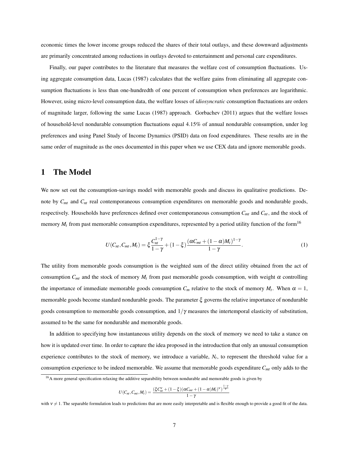economic times the lower income groups reduced the shares of their total outlays, and these downward adjustments are primarily concentrated among reductions in outlays devoted to entertainment and personal care expenditures.

Finally, our paper contributes to the literature that measures the welfare cost of consumption fluctuations. Using aggregate consumption data, Lucas (1987) calculates that the welfare gains from eliminating all aggregate consumption fluctuations is less than one-hundredth of one percent of consumption when preferences are logarithmic. However, using micro-level consumption data, the welfare losses of *idiosyncratic* consumption fluctuations are orders of magnitude larger, following the same Lucas (1987) approach. Gorbachev (2011) argues that the welfare losses of household-level nondurable consumption fluctuations equal 4.15% of annual nondurable consumption, under log preferences and using Panel Study of Income Dynamics (PSID) data on food expenditures. These results are in the same order of magnitude as the ones documented in this paper when we use CEX data and ignore memorable goods.

# 1 The Model

We now set out the consumption-savings model with memorable goods and discuss its qualitative predictions. Denote by *Cmt* and *Cnt* real contemporaneous consumption expenditures on memorable goods and nondurable goods, respectively. Households have preferences defined over contemporaneous consumption *Cmt* and *Cnt*, and the stock of memory  $M_t$  from past memorable consumption expenditures, represented by a period utility function of the form<sup>16</sup>

$$
U(C_{nt}, C_{mt}, M_t) = \xi \frac{C_{nt}^{1-\gamma}}{1-\gamma} + (1-\xi) \frac{(\alpha C_{mt} + (1-\alpha)M_t)^{1-\gamma}}{1-\gamma}.
$$
 (1)

The utility from memorable goods consumption is the weighted sum of the direct utility obtained from the act of consumption  $C_{mt}$  and the stock of memory  $M_t$  from past memorable goods consumption, with weight  $\alpha$  controlling the importance of immediate memorable goods consumption  $C_m$  relative to the stock of memory  $M_t$ . When  $\alpha = 1$ , memorable goods become standard nondurable goods. The parameter ξ governs the relative importance of nondurable goods consumption to memorable goods consumption, and  $1/\gamma$  measures the intertemporal elasticity of substitution, assumed to be the same for nondurable and memorable goods.

In addition to specifying how instantaneous utility depends on the stock of memory we need to take a stance on how it is updated over time. In order to capture the idea proposed in the introduction that only an unusual consumption experience contributes to the stock of memory, we introduce a variable,  $N_t$ , to represent the threshold value for a consumption experience to be indeed memorable. We assume that memorable goods expenditure *Cmt* only adds to the

$$
U(C_{nt}, C_{mt}, M_t) = \frac{(\xi C_{nt}^V + (1 - \xi)(\alpha C_{mt} + (1 - \alpha)M_t)^V)^{\frac{1 - \gamma}{V}}}{1 - \gamma}
$$

<sup>&</sup>lt;sup>16</sup>A more general specification relaxing the additive separability between nondurable and memorable goods is given by

with  $v \neq 1$ . The separable formulation leads to predictions that are more easily interpretable and is flexible enough to provide a good fit of the data.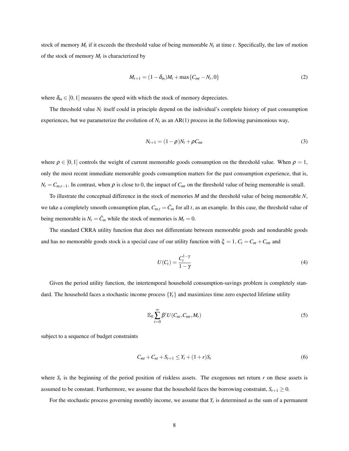stock of memory  $M_t$  if it exceeds the threshold value of being memorable  $N_t$  at time  $t$ . Specifically, the law of motion of the stock of memory  $M_t$  is characterized by

$$
M_{t+1} = (1 - \delta_m)M_t + \max\{C_{mt} - N_t, 0\}
$$
 (2)

where  $\delta_m \in [0,1]$  measures the speed with which the stock of memory depreciates.

The threshold value  $N_t$  itself could in principle depend on the individual's complete history of past consumption experiences, but we parameterize the evolution of  $N_t$  as an  $AR(1)$  process in the following parsimonious way,

$$
N_{t+1} = (1 - \rho)N_t + \rho C_{mt} \tag{3}
$$

where  $\rho \in [0,1]$  controls the weight of current memorable goods consumption on the threshold value. When  $\rho = 1$ , only the most recent immediate memorable goods consumption matters for the past consumption experience, that is,  $N_t = C_{m,t-1}$ . In contrast, when  $\rho$  is close to 0, the impact of  $C_{mt}$  on the threshold value of being memorable is small.

To illustrate the conceptual difference in the stock of memories *M* and the threshold value of being memorable *N*, we take a completely smooth consumption plan,  $C_{m,t} = \bar{C}_m$  for all *t*, as an example. In this case, the threshold value of being memorable is  $N_t = \bar{C}_m$  while the stock of memories is  $M_t = 0$ .

The standard CRRA utility function that does not differentiate between memorable goods and nondurable goods and has no memorable goods stock is a special case of our utility function with  $\xi = 1, C_t = C_{nt} + C_{mt}$  and

$$
U(C_t) = \frac{C_t^{1-\gamma}}{1-\gamma} \tag{4}
$$

Given the period utility function, the intertemporal household consumption-savings problem is completely standard. The household faces a stochastic income process  ${Y_t}$  and maximizes time zero expected lifetime utility

$$
\mathbb{E}_0 \sum_{t=0}^{\infty} \beta^t U(C_{nt}, C_{mt}, M_t) \tag{5}
$$

subject to a sequence of budget constraints

$$
C_{mt} + C_{nt} + S_{t+1} \le Y_t + (1+r)S_t \tag{6}
$$

where  $S_t$  is the beginning of the period position of riskless assets. The exogenous net return  $r$  on these assets is assumed to be constant. Furthermore, we assume that the household faces the borrowing constraint,  $S_{t+1} \geq 0$ .

For the stochastic process governing monthly income, we assume that  $Y_t$  is determined as the sum of a permanent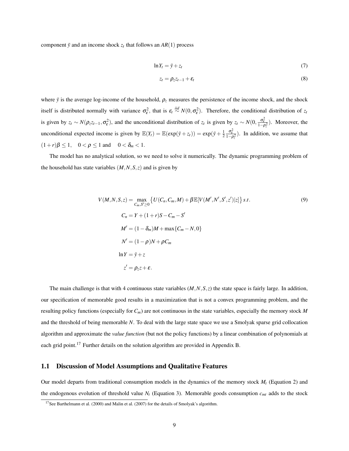component  $\bar{y}$  and an income shock  $z_t$  that follows an  $AR(1)$  process

$$
\ln Y_t = \bar{y} + z_t \tag{7}
$$

$$
z_t = \rho_z z_{t-1} + \varepsilon_t \tag{8}
$$

where  $\bar{y}$  is the average log-income of the household,  $\rho_z$  measures the persistence of the income shock, and the shock itself is distributed normally with variance  $\sigma_{\varepsilon}^2$ , that is  $\varepsilon_t \stackrel{iid}{\sim} N(0, \sigma_{\varepsilon}^2)$ . Therefore, the conditional distribution of *z<sub>t</sub>* is given by  $z_t \sim N(\rho_z z_{t-1}, \sigma_\epsilon^2)$ , and the unconditional distribution of  $z_t$  is given by  $z_t \sim N(0, \frac{\sigma_\epsilon^2}{1-\rho_z^2})$ . Moreover, the unconditional expected income is given by  $\mathbb{E}(Y_t) = \mathbb{E}(\exp(\bar{y} + z_t)) = \exp(\bar{y} + \frac{1}{2} \frac{\sigma_{\varepsilon}^2}{1 - \rho_{\varepsilon}^2})$ . In addition, we assume that  $(1+r)\beta \leq 1$ ,  $0 < \rho \leq 1$  and  $0 < \delta_m < 1$ .

The model has no analytical solution, so we need to solve it numerically. The dynamic programming problem of the household has state variables  $(M, N, S, z)$  and is given by

$$
V(M, N, S, z) = \max_{C_m, S' \ge 0} \{ U(C_n, C_m, M) + \beta \mathbb{E}[V(M', N', S', z')]z] \} s.t.
$$
\n
$$
C_n = Y + (1+r)S - C_m - S'
$$
\n
$$
M' = (1 - \delta_m)M + \max\{C_m - N, 0\}
$$
\n
$$
N' = (1 - \rho)N + \rho C_m
$$
\n
$$
\ln Y = \bar{y} + z
$$
\n
$$
z' = \rho_z z + \varepsilon.
$$
\n(9)

The main challenge is that with 4 continuous state variables (*M*,*N*,*S*,*z*) the state space is fairly large. In addition, our specification of memorable good results in a maximization that is not a convex programming problem, and the resulting policy functions (especially for *Cm*) are not continuous in the state variables, especially the memory stock *M* and the threshold of being memorable *N*. To deal with the large state space we use a Smolyak sparse grid collocation algorithm and approximate the *value function* (but not the policy functions) by a linear combination of polynomials at each grid point.<sup>17</sup> Further details on the solution algorithm are provided in Appendix B.

# 1.1 Discussion of Model Assumptions and Qualitative Features

Our model departs from traditional consumption models in the dynamics of the memory stock *M<sup>t</sup>* (Equation 2) and the endogenous evolution of threshold value  $N_t$  (Equation 3). Memorable goods consumption  $c_{mt}$  adds to the stock

<sup>&</sup>lt;sup>17</sup>See Barthelmann et al. (2000) and Malin et al. (2007) for the details of Smolyak's algorithm.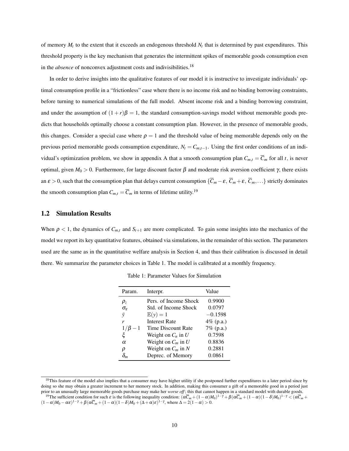of memory  $M_t$  to the extent that it exceeds an endogenous threshold  $N_t$  that is determined by past expenditures. This threshold property is the key mechanism that generates the intermittent spikes of memorable goods consumption even in the *absence* of nonconvex adjustment costs and indivisibilities.<sup>18</sup>

In order to derive insights into the qualitative features of our model it is instructive to investigate individuals' optimal consumption profile in a "frictionless" case where there is no income risk and no binding borrowing constraints, before turning to numerical simulations of the full model. Absent income risk and a binding borrowing constraint, and under the assumption of  $(1 + r)\beta = 1$ , the standard consumption-savings model without memorable goods predicts that households optimally choose a constant consumption plan. However, in the presence of memorable goods, this changes. Consider a special case where  $\rho = 1$  and the threshold value of being memorable depends only on the previous period memorable goods consumption expenditure,  $N_t = C_{m,t-1}$ . Using the first order conditions of an individual's optimization problem, we show in appendix A that a smooth consumption plan  $C_{m,t} = \overline{C}_m$  for all *t*, is never optimal, given  $M_0 > 0$ . Furthermore, for large discount factor  $β$  and moderate risk aversion coefficient  $γ$ , there exists an  $\varepsilon > 0$ , such that the consumption plan that delays current consumption  $\{\overline{C}_m - \varepsilon, \overline{C}_m + \varepsilon, \overline{C}_m, ...\}$  strictly dominates the smooth consumption plan  $C_{m,t} = \overline{C}_m$  in terms of lifetime utility.<sup>19</sup>

# 1.2 Simulation Results

When  $\rho < 1$ , the dynamics of  $C_{m,t}$  and  $S_{t+1}$  are more complicated. To gain some insights into the mechanics of the model we report its key quantitative features, obtained via simulations, in the remainder of this section. The parameters used are the same as in the quantitative welfare analysis in Section 4, and thus their calibration is discussed in detail there. We summarize the parameter choices in Table 1. The model is calibrated at a monthly frequency.

| Param.           | Interpr.              | Value        |
|------------------|-----------------------|--------------|
| $\rho_z$         | Pers. of Income Shock | 0.9900       |
| $\sigma_{\rm c}$ | Std. of Income Shock  | 0.0797       |
| $\bar{v}$        | $\mathbb{E}(y)=1$     | $-0.1598$    |
| r                | <b>Interest Rate</b>  | $4\%$ (p.a.) |
| - 1<br>1/B       | Time Discount Rate    | $7\%$ (p.a.) |
| ξ                | Weight on $C_n$ in U  | 0.7598       |
| $\alpha$         | Weight on $C_m$ in U  | 0.8836       |
| ρ                | Weight on $C_m$ in N  | 0.2881       |
| S.,              | Deprec. of Memory     | 0.0861       |

Table 1: Parameter Values for Simulation

<sup>&</sup>lt;sup>18</sup>This feature of the model also implies that a consumer may have higher utility if she postponed further expenditures to a later period since by doing so she may obtain a greater increment to her memory stock. In addition, making this consumer a gift of a memorable good in a period just prior to an unusually large memorable goods purchase may make her *worse off*; this that cannot happen in a standard model with durable goods. <sup>19</sup>The sufficient condition for such ε is the following inequality condition:  $(\alpha \overline{C}_m + (1 - \alpha)M_0)^{1-\gamma} + \beta(\alpha \overline{C}_m + (1 - \alpha)(1 - \delta)M_0)^{1-\gamma} < (\alpha \overline{C}_m +$ 

 $(1 - \alpha)M_0 - \alpha \varepsilon$ <sup>1-γ</sup> +  $\beta(\alpha \overline{C}_m + (1 - \alpha)(1 - \delta)M_0 + (\Delta + \alpha)\varepsilon)$ <sup>1-γ</sup>, where  $\Delta = 2(1 - \alpha) > 0$ .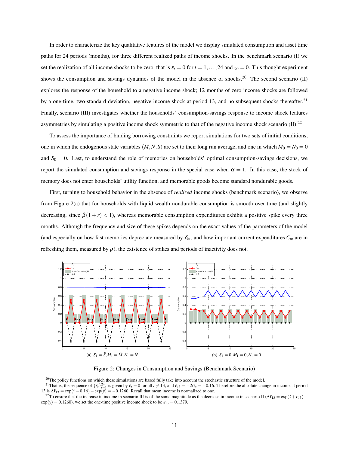In order to characterize the key qualitative features of the model we display simulated consumption and asset time paths for 24 periods (months), for three different realized paths of income shocks. In the benchmark scenario (I) we set the realization of all income shocks to be zero, that is  $\varepsilon_t = 0$  for  $t = 1, \ldots, 24$  and  $z_0 = 0$ . This thought experiment shows the consumption and savings dynamics of the model in the absence of shocks.<sup>20</sup> The second scenario (II) explores the response of the household to a negative income shock; 12 months of zero income shocks are followed by a one-time, two-standard deviation, negative income shock at period 13, and no subsequent shocks thereafter.<sup>21</sup> Finally, scenario (III) investigates whether the households' consumption-savings response to income shock features asymmetries by simulating a positive income shock symmetric to that of the negative income shock scenario (II).<sup>22</sup>

To assess the importance of binding borrowing constraints we report simulations for two sets of initial conditions, one in which the endogenous state variables  $(M, N, S)$  are set to their long run average, and one in which  $M_0 = N_0 = 0$ and  $S_0 = 0$ . Last, to understand the role of memories on households' optimal consumption-savings decisions, we report the simulated consumption and savings response in the special case when  $\alpha = 1$ . In this case, the stock of memory does not enter households' utility function, and memorable goods become standard nondurable goods.

First, turning to household behavior in the absence of *realized* income shocks (benchmark scenario), we observe from Figure 2(a) that for households with liquid wealth nondurable consumption is smooth over time (and slightly decreasing, since  $\beta(1+r) < 1$ ), whereas memorable consumption expenditures exhibit a positive spike every three months. Although the frequency and size of these spikes depends on the exact values of the parameters of the model (and especially on how fast memories depreciate measured by  $\delta_m$ , and how important current expenditures  $C_m$  are in refreshing them, measured by  $\rho$ ), the existence of spikes and periods of inactivity does not.



Figure 2: Changes in Consumption and Savings (Benchmark Scenario)

<sup>&</sup>lt;sup>20</sup>The policy functions on which these simulations are based fully take into account the stochastic structure of the model.

<sup>&</sup>lt;sup>21</sup> That is, the sequence of  $\{\epsilon_t\}_{t=1}^{24}$  is given by  $\epsilon_t = 0$  for all  $t \neq 13$ , and  $\epsilon_{13} = -2\sigma_{\epsilon} = -0.16$ . Therefore the absolute change in income at period 13 is  $\Delta Y_{13} = \exp(\bar{y}-0.16) - \exp(\bar{y}) = -0.1260$ . Recall that mean income is normalized to one.

<sup>&</sup>lt;sup>22</sup>To ensure that the increase in income in scenario III is of the same magnitude as the decrease in income in scenario II ( $\Delta Y_{13} = \exp(\bar{y} + \epsilon_{13})$  –  $\exp(\bar{y}) = 0.1260$ , we set the one-time positive income shock to be  $\varepsilon_{13} = 0.1379$ .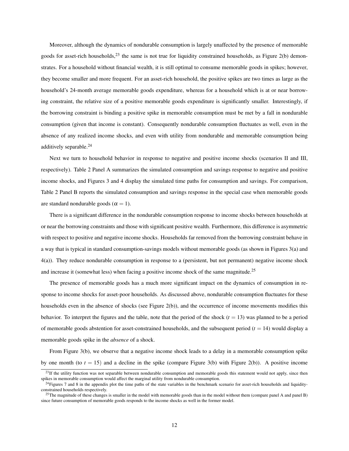Moreover, although the dynamics of nondurable consumption is largely unaffected by the presence of memorable goods for asset-rich households,  $^{23}$  the same is not true for liquidity constrained households, as Figure 2(b) demonstrates. For a household without financial wealth, it is still optimal to consume memorable goods in spikes; however, they become smaller and more frequent. For an asset-rich household, the positive spikes are two times as large as the household's 24-month average memorable goods expenditure, whereas for a household which is at or near borrowing constraint, the relative size of a positive memorable goods expenditure is significantly smaller. Interestingly, if the borrowing constraint is binding a positive spike in memorable consumption must be met by a fall in nondurable consumption (given that income is constant). Consequently nondurable consumption fluctuates as well, even in the absence of any realized income shocks, and even with utility from nondurable and memorable consumption being additively separable.<sup>24</sup>

Next we turn to household behavior in response to negative and positive income shocks (scenarios II and III, respectively). Table 2 Panel A summarizes the simulated consumption and savings response to negative and positive income shocks, and Figures 3 and 4 display the simulated time paths for consumption and savings. For comparison, Table 2 Panel B reports the simulated consumption and savings response in the special case when memorable goods are standard nondurable goods ( $\alpha = 1$ ).

There is a significant difference in the nondurable consumption response to income shocks between households at or near the borrowing constraints and those with significant positive wealth. Furthermore, this difference is asymmetric with respect to positive and negative income shocks. Households far removed from the borrowing constraint behave in a way that is typical in standard consumption-savings models without memorable goods (as shown in Figures 3(a) and 4(a)). They reduce nondurable consumption in response to a (persistent, but not permanent) negative income shock and increase it (somewhat less) when facing a positive income shock of the same magnitude.<sup>25</sup>

The presence of memorable goods has a much more significant impact on the dynamics of consumption in response to income shocks for asset-poor households. As discussed above, nondurable consumption fluctuates for these households even in the absence of shocks (see Figure 2(b)), and the occurrence of income movements modifies this behavior. To interpret the figures and the table, note that the period of the shock  $(t = 13)$  was planned to be a period of memorable goods abstention for asset-constrained households, and the subsequent period  $(t = 14)$  would display a memorable goods spike in the *absence* of a shock.

From Figure 3(b), we observe that a negative income shock leads to a delay in a memorable consumption spike by one month (to  $t = 15$ ) and a decline in the spike (compare Figure 3(b) with Figure 2(b)). A positive income

<sup>&</sup>lt;sup>23</sup>If the utility function was not separable between nondurable consumption and memorable goods this statement would not apply, since then spikes in memorable consumption would affect the marginal utility from nondurable consumption.

 $24$  Figures 7 and 8 in the appendix plot the time paths of the state variables in the benchmark scenario for asset-rich households and liquidityconstrained households respectively.

 $^{25}$ The magnitude of these changes is smaller in the model with memorable goods than in the model without them (compare panel A and panel B) since future consumption of memorable goods responds to the income shocks as well in the former model.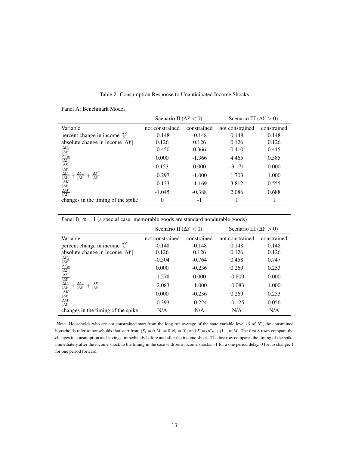| Panel A: Benchmark Model                                                                                                                                                                                     |                                |             |                                 |             |
|--------------------------------------------------------------------------------------------------------------------------------------------------------------------------------------------------------------|--------------------------------|-------------|---------------------------------|-------------|
|                                                                                                                                                                                                              | Scenario II ( $\Delta Y < 0$ ) |             | Scenario III ( $\Delta Y > 0$ ) |             |
| Variable                                                                                                                                                                                                     | not constrained                | constrained | not constrained                 | constrained |
| percent change in income $\frac{\Delta Y}{V}$                                                                                                                                                                | $-0.148$                       | $-0.148$    | 0.148                           | 0.148       |
| absolute change in income $ \Delta Y $                                                                                                                                                                       | 0.126                          | 0.126       | 0.126                           | 0.126       |
|                                                                                                                                                                                                              | $-0.450$                       | 0.366       | 0.410                           | 0.415       |
|                                                                                                                                                                                                              | 0.000                          | $-1.366$    | 4.465                           | 0.585       |
| $\frac{\Delta C_n}{ \Delta Y } \frac{\Delta C_m}{ \Delta Y } \frac{\Delta S'}{ \Delta Y } \frac{\Delta S'}{ \Delta Y } \frac{\Delta S'}{ \Delta Y } \frac{\Delta K}{ \Delta Y } \frac{\Delta K}{ \Delta Y }$ | 0.153                          | 0.000       | $-3.171$                        | 0.000       |
| $\Delta C_m$                                                                                                                                                                                                 | $-0.297$                       | $-1.000$    | 1.703                           | 1.000       |
|                                                                                                                                                                                                              | $-0.133$                       | $-1.169$    | 3.812                           | 0.555       |
| $\overline{\Delta Y}$                                                                                                                                                                                        | $-1.045$                       | $-0.388$    | 2.086                           | 0.688       |
| changes in the timing of the spike                                                                                                                                                                           | $\overline{0}$                 | $-1$        |                                 |             |

Table 2: Consumption Response to Unanticipated Income Shocks

|  |  |  | Panel B: $\alpha = 1$ (a special case: memorable goods are standard nondurable goods) |  |
|--|--|--|---------------------------------------------------------------------------------------|--|
|--|--|--|---------------------------------------------------------------------------------------|--|

|                                                                                                                                                                                                                                                | Scenario II ( $\Delta Y < 0$ ) |             | Scenario III ( $\Delta Y > 0$ ) |             |
|------------------------------------------------------------------------------------------------------------------------------------------------------------------------------------------------------------------------------------------------|--------------------------------|-------------|---------------------------------|-------------|
| Variable                                                                                                                                                                                                                                       | not constrained                | constrained | not constrained                 | constrained |
| percent change in income $\frac{\Delta Y}{V}$                                                                                                                                                                                                  | $-0.148$                       | $-0.148$    | 0.148                           | 0.148       |
| absolute change in income $ \Delta Y $                                                                                                                                                                                                         | 0.126                          | 0.126       | 0.126                           | 0.126       |
|                                                                                                                                                                                                                                                | $-0.504$                       | $-0.764$    | 0.458                           | 0.747       |
|                                                                                                                                                                                                                                                | 0.000                          | $-0.236$    | 0.269                           | 0.253       |
|                                                                                                                                                                                                                                                | $-1.578$                       | 0.000       | $-0.809$                        | 0.000       |
| $\frac{\Delta C_n}{ \Delta Y }$<br>$\frac{\Delta C_m}{ \Delta Y }$<br>$\frac{\Delta S'}{ \Delta Y }$<br>$\frac{\Delta C_n}{ \Delta Y }$<br>$\frac{\Delta K}{ \Delta Y }$<br>$\Delta C_m$<br>$\Delta S'$<br>$\overline{\Delta Y}$<br>$\Delta Y$ | $-2.083$                       | $-1.000$    | $-0.083$                        | 1.000       |
|                                                                                                                                                                                                                                                | 0.000                          | $-0.236$    | 0.269                           | 0.253       |
|                                                                                                                                                                                                                                                | $-0.393$                       | $-0.224$    | $-0.125$                        | 0.056       |
| changes in the timing of the spike                                                                                                                                                                                                             | N/A                            | N/A         | N/A                             | N/A         |

Note: Households who are not constrained start from the long run average of the state variable level  $(\bar{S}, \bar{M}, \bar{N})$ , the constrained households refer to households that start from  $(S_1 = 0, M_1 = 0, N_1 = 0)$ ; and  $K = \alpha C_m + (1 - \alpha)M$ . The first 8 rows compare the changes in consumption and savings immediately before and after the income shock. The last row compares the timing of the spike immediately after the income shock to the timing in the case with zero income shocks: -1 for a one period delay, 0 for no change, 1 for one period forward.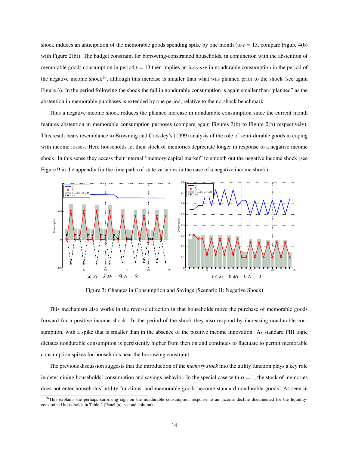shock induces an anticipation of the memorable goods spending spike by one month (to  $t = 13$ , compare Figure 4(b) with Figure 2(b)). The budget constraint for borrowing-constrained households, in conjunction with the abstention of memorable goods consumption in period  $t = 13$  then implies an *increase* in nondurable consumption in the period of the negative income shock<sup>26</sup>, although this increase is smaller than what was planned prior to the shock (see again Figure 3). In the period following the shock the fall in nondurable consumption is again smaller than "planned" as the abstention in memorable purchases is extended by one period, relative to the no-shock benchmark.

Thus a negative income shock reduces the planned increase in nondurable consumption since the current month features abstention in memorable consumption purposes (compare again Figures 3(b) to Figure 2(b) respectively). This result bears resemblance to Browning and Crossley's (1999) analysis of the role of semi-durable goods in coping with income losses. Here households let their stock of memories depreciate longer in response to a negative income shock. In this sense they access their internal "memory capital market" to smooth out the negative income shock (see Figure 9 in the appendix for the time paths of state variables in the case of a negative income shock).



Figure 3: Changes in Consumption and Savings (Scenario II: Negative Shock)

This mechanism also works in the reverse direction in that households move the purchase of memorable goods forward for a positive income shock. In the period of the shock they also respond by increasing nondurable consumption, with a spike that is smaller than in the absence of the positive income innovation. As standard PIH logic dictates nondurable consumption is persistently higher from then on and continues to fluctuate to permit memorable consumption spikes for households near the borrowing constraint.

The previous discussion suggests that the introduction of the *memory stock* into the utility function plays a key role in determining households' consumption and savings behavior. In the special case with  $\alpha = 1$ , the stock of memories does not enter households' utility functions, and memorable goods become standard nondurable goods. As seen in

 $26$ This explains the perhaps surprising sign on the nondurable consumption response to an income decline documented for the liquidityconstrained households in Table 2 (Panel (a), second column).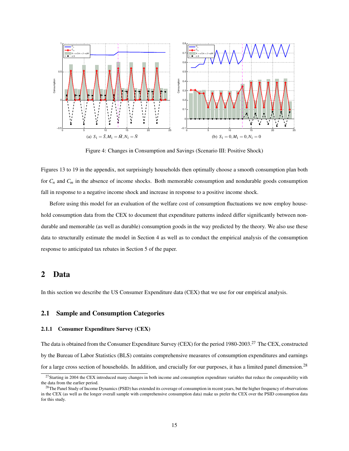

Figure 4: Changes in Consumption and Savings (Scenario III: Positive Shock)

Figures 13 to 19 in the appendix, not surprisingly households then optimally choose a smooth consumption plan both for  $C_n$  and  $C_m$  in the absence of income shocks. Both memorable consumption and nondurable goods consumption fall in response to a negative income shock and increase in response to a positive income shock.

Before using this model for an evaluation of the welfare cost of consumption fluctuations we now employ household consumption data from the CEX to document that expenditure patterns indeed differ significantly between nondurable and memorable (as well as durable) consumption goods in the way predicted by the theory. We also use these data to structurally estimate the model in Section 4 as well as to conduct the empirical analysis of the consumption response to anticipated tax rebates in Section 5 of the paper.

# 2 Data

In this section we describe the US Consumer Expenditure data (CEX) that we use for our empirical analysis.

# 2.1 Sample and Consumption Categories

### 2.1.1 Consumer Expenditure Survey (CEX)

The data is obtained from the Consumer Expenditure Survey (CEX) for the period 1980-2003.<sup>27</sup> The CEX, constructed by the Bureau of Labor Statistics (BLS) contains comprehensive measures of consumption expenditures and earnings for a large cross section of households. In addition, and crucially for our purposes, it has a limited panel dimension.<sup>28</sup>

 $27$ Starting in 2004 the CEX introduced many changes in both income and consumption expenditure variables that reduce the comparability with the data from the earlier period.

<sup>&</sup>lt;sup>28</sup>The Panel Study of Income Dynamics (PSID) has extended its coverage of consumption in recent years, but the higher frequency of observations in the CEX (as well as the longer overall sample with comprehensive consumption data) make us prefer the CEX over the PSID consumption data for this study.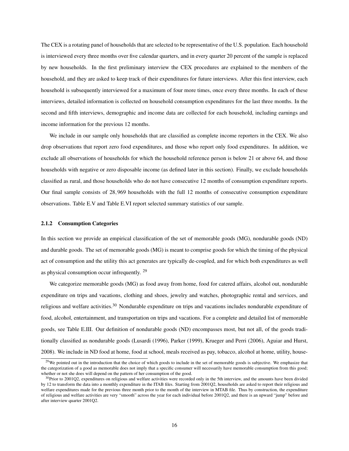The CEX is a rotating panel of households that are selected to be representative of the U.S. population. Each household is interviewed every three months over five calendar quarters, and in every quarter 20 percent of the sample is replaced by new households. In the first preliminary interview the CEX procedures are explained to the members of the household, and they are asked to keep track of their expenditures for future interviews. After this first interview, each household is subsequently interviewed for a maximum of four more times, once every three months. In each of these interviews, detailed information is collected on household consumption expenditures for the last three months. In the second and fifth interviews, demographic and income data are collected for each household, including earnings and income information for the previous 12 months.

We include in our sample only households that are classified as complete income reporters in the CEX. We also drop observations that report zero food expenditures, and those who report only food expenditures. In addition, we exclude all observations of households for which the household reference person is below 21 or above 64, and those households with negative or zero disposable income (as defined later in this section). Finally, we exclude households classified as rural, and those households who do not have consecutive 12 months of consumption expenditure reports. Our final sample consists of 28,969 households with the full 12 months of consecutive consumption expenditure observations. Table E.V and Table E.VI report selected summary statistics of our sample.

### 2.1.2 Consumption Categories

In this section we provide an empirical classification of the set of memorable goods (MG), nondurable goods (ND) and durable goods. The set of memorable goods (MG) is meant to comprise goods for which the timing of the physical act of consumption and the utility this act generates are typically de-coupled, and for which both expenditures as well as physical consumption occur infrequently. <sup>29</sup>

We categorize memorable goods (MG) as food away from home, food for catered affairs, alcohol out, nondurable expenditure on trips and vacations, clothing and shoes, jewelry and watches, photographic rental and services, and religious and welfare activities.<sup>30</sup> Nondurable expenditure on trips and vacations includes nondurable expenditure of food, alcohol, entertainment, and transportation on trips and vacations. For a complete and detailed list of memorable goods, see Table E.III. Our definition of nondurable goods (ND) encompasses most, but not all, of the goods traditionally classified as nondurable goods (Lusardi (1996), Parker (1999), Krueger and Perri (2006), Aguiar and Hurst, 2008). We include in ND food at home, food at school, meals received as pay, tobacco, alcohol at home, utility, house-

<sup>&</sup>lt;sup>29</sup>We pointed out in the introduction that the choice of which goods to include in the set of memorable goods is subjective. We emphasize that the categorization of a good as memorable does not imply that a specific consumer will necessarily have memorable consumption from this good; whether or not she does will depend on the pattern of her consumption of the good.

 $30$ Prior to 2001Q2, expenditures on religious and welfare activities were recorded only in the 5th interview, and the amounts have been divided by 12 to transform the data into a monthly expenditure in the ITAB files. Starting from 2001Q2, households are asked to report their religious and welfare expenditures made for the previous three month prior to the month of the interview in MTAB file. Thus by construction, the expenditure of religious and welfare activities are very "smooth" across the year for each individual before 2001Q2, and there is an upward "jump" before and after interview quarter 2001Q2.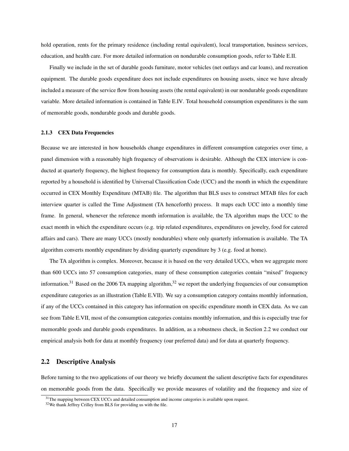hold operation, rents for the primary residence (including rental equivalent), local transportation, business services, education, and health care. For more detailed information on nondurable consumption goods, refer to Table E.II.

Finally we include in the set of durable goods furniture, motor vehicles (net outlays and car loans), and recreation equipment. The durable goods expenditure does not include expenditures on housing assets, since we have already included a measure of the service flow from housing assets (the rental equivalent) in our nondurable goods expenditure variable. More detailed information is contained in Table E.IV. Total household consumption expenditures is the sum of memorable goods, nondurable goods and durable goods.

### 2.1.3 CEX Data Frequencies

Because we are interested in how households change expenditures in different consumption categories over time, a panel dimension with a reasonably high frequency of observations is desirable. Although the CEX interview is conducted at quarterly frequency, the highest frequency for consumption data is monthly. Specifically, each expenditure reported by a household is identified by Universal Classification Code (UCC) and the month in which the expenditure occurred in CEX Monthly Expenditure (MTAB) file. The algorithm that BLS uses to construct MTAB files for each interview quarter is called the Time Adjustment (TA henceforth) process. It maps each UCC into a monthly time frame. In general, whenever the reference month information is available, the TA algorithm maps the UCC to the exact month in which the expenditure occurs (e.g. trip related expenditures, expenditures on jewelry, food for catered affairs and cars). There are many UCCs (mostly nondurables) where only quarterly information is available. The TA algorithm converts monthly expenditure by dividing quarterly expenditure by 3 (e.g. food at home).

The TA algorithm is complex. Moreover, because it is based on the very detailed UCCs, when we aggregate more than 600 UCCs into 57 consumption categories, many of these consumption categories contain "mixed" frequency information.<sup>31</sup> Based on the 2006 TA mapping algorithm,<sup>32</sup> we report the underlying frequencies of our consumption expenditure categories as an illustration (Table E.VII). We say a consumption category contains monthly information, if any of the UCCs contained in this category has information on specific expenditure month in CEX data. As we can see from Table E.VII, most of the consumption categories contains monthly information, and this is especially true for memorable goods and durable goods expenditures. In addition, as a robustness check, in Section 2.2 we conduct our empirical analysis both for data at monthly frequency (our preferred data) and for data at quarterly frequency.

# 2.2 Descriptive Analysis

Before turning to the two applications of our theory we briefly document the salient descriptive facts for expenditures on memorable goods from the data. Specifically we provide measures of volatility and the frequency and size of

<sup>&</sup>lt;sup>31</sup>The mapping between CEX UCCs and detailed consumption and income categories is available upon request.

<sup>32</sup>We thank Jeffrey Crilley from BLS for providing us with the file.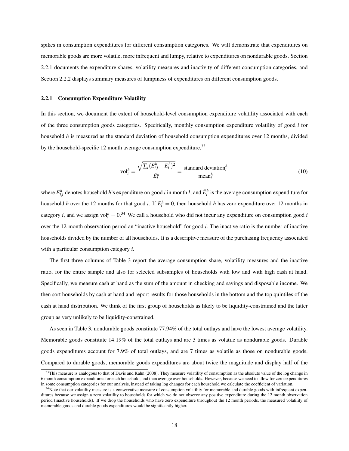spikes in consumption expenditures for different consumption categories. We will demonstrate that expenditures on memorable goods are more volatile, more infrequent and lumpy, relative to expenditures on nondurable goods. Section 2.2.1 documents the expenditure shares, volatility measures and inactivity of different consumption categories, and Section 2.2.2 displays summary measures of lumpiness of expenditures on different consumption goods.

#### 2.2.1 Consumption Expenditure Volatility

In this section, we document the extent of household-level consumption expenditure volatility associated with each of the three consumption goods categories. Specifically, monthly consumption expenditure volatility of good *i* for household *h* is measured as the standard deviation of household consumption expenditures over 12 months, divided by the household-specific 12 month average consumption expenditure.<sup>33</sup>

$$
\text{vol}_i^h = \frac{\sqrt{\sum_l (E_{i,l}^h - \bar{E}_i^h)^2}}{\bar{E}_i^h} = \frac{\text{standard deviation}_i^h}{\text{mean}_i^h}
$$
(10)

where  $E_{i,l}^h$  denotes household *h*'s expenditure on good *i* in month *l*, and  $\bar{E}_i^h$  is the average consumption expenditure for household *h* over the 12 months for that good *i*. If  $\bar{E}_i^h = 0$ , then household *h* has zero expenditure over 12 months in category *i*, and we assign vol $_i^h = 0$ .<sup>34</sup> We call a household who did not incur any expenditure on consumption good *i* over the 12-month observation period an "inactive household" for good *i*. The inactive ratio is the number of inactive households divided by the number of all households. It is a descriptive measure of the purchasing frequency associated with a particular consumption category *i*.

The first three columns of Table 3 report the average consumption share, volatility measures and the inactive ratio, for the entire sample and also for selected subsamples of households with low and with high cash at hand. Specifically, we measure cash at hand as the sum of the amount in checking and savings and disposable income. We then sort households by cash at hand and report results for those households in the bottom and the top quintiles of the cash at hand distribution. We think of the first group of households as likely to be liquidity-constrained and the latter group as very unlikely to be liquidity-constrained.

As seen in Table 3, nondurable goods constitute 77.94% of the total outlays and have the lowest average volatility. Memorable goods constitute 14.19% of the total outlays and are 3 times as volatile as nondurable goods. Durable goods expenditures account for 7.9% of total outlays, and are 7 times as volatile as those on nondurable goods. Compared to durable goods, memorable goods expenditures are about twice the magnitude and display half of the

<sup>&</sup>lt;sup>33</sup>This measure is analogous to that of Davis and Kahn (2008). They measure volatility of consumption as the absolute value of the log change in 6 month consumption expenditures for each household, and then average over households. However, because we need to allow for zero expenditures in some consumption categories for our analysis, instead of taking log changes for each household we calculate the coefficient of variation.

 $34$ Note that our volatility measure is a conservative measure of consumption volatility for memorable and durable goods with infrequent expenditures because we assign a zero volatility to households for which we do not observe any positive expenditure during the 12 month observation period (inactive households). If we drop the households who have zero expenditure throughout the 12 month periods, the measured volatility of memorable goods and durable goods expenditures would be significantly higher.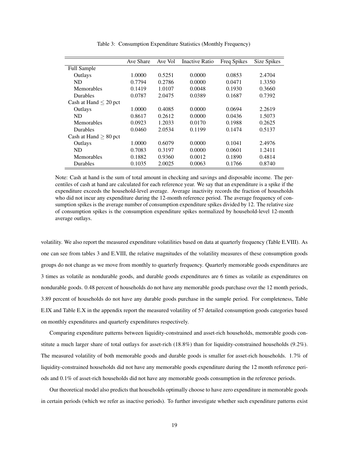|                            | Ave Share | Ave Vol | <b>Inactive Ratio</b> | Freq Spikes | Size Spikes |
|----------------------------|-----------|---------|-----------------------|-------------|-------------|
| <b>Full Sample</b>         |           |         |                       |             |             |
| Outlays                    | 1.0000    | 0.5251  | 0.0000                | 0.0853      | 2.4704      |
| <b>ND</b>                  | 0.7794    | 0.2786  | 0.0000                | 0.0471      | 1.3350      |
| Memorables                 | 0.1419    | 1.0107  | 0.0048                | 0.1930      | 0.3660      |
| <b>Durables</b>            | 0.0787    | 2.0475  | 0.0389                | 0.1687      | 0.7392      |
| Cash at Hand $\leq 20$ pct |           |         |                       |             |             |
| Outlays                    | 1.0000    | 0.4085  | 0.0000                | 0.0694      | 2.2619      |
| ND                         | 0.8617    | 0.2612  | 0.0000                | 0.0436      | 1.5073      |
| Memorables                 | 0.0923    | 1.2033  | 0.0170                | 0.1988      | 0.2625      |
| <b>Durables</b>            | 0.0460    | 2.0534  | 0.1199                | 0.1474      | 0.5137      |
| Cash at Hand $\geq 80$ pct |           |         |                       |             |             |
| Outlays                    | 1.0000    | 0.6079  | 0.0000                | 0.1041      | 2.4976      |
| ND                         | 0.7083    | 0.3197  | 0.0000                | 0.0601      | 1.2411      |
| Memorables                 | 0.1882    | 0.9360  | 0.0012                | 0.1890      | 0.4814      |
| Durables                   | 0.1035    | 2.0025  | 0.0063                | 0.1766      | 0.8740      |

Table 3: Consumption Expenditure Statistics (Monthly Frequency)

Note: Cash at hand is the sum of total amount in checking and savings and disposable income. The percentiles of cash at hand are calculated for each reference year. We say that an expenditure is a spike if the expenditure exceeds the household-level average. Average inactivity records the fraction of households who did not incur any expenditure during the 12-month reference period. The average frequency of consumption spikes is the average number of consumption expenditure spikes divided by 12. The relative size of consumption spikes is the consumption expenditure spikes normalized by household-level 12-month average outlays.

volatility. We also report the measured expenditure volatilities based on data at quarterly frequency (Table E.VIII). As one can see from tables 3 and E.VIII, the relative magnitudes of the volatility measures of these consumption goods groups do not change as we move from monthly to quarterly frequency. Quarterly memorable goods expenditures are 3 times as volatile as nondurable goods, and durable goods expenditures are 6 times as volatile as expenditures on nondurable goods. 0.48 percent of households do not have any memorable goods purchase over the 12 month periods, 3.89 percent of households do not have any durable goods purchase in the sample period. For completeness, Table E.IX and Table E.X in the appendix report the measured volatility of 57 detailed consumption goods categories based on monthly expenditures and quarterly expenditures respectively.

Comparing expenditure patterns between liquidity-constrained and asset-rich households, memorable goods constitute a much larger share of total outlays for asset-rich (18.8%) than for liquidity-constrained households (9.2%). The measured volatility of both memorable goods and durable goods is smaller for asset-rich households. 1.7% of liquidity-constrained households did not have any memorable goods expenditure during the 12 month reference periods and 0.1% of asset-rich households did not have any memorable goods consumption in the reference periods.

Our theoretical model also predicts that households optimally choose to have zero expenditure in memorable goods in certain periods (which we refer as inactive periods). To further investigate whether such expenditure patterns exist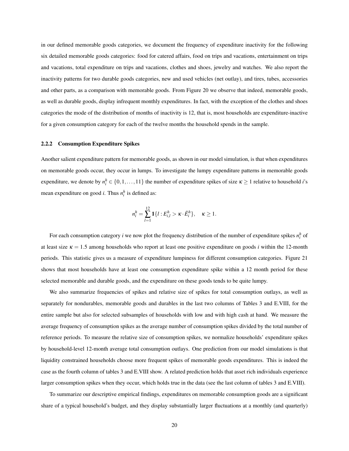in our defined memorable goods categories, we document the frequency of expenditure inactivity for the following six detailed memorable goods categories: food for catered affairs, food on trips and vacations, entertainment on trips and vacations, total expenditure on trips and vacations, clothes and shoes, jewelry and watches. We also report the inactivity patterns for two durable goods categories, new and used vehicles (net outlay), and tires, tubes, accessories and other parts, as a comparison with memorable goods. From Figure 20 we observe that indeed, memorable goods, as well as durable goods, display infrequent monthly expenditures. In fact, with the exception of the clothes and shoes categories the mode of the distribution of months of inactivity is 12, that is, most households are expenditure-inactive for a given consumption category for each of the twelve months the household spends in the sample.

## 2.2.2 Consumption Expenditure Spikes

Another salient expenditure pattern for memorable goods, as shown in our model simulation, is that when expenditures on memorable goods occur, they occur in lumps. To investigate the lumpy expenditure patterns in memorable goods expenditure, we denote by  $n_i^h \in \{0, 1, ..., 11\}$  the number of expenditure spikes of size  $\kappa \ge 1$  relative to household *i*'s mean expenditure on good *i*. Thus  $n_i^h$  is defined as:

$$
n_i^h = \sum_{l=1}^{12} \mathbf{1}\{l : E_{i,l}^h > \kappa \cdot \bar{E}_i^h\}, \quad \kappa \ge 1.
$$

For each consumption category *i* we now plot the frequency distribution of the number of expenditure spikes  $n_i^h$  of at least size  $\kappa = 1.5$  among households who report at least one positive expenditure on goods *i* within the 12-month periods. This statistic gives us a measure of expenditure lumpiness for different consumption categories. Figure 21 shows that most households have at least one consumption expenditure spike within a 12 month period for these selected memorable and durable goods, and the expenditure on these goods tends to be quite lumpy.

We also summarize frequencies of spikes and relative size of spikes for total consumption outlays, as well as separately for nondurables, memorable goods and durables in the last two columns of Tables 3 and E.VIII, for the entire sample but also for selected subsamples of households with low and with high cash at hand. We measure the average frequency of consumption spikes as the average number of consumption spikes divided by the total number of reference periods. To measure the relative size of consumption spikes, we normalize households' expenditure spikes by household-level 12-month average total consumption outlays. One prediction from our model simulations is that liquidity constrained households choose more frequent spikes of memorable goods expenditures. This is indeed the case as the fourth column of tables 3 and E.VIII show. A related prediction holds that asset rich individuals experience larger consumption spikes when they occur, which holds true in the data (see the last column of tables 3 and E.VIII).

To summarize our descriptive empirical findings, expenditures on memorable consumption goods are a significant share of a typical household's budget, and they display substantially larger fluctuations at a monthly (and quarterly)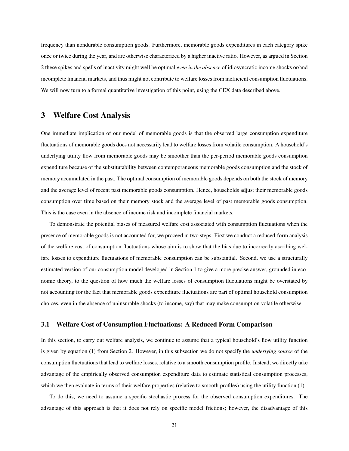frequency than nondurable consumption goods. Furthermore, memorable goods expenditures in each category spike once or twice during the year, and are otherwise characterized by a higher inactive ratio. However, as argued in Section 2 these spikes and spells of inactivity might well be optimal *even in the absence* of idiosyncratic income shocks or/and incomplete financial markets, and thus might not contribute to welfare losses from inefficient consumption fluctuations. We will now turn to a formal quantitative investigation of this point, using the CEX data described above.

# 3 Welfare Cost Analysis

One immediate implication of our model of memorable goods is that the observed large consumption expenditure fluctuations of memorable goods does not necessarily lead to welfare losses from volatile consumption. A household's underlying utility flow from memorable goods may be smoother than the per-period memorable goods consumption expenditure because of the substitutability between contemporaneous memorable goods consumption and the stock of memory accumulated in the past. The optimal consumption of memorable goods depends on both the stock of memory and the average level of recent past memorable goods consumption. Hence, households adjust their memorable goods consumption over time based on their memory stock and the average level of past memorable goods consumption. This is the case even in the absence of income risk and incomplete financial markets.

To demonstrate the potential biases of measured welfare cost associated with consumption fluctuations when the presence of memorable goods is not accounted for, we proceed in two steps. First we conduct a reduced-form analysis of the welfare cost of consumption fluctuations whose aim is to show that the bias due to incorrectly ascribing welfare losses to expenditure fluctuations of memorable consumption can be substantial. Second, we use a structurally estimated version of our consumption model developed in Section 1 to give a more precise answer, grounded in economic theory, to the question of how much the welfare losses of consumption fluctuations might be overstated by not accounting for the fact that memorable goods expenditure fluctuations are part of optimal household consumption choices, even in the absence of uninsurable shocks (to income, say) that may make consumption volatile otherwise.

# 3.1 Welfare Cost of Consumption Fluctuations: A Reduced Form Comparison

In this section, to carry out welfare analysis, we continue to assume that a typical household's flow utility function is given by equation (1) from Section 2. However, in this subsection we do not specify the *underlying source* of the consumption fluctuations that lead to welfare losses, relative to a smooth consumption profile. Instead, we directly take advantage of the empirically observed consumption expenditure data to estimate statistical consumption processes, which we then evaluate in terms of their welfare properties (relative to smooth profiles) using the utility function (1).

To do this, we need to assume a specific stochastic process for the observed consumption expenditures. The advantage of this approach is that it does not rely on specific model frictions; however, the disadvantage of this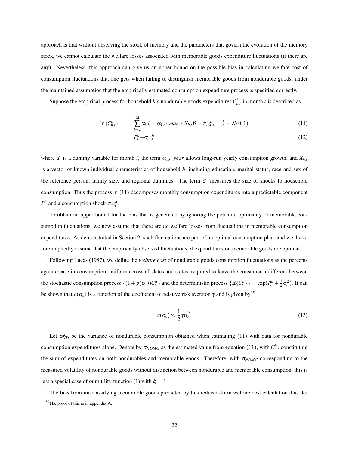approach is that without observing the stock of memory and the parameters that govern the evolution of the memory stock, we cannot calculate the welfare losses associated with memorable goods expenditure fluctuations (if there are any). Nevertheless, this approach can give us an upper bound on the possible bias in calculating welfare cost of consumption fluctuations that one gets when failing to distinguish memorable goods from nondurable goods, under the maintained assumption that the empirically estimated consumption expenditure process is specified correctly.

Suppose the empirical process for household *h*'s nondurable goods expenditures  $C_{n,t}^h$  in month *t* is described as

$$
\ln(C_{n,t}^h) = \sum_{l=2}^{12} \alpha_l d_l + \alpha_{13} \cdot year + X_{h,t} \beta + \sigma_c z_t^h, \quad z_t^h \sim N(0,1) \tag{11}
$$

$$
= P_t^h + \sigma_c z_t^h \tag{12}
$$

where  $d_l$  is a dummy variable for month *l*, the term  $\alpha_{13} \cdot year$  allows long-run yearly consumption growth, and  $X_{h,t}$ is a vector of known individual characteristics of household *h*, including education, marital status, race and sex of the reference person, family size, and regional dummies. The term  $\sigma_c$  measures the size of shocks to household consumption. Thus the process in (11) decomposes monthly consumption expenditures into a predictable component *P*<sup>*h*</sup></sup> and a consumption shock  $\sigma_c z_t^h$ .

To obtain an upper bound for the bias that is generated by ignoring the potential optimality of memorable consumption fluctuations, we now assume that there are *no* welfare losses from fluctuations in memorable consumption expenditures. As demonstrated in Section 2, such fluctuations are part of an optimal consumption plan, and we therefore implicitly assume that the empirically observed fluctuations of expenditures on memorable goods are optimal.

Following Lucas (1987), we define the *welfare cost* of nondurable goods consumption fluctuations as the percentage increase in consumption, uniform across all dates and states, required to leave the consumer indifferent between the stochastic consumption process  $\{(1+g(\sigma_c))C_t^h\}$  and the deterministic process  $\{\mathbb{E}\{C_t^h\}\} = \exp(P_t^h + \frac{1}{2}\sigma_c^2)$ . It can be shown that  $g(\sigma_c)$  is a function of the coefficient of relative risk aversion  $\gamma$  and is given by<sup>35</sup>

$$
g(\sigma_c) \approx \frac{1}{2} \gamma \sigma_c^2.
$$
 (13)

Let  $\sigma_{ND}^2$  be the variance of nondurable consumption obtained when estimating (11) with data for nondurable consumption expenditures alone. Denote by  $\sigma_{NDMG}$  as the estimated value from equation (11), with  $C_{n,t}^h$  constituting the sum of expenditures on both nondurables and memorable goods. Therefore, with σ<sub>*NDMG*</sub> corresponding to the measured volatility of nondurable goods without distinction between nondurable and memorable consumption, this is just a special case of our utility function (1) with  $\xi = 1$ .

The bias from misclassifying memorable goods predicted by this reduced-form welfare cost calculation thus de-

<sup>35</sup>The proof of this is in appendix A.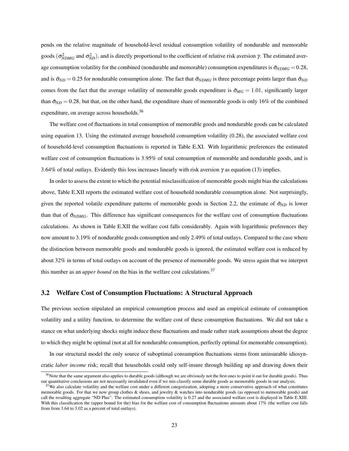pends on the relative magnitude of household-level residual consumption volatility of nondurable and memorable goods  $(\sigma_{NDMG}^2$  and  $\sigma_{ND}^2)$ , and is directly proportional to the coefficient of relative risk aversion  $\gamma$ . The estimated average consumption volatility for the combined (nondurable and memorable) consumption expenditures is  $\bar{\sigma}_{NDMG} = 0.28$ , and is  $\bar{\sigma}_{ND} = 0.25$  for nondurable consumption alone. The fact that  $\bar{\sigma}_{NDMG}$  is three percentage points larger than  $\bar{\sigma}_{ND}$ comes from the fact that the average volatility of memorable goods expenditure is  $\bar{\sigma}_{MG} = 1.01$ , significantly larger than  $\bar{\sigma}_{ND} = 0.28$ , but that, on the other hand, the expenditure share of memorable goods is only 16% of the combined expenditure, on average across households.<sup>36</sup>

The welfare cost of fluctuations in total consumption of memorable goods and nondurable goods can be calculated using equation 13. Using the estimated average household consumption volatility (0.28), the associated welfare cost of household-level consumption fluctuations is reported in Table E.XI. With logarithmic preferences the estimated welfare cost of consumption fluctuations is 3.95% of total consumption of memorable and nondurable goods, and is 3.64% of total outlays. Evidently this loss increases linearly with risk aversion  $\gamma$  as equation (13) implies.

In order to assess the extent to which the potential misclassification of memorable goods might bias the calculations above, Table E.XII reports the estimated welfare cost of household nondurable consumption alone. Not surprisingly, given the reported volatile expenditure patterns of memorable goods in Section 2.2, the estimate of  $\bar{\sigma}_{ND}$  is lower than that of  $\bar{\sigma}_{NDMG}$ . This difference has significant consequences for the welfare cost of consumption fluctuations calculations. As shown in Table E.XII the welfare cost falls considerably. Again with logarithmic preferences they now amount to 3.19% of nondurable goods consumption and only 2.49% of total outlays. Compared to the case where the distinction between memorable goods and nondurable goods is ignored, the estimated welfare cost is reduced by about 32% in terms of total outlays on account of the presence of memorable goods. We stress again that we interpret this number as an *upper bound* on the bias in the welfare cost calculations.<sup>37</sup>

# 3.2 Welfare Cost of Consumption Fluctuations: A Structural Approach

The previous section stipulated an empirical consumption process and used an empirical estimate of consumption volatility and a utility function, to determine the welfare cost of these consumption fluctuations. We did not take a stance on what underlying shocks might induce these fluctuations and made rather stark assumptions about the degree to which they might be optimal (not at all for nondurable consumption, perfectly optimal for memorable consumption).

In our structural model the only source of suboptimal consumption fluctuations stems from uninsurable idiosyncratic *labor income* risk; recall that households could only self-insure through building up and drawing down their

<sup>&</sup>lt;sup>36</sup>Note that the same argument also applies to durable goods (although we are obviously not the first ones to point it out for durable goods). Thus our quantitative conclusions are not necessarily invalidated even if we mis-classify some durable goods as memorable goods in our analysis.

 $37$ We also calculate volatility and the welfare cost under a different categorization, adopting a more conservative approach of what constitutes memorable goods. For that we now group clothes & shoes, and jewelry & watches into nondurable goods (as opposed to memorable goods) and call the resulting aggregate "ND Plus". The estimated consumption volatility is 0.27 and the associated welfare cost is displayed in Table E.XIII. With this classification the (upper bound for the) bias for the welfare cost of consumption fluctuations amounts about 17% (the welfare cost falls from from 3.64 to 3.02 as a percent of total outlays).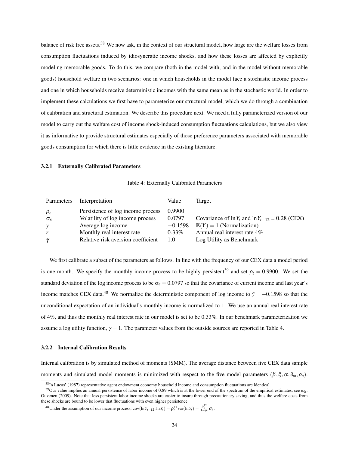balance of risk free assets.<sup>38</sup> We now ask, in the context of our structural model, how large are the welfare losses from consumption fluctuations induced by idiosyncratic income shocks, and how these losses are affected by explicitly modeling memorable goods. To do this, we compare (both in the model with, and in the model without memorable goods) household welfare in two scenarios: one in which households in the model face a stochastic income process and one in which households receive deterministic incomes with the same mean as in the stochastic world. In order to implement these calculations we first have to parameterize our structural model, which we do through a combination of calibration and structural estimation. We describe this procedure next. We need a fully parameterized version of our model to carry out the welfare cost of income shock-induced consumption fluctuations calculations, but we also view it as informative to provide structural estimates especially of those preference parameters associated with memorable goods consumption for which there is little evidence in the existing literature.

#### 3.2.1 Externally Calibrated Parameters

|  | Table 4: Externally Calibrated Parameters |
|--|-------------------------------------------|
|--|-------------------------------------------|

| Parameters             | Interpretation                     | Value     | Target                                                  |
|------------------------|------------------------------------|-----------|---------------------------------------------------------|
| $\rho_z$               | Persistence of log income process  | 0.9900    |                                                         |
| $\sigma_{\varepsilon}$ | Volatility of log income process   | 0.0797    | Covariance of $\ln Y_t$ and $\ln Y_{t-12} = 0.28$ (CEX) |
|                        | Average log income                 | $-0.1598$ | $E(Y) = 1$ (Normalization)                              |
|                        | Monthly real interest rate         | $0.33\%$  | Annual real interest rate 4%                            |
| $\gamma$               | Relative risk aversion coefficient | 1.0       | Log Utility as Benchmark                                |

We first calibrate a subset of the parameters as follows. In line with the frequency of our CEX data a model period is one month. We specify the monthly income process to be highly persistent<sup>39</sup> and set  $\rho$ <sub>z</sub> = 0.9900. We set the standard deviation of the log income process to be  $\sigma_{\epsilon} = 0.0797$  so that the covariance of current income and last year's income matches CEX data.<sup>40</sup> We normalize the deterministic component of log income to  $\bar{y} = -0.1598$  so that the unconditional expectation of an individual's monthly income is normalized to 1. We use an annual real interest rate of 4%, and thus the monthly real interest rate in our model is set to be 0.33%. In our benchmark parameterization we assume a log utility function,  $\gamma = 1$ . The parameter values from the outside sources are reported in Table 4.

# 3.2.2 Internal Calibration Results

Internal calibration is by simulated method of moments (SMM). The average distance between five CEX data sample moments and simulated model moments is minimized with respect to the five model parameters  $(\beta, \xi, \alpha, \delta_m, \rho_n)$ .

<sup>38</sup>In Lucas' (1987) representative agent endowment economy household income and consumption fluctuations are identical.

<sup>&</sup>lt;sup>39</sup>Our value implies an annual persistence of labor income of 0.89 which is at the lower end of the spectrum of the empirical estimates, see e.g. Guvenen (2009). Note that less persistent labor income shocks are easier to insure through precautionary saving, and thus the welfare costs from these shocks are bound to be lower that fluctuations with even higher persistence.

<sup>&</sup>lt;sup>40</sup>Under the assumption of our income process,  $cov(lnY_{t-12}, lnY_t) = \rho_z^{12} var(lnY_t) = \frac{\rho_z^{12}}{1-\rho_z} \sigma_{\epsilon}$ .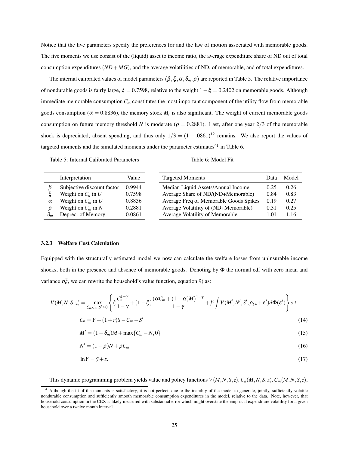Notice that the five parameters specify the preferences for and the law of motion associated with memorable goods. The five moments we use consist of the (liquid) asset to income ratio, the average expenditure share of ND out of total consumption expenditures (*ND*+*MG*), and the average volatilities of ND, of memorable, and of total expenditures.

The internal calibrated values of model parameters  $(\beta, \xi, \alpha, \delta_m, \rho)$  are reported in Table 5. The relative importance of nondurable goods is fairly large,  $\xi = 0.7598$ , relative to the weight  $1 - \xi = 0.2402$  on memorable goods. Although immediate memorable consumption  $C_m$  constitutes the most important component of the utility flow from memorable goods consumption ( $\alpha = 0.8836$ ), the memory stock  $M_t$  is also significant. The weight of current memorable goods consumption on future memory threshold *N* is moderate ( $\rho = 0.2881$ ). Last, after one year 2/3 of the memorable shock is depreciated, absent spending, and thus only  $1/3 = (1 - .0861)^{12}$  remains. We also report the values of targeted moments and the simulated moments under the parameter estimates $41$  in Table 6.

Table 5: Internal Calibrated Parameters

Table 6: Model Fit

|    | Interpretation             | Value  | <b>Targeted Moments</b>                | Data | Model |
|----|----------------------------|--------|----------------------------------------|------|-------|
|    | Subjective discount factor | 0.9944 | Median Liquid Assets/Annual Income     | 0.25 | 0.26  |
|    | Weight on $C_n$ in $U$     | 0.7598 | Average Share of ND/(ND+Memorable)     | 0.84 | 0.83  |
| α  | Weight on $C_m$ in U       | 0.8836 | Average Freq of Memorable Goods Spikes | 0.19 | 0.27  |
|    | Weight on $C_m$ in N       | 0.2881 | Average Volatility of (ND+Memorable)   | 0.31 | 0.25  |
| бm | Deprec. of Memory          | 0.0861 | Average Volatility of Memorable        | 1.01 | 1.16  |

#### 3.2.3 Welfare Cost Calculation

Equipped with the structurally estimated model we now can calculate the welfare losses from uninsurable income shocks, both in the presence and absence of memorable goods. Denoting by Φ the normal cdf with zero mean and variance  $\sigma_{\varepsilon}^2$ , we can rewrite the household's value function, equation 9) as:

$$
V(M, N, S, z) = \max_{C_n, C_m, S' \ge 0} \left\{ \xi \frac{C_n^{1-\gamma}}{1-\gamma} + (1-\xi) \frac{(\alpha C_m + (1-\alpha)M)^{1-\gamma}}{1-\gamma} + \beta \int V(M', N', S', \rho_z z + \varepsilon') d\Phi(\varepsilon') \right\} s.t.
$$

$$
C_n = Y + (1+r)S - C_m - S'
$$
\n(14)

$$
M' = (1 - \delta_m)M + \max\{C_m - N, 0\}
$$
\n(15)

$$
N' = (1 - \rho)N + \rho C_m \tag{16}
$$

$$
\ln Y = \bar{y} + z. \tag{17}
$$

This dynamic programming problem yields value and policy functions  $V(M, N, S, z)$ ,  $C_n(M, N, S, z)$ ,  $C_m(M, N, S, z)$ ,

<sup>&</sup>lt;sup>41</sup> Although the fit of the moments is satisfactory, it is not perfect, due to the inability of the model to generate, jointly, sufficiently volatile nondurable consumption and sufficiently smooth memorable consumption expenditures in the model, relative to the data. Note, however, that household consumption in the CEX is likely measured with substantial error which might overstate the empirical expenditure volatility for a given household over a twelve month interval.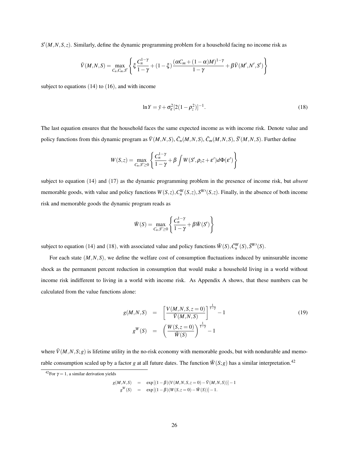$S'(M,N,S,z)$ . Similarly, define the dynamic programming problem for a household facing no income risk as

$$
\bar{V}(M,N,S) = \max_{C_n,C_m,S'} \left\{ \xi \frac{C_n^{1-\gamma}}{1-\gamma} + (1-\xi) \frac{(\alpha C_m + (1-\alpha)M)^{1-\gamma}}{1-\gamma} + \beta \bar{V}(M',N',S') \right\}
$$

subject to equations  $(14)$  to  $(16)$ , and with income

$$
\ln Y = \bar{y} + \sigma_{\varepsilon}^2 [2(1 - \rho_z^2)]^{-1}.
$$
 (18)

The last equation ensures that the household faces the same expected income as with income risk. Denote value and policy functions from this dynamic program as  $\bar{V}(M,N,S)$ ,  $\bar{C}_n(M,N,S)$ ,  $\bar{C}_m(M,N,S)$ ,  $\bar{S}'(M,N,S)$ . Further define

$$
W(S,z) = \max_{C_n, S' \ge 0} \left\{ \frac{C_n^{1-\gamma}}{1-\gamma} + \beta \int W(S', \rho_z z + \varepsilon') d\Phi(\varepsilon') \right\}
$$

subject to equation (14) and (17) as the dynamic programming problem in the presence of income risk, but *absent* memorable goods, with value and policy functions  $W(S, z)$ ,  $C_n^W(S, z)$ ,  $S^{W'}(S, z)$ . Finally, in the absence of both income risk and memorable goods the dynamic program reads as

$$
\bar{W}(S) = \max_{C_n, S' \ge 0} \left\{ \frac{C_n^{1-\gamma}}{1-\gamma} + \beta \bar{W}(S') \right\}
$$

subject to equation (14) and (18), with associated value and policy functions  $\bar{W}(S), \bar{C}_n^W(S), \bar{S}^{W}(S)$ .

For each state (*M*,*N*,*S*), we define the welfare cost of consumption fluctuations induced by uninsurable income shock as the permanent percent reduction in consumption that would make a household living in a world without income risk indifferent to living in a world with income risk. As Appendix A shows, that these numbers can be calculated from the value functions alone:

$$
g(M, N, S) = \left[\frac{V(M, N, S, z = 0)}{\bar{V}(M, N, S)}\right]^{\frac{1}{1 - \gamma}} - 1
$$
\n
$$
g^{W}(S) = \left(\frac{W(S, z = 0)}{\bar{W}(S)}\right)^{\frac{1}{1 - \gamma}} - 1
$$
\n(19)

where  $\bar{V}(M,N,S;g)$  is lifetime utility in the no-risk economy with memorable goods, but with nondurable and memorable consumption scaled up by a factor *g* at all future dates. The function  $\bar{W}(S;g)$  has a similar interpretation.<sup>42</sup>

<sup>&</sup>lt;sup>42</sup>For  $\gamma = 1$ , a similar derivation yields

 $g(M, N, S)$  = exp[ $(1 - \beta)(V(M, N, S, z = 0) - \bar{V}(M, N, S))$ ] - 1  $g^W(S)$  = exp[(1- $\beta$ )(*W*(*S*,*z* = 0) –  $\bar{W}(S)$ )] – 1.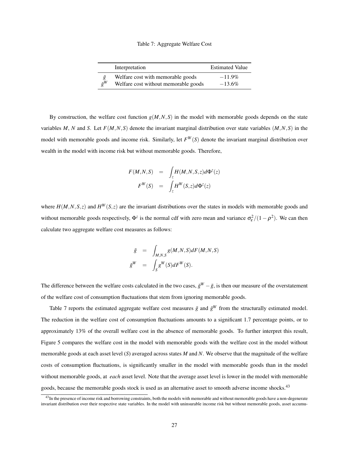#### Table 7: Aggregate Welfare Cost

|                   | Interpretation                       | <b>Estimated Value</b> |
|-------------------|--------------------------------------|------------------------|
| $\bar{g}$         | Welfare cost with memorable goods    | $-11.9\%$              |
| $\bar{\varrho}^W$ | Welfare cost without memorable goods | $-13.6\%$              |

By construction, the welfare cost function  $g(M, N, S)$  in the model with memorable goods depends on the state variables *M*, *N* and *S*. Let  $F(M, N, S)$  denote the invariant marginal distribution over state variables  $(M, N, S)$  in the model with memorable goods and income risk. Similarly, let *F <sup>W</sup>* (*S*) denote the invariant marginal distribution over wealth in the model with income risk but without memorable goods. Therefore,

$$
F(M, N, S) = \int_{z} H(M, N, S, z) d\Phi^{z}(z)
$$

$$
F^{W}(S) = \int_{z} H^{W}(S, z) d\Phi^{z}(z)
$$

where  $H(M, N, S, z)$  and  $H^W(S, z)$  are the invariant distributions over the states in models with memorable goods and without memorable goods respectively,  $\Phi^z$  is the normal cdf with zero mean and variance  $\sigma_{\epsilon}^2/(1-\rho^2)$ . We can then calculate two aggregate welfare cost measures as follows:

$$
\bar{g} = \int_{M,N,S} g(M,N,S)dF(M,N,S)
$$

$$
\bar{g}^{W} = \int_{S} g^{W}(S)dF^{W}(S).
$$

The difference between the welfare costs calculated in the two cases,  $\bar{g}^W - \bar{g}$ , is then our measure of the overstatement of the welfare cost of consumption fluctuations that stem from ignoring memorable goods.

Table 7 reports the estimated aggregate welfare cost measures  $\bar{g}$  and  $\bar{g}^W$  from the structurally estimated model. The reduction in the welfare cost of consumption fluctuations amounts to a significant 1.7 percentage points, or to approximately 13% of the overall welfare cost in the absence of memorable goods. To further interpret this result, Figure 5 compares the welfare cost in the model with memorable goods with the welfare cost in the model without memorable goods at each asset level (*S*) averaged across states *M* and *N*. We observe that the magnitude of the welfare costs of consumption fluctuations, is significantly smaller in the model with memorable goods than in the model without memorable goods, at *each* asset level. Note that the average asset level is lower in the model with memorable goods, because the memorable goods stock is used as an alternative asset to smooth adverse income shocks.<sup>43</sup>

<sup>&</sup>lt;sup>43</sup>In the presence of income risk and borrowing constraints, both the models with memorable and without memorable goods have a non-degenerate invariant distribution over their respective state variables. In the model with uninsurable income risk but without memorable goods, asset accumu-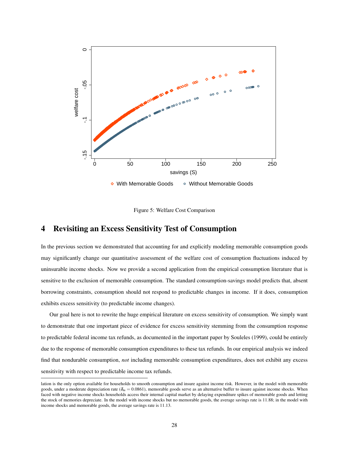

Figure 5: Welfare Cost Comparison

# 4 Revisiting an Excess Sensitivity Test of Consumption

In the previous section we demonstrated that accounting for and explicitly modeling memorable consumption goods may significantly change our quantitative assessment of the welfare cost of consumption fluctuations induced by uninsurable income shocks. Now we provide a second application from the empirical consumption literature that is sensitive to the exclusion of memorable consumption. The standard consumption-savings model predicts that, absent borrowing constraints, consumption should not respond to predictable changes in income. If it does, consumption exhibits excess sensitivity (to predictable income changes).

Our goal here is not to rewrite the huge empirical literature on excess sensitivity of consumption. We simply want to demonstrate that one important piece of evidence for excess sensitivity stemming from the consumption response to predictable federal income tax refunds, as documented in the important paper by Souleles (1999), could be entirely due to the response of memorable consumption expenditures to these tax refunds. In our empirical analysis we indeed find that nondurable consumption, *not* including memorable consumption expenditures, does not exhibit any excess sensitivity with respect to predictable income tax refunds.

lation is the only option available for households to smooth consumption and insure against income risk. However, in the model with memorable goods, under a moderate depreciation rate ( $\delta_m = 0.0861$ ), memorable goods serve as an alternative buffer to insure against income shocks. When faced with negative income shocks households access their internal capital market by delaying expenditure spikes of memorable goods and letting the stock of memories depreciate. In the model with income shocks but no memorable goods, the average savings rate is 11.88; in the model with income shocks and memorable goods, the average savings rate is 11.13.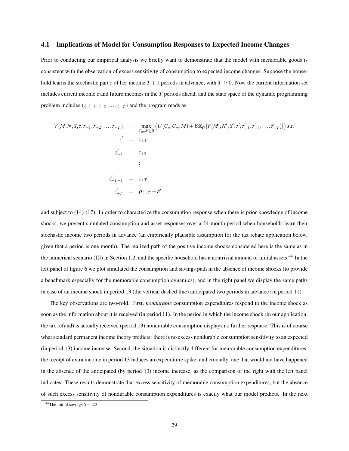# 4.1 Implications of Model for Consumption Responses to Expected Income Changes

Prior to conducting our empirical analysis we briefly want to demonstrate that the model with memorable goods is consistent with the observation of excess sensitivity of consumption to expected income changes. Suppose the household learns the stochastic part *z* of her income  $T + 1$  periods in advance, with  $T \ge 0$ . Now the current information set includes current income *z* and future incomes in the *T* periods ahead, and the state space of the dynamic programming problem includes  $(z, z_{+1}, z_{+2}, \ldots, z_{+T})$  and the program reads as

$$
V(M, N, S, z, z_{+1}, z_{+2},..., z_{+T}) = \max_{C_m, S' \ge 0} \{ U(C_n, C_m, M) + \beta \mathbb{E}_{\hat{\mathcal{E}}'}[V(M', N', S', z', z'_{+1}, z'_{+2},..., z'_{+T})] \} s.t.
$$
  
\n
$$
z' = z_{+1}
$$
  
\n
$$
z'_{+1} = z_{+2}
$$
  
\n
$$
\vdots
$$
  
\n
$$
z'_{+T-1} = z_{+T}
$$
  
\n
$$
z'_{+T} = \rho z_{+T} + \hat{\mathcal{E}}'
$$

and subject to (14)-(17). In order to characterize the consumption response when there is prior knowledge of income shocks, we present simulated consumption and asset responses over a 24-month period when households learn their stochastic income two periods in advance (an empirically plausible assumption for the tax rebate application below, given that a period is one month). The realized path of the positive income shocks considered here is the same as in the numerical scenario (III) in Section 1.2, and the specific household has a nontrivial amount of initial assets.<sup>44</sup> In the left panel of figure 6 we plot simulated the consumption and savings path in the absence of income shocks (to provide a benchmark especially for the memorable consumption dynamics), and in the right panel we display the same paths in case of an income shock in period 13 (the vertical dashed line) anticipated two periods in advance (in period 11).

The key observations are two-fold. First, *nondurable* consumption expenditures respond to the income shock as soon as the information about it is received (in period 11). In the period in which the income shock (in our application, the tax refund) is actually received (period 13) nondurable consumption displays no further response. This is of course what standard permanent income theory predicts: there is no excess nondurable consumption sensitivity to an expected (in period 13) income increase. Second, the situation is distinctly different for memorable consumption expenditures: the receipt of extra income in period 13 induces an expenditure spike, and crucially, one that would not have happened in the absence of the anticipated (by period 13) income increase, as the comparison of the right with the left panel indicates. These results demonstrate that excess sensitivity of memorable consumption expenditures, but the absence of such excess sensitivity of nondurable consumption expenditures is exactly what our model predicts. In the next

<sup>&</sup>lt;sup>44</sup>The initial savings  $\bar{S} = 2.3$ .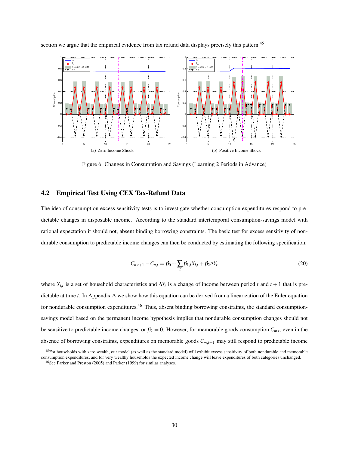

section we argue that the empirical evidence from tax refund data displays precisely this pattern.<sup>45</sup>

Figure 6: Changes in Consumption and Savings (Learning 2 Periods in Advance)

# 4.2 Empirical Test Using CEX Tax-Refund Data

The idea of consumption excess sensitivity tests is to investigate whether consumption expenditures respond to predictable changes in disposable income. According to the standard intertemporal consumption-savings model with rational expectation it should not, absent binding borrowing constraints. The basic test for excess sensitivity of nondurable consumption to predictable income changes can then be conducted by estimating the following specification:

$$
C_{n,t+1} - C_{n,t} = \beta_0 + \sum_i \beta_{1,i} X_{i,t} + \beta_2 \Delta Y_t
$$
\n(20)

where  $X_{i,t}$  is a set of household characteristics and  $\Delta Y_t$  is a change of income between period *t* and  $t+1$  that is predictable at time *t*. In Appendix A we show how this equation can be derived from a linearization of the Euler equation for nondurable consumption expenditures.<sup>46</sup> Thus, absent binding borrowing constraints, the standard consumptionsavings model based on the permanent income hypothesis implies that nondurable consumption changes should not be sensitive to predictable income changes, or  $\beta_2 = 0$ . However, for memorable goods consumption  $C_{m,t}$ , even in the absence of borrowing constraints, expenditures on memorable goods *Cm*,*t*+<sup>1</sup> may still respond to predictable income

 $45$ For households with zero wealth, our model (as well as the standard model) will exhibit excess sensitivity of both nondurable and memorable consumption expenditures, and for very wealthy households the expected income change will leave expenditures of both categories unchanged.

<sup>46</sup>See Parker and Preston (2005) and Parker (1999) for similar analyses.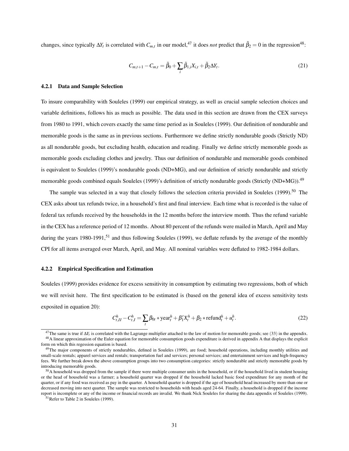changes, since typically  $\Delta Y_t$  is correlated with  $C_{m,t}$  in our model,<sup>47</sup> it does *not* predict that  $\tilde{\beta}_2 = 0$  in the regression<sup>48</sup>:

$$
C_{m,t+1} - C_{m,t} = \tilde{\beta}_0 + \sum_i \tilde{\beta}_{1,i} X_{i,t} + \tilde{\beta}_2 \Delta Y_t.
$$
 (21)

## 4.2.1 Data and Sample Selection

To insure comparability with Souleles (1999) our empirical strategy, as well as crucial sample selection choices and variable definitions, follows his as much as possible. The data used in this section are drawn from the CEX surveys from 1980 to 1991, which covers exactly the same time period as in Souleles (1999). Our definition of nondurable and memorable goods is the same as in previous sections. Furthermore we define strictly nondurable goods (Strictly ND) as all nondurable goods, but excluding health, education and reading. Finally we define strictly memorable goods as memorable goods excluding clothes and jewelry. Thus our definition of nondurable and memorable goods combined is equivalent to Souleles (1999)'s nondurable goods (ND+MG), and our definition of strictly nondurable and strictly memorable goods combined equals Souleles (1999)'s definition of strictly nondurable goods (Strictly (ND+MG)).<sup>49</sup>

The sample was selected in a way that closely follows the selection criteria provided in Souleles (1999).<sup>50</sup> The CEX asks about tax refunds twice, in a household's first and final interview. Each time what is recorded is the value of federal tax refunds received by the households in the 12 months before the interview month. Thus the refund variable in the CEX has a reference period of 12 months. About 80 percent of the refunds were mailed in March, April and May during the years  $1980-1991$ ,<sup>51</sup> and thus following Souleles (1999), we deflate refunds by the average of the monthly CPI for all items averaged over March, April, and May. All nominal variables were deflated to 1982-1984 dollars.

## 4.2.2 Empirical Specification and Estimation

Souleles (1999) provides evidence for excess sensitivity in consumption by estimating two regressions, both of which we will revisit here. The first specification to be estimated is (based on the general idea of excess sensitivity tests exposited in equation 20):

$$
C_{t,II}^{h} - C_{t,I}^{h} = \sum_{t} \beta_{0t} * \text{year}_{t}^{h} + \beta_{1}' X_{t}^{h} + \beta_{2} * \text{refund}_{t}^{h} + u_{t}^{h}.
$$
 (22)

<sup>&</sup>lt;sup>47</sup>The same is true if  $\Delta Y_t$  is correlated with the Lagrange multiplier attached to the law of motion for memorable goods; see (33) in the appendix. <sup>48</sup>A linear approximation of the Euler equation for memorable consumption goods expenditure is derived in appendix A that displays the explicit form on which this regession equation is based.

 $49$ The major components of strictly nondurables, defined in Souleles (1999), are food; household operations, including monthly utilities and small-scale rentals; apparel services and rentals; transportation fuel and services; personal services; and entertainment services and high-frequency fees. We further break down the above consumption groups into two consumption categories: strictly nondurable and strictly memorable goods by introducing memorable goods.

 $50A$  household was dropped from the sample if there were multiple consumer units in the household, or if the household lived in student housing or the head of household was a farmer; a household quarter was dropped if the household lacked basic food expenditure for any month of the quarter, or if any food was received as pay in the quarter. A household quarter is dropped if the age of household head increased by more than one or decreased moving into next quarter. The sample was restricted to households with heads aged 24-64. Finally, a household is dropped if the income report is incomplete or any of the income or financial records are invalid. We thank Nick Souleles for sharing the data appendix of Souleles (1999).

<sup>&</sup>lt;sup>51</sup>Refer to Table 2 in Souleles (1999).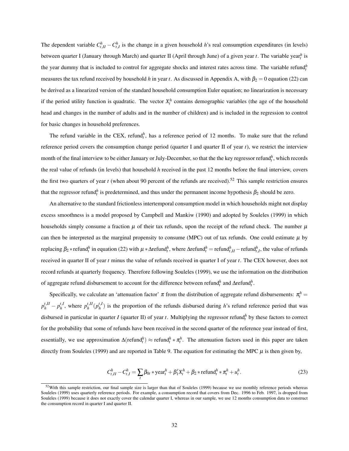The dependent variable  $C_{t,II}^h - C_{t,I}^h$  is the change in a given household *h*'s real consumption expenditures (in levels) between quarter I (January through March) and quarter II (April through June) of a given year *t*. The variable year*<sup>h</sup> t* is the year dummy that is included to control for aggregate shocks and interest rates across time. The variable refund*<sup>h</sup> t* measures the tax refund received by household *h* in year *t*. As discussed in Appendix A, with  $\beta_2 = 0$  equation (22) can be derived as a linearized version of the standard household consumption Euler equation; no linearization is necessary if the period utility function is quadratic. The vector  $X_t^h$  contains demographic variables (the age of the household head and changes in the number of adults and in the number of children) and is included in the regression to control for basic changes in household preferences.

The refund variable in the CEX, refund<sup>h</sup>, has a reference period of 12 months. To make sure that the refund reference period covers the consumption change period (quarter I and quarter II of year *t*), we restrict the interview month of the final interview to be either January or July-December, so that the the key regressor refund<sup>h</sup>, which records the real value of refunds (in levels) that household *h* received in the past 12 months before the final interview, covers the first two quarters of year *t* (when about 90 percent of the refunds are received).<sup>52</sup> This sample restriction ensures that the regressor refund<sup>*h*</sup> is predetermined, and thus under the permanent income hypothesis  $\beta_2$  should be zero.

An alternative to the standard frictionless intertemporal consumption model in which households might not display excess smoothness is a model proposed by Campbell and Mankiw (1990) and adopted by Souleles (1999) in which households simply consume a fraction  $\mu$  of their tax refunds, upon the receipt of the refund check. The number  $\mu$ can then be interpreted as the marginal propensity to consume (MPC) out of tax refunds. One could estimate  $\mu$  by  $t$  replacing  $β_2$  ∗refund<sup>*h*</sup> in equation (22) with  $μ$  ∗∆refund<sup>*h*</sup>, where ∆refund<sup>*h*</sup> = refund<sup>*h*</sup><sub>*t,II*</sub> − refund<sup>*h*</sup><sub>*t,I*</sub>, the value of refunds received in quarter II of year *t* minus the value of refunds received in quarter I of year *t*. The CEX however, does not record refunds at quarterly frequency. Therefore following Souleles (1999), we use the information on the distribution of aggregate refund disbursement to account for the difference between refund<sup>*h*</sup> and ∆refund<sup>*h*</sup>.

Specifically, we calculate an 'attenuation factor'  $\pi$  from the distribution of aggregate refund disbursements:  $\pi_t^h$  $p_h^{t,II} - p_h^{t,II}$  $p_h^{t,I}$ , where  $p_h^{t,II}$  ${}_{h}^{t,II}(p_h^{t,1})$  $h_h^{t,1}$ ) is the proportion of the refunds disbursed during *h*'s refund reference period that was disbursed in particular in quarter *I* (quarter II) of year *t*. Multiplying the regressor refund*<sup>h</sup> <sup>t</sup>* by these factors to correct for the probability that some of refunds have been received in the second quarter of the reference year instead of first, essentially, we use approximation  $\Delta(\text{refund}_t^h) \approx \text{refund}_t^h * \pi_t^h$ . The attenuation factors used in this paper are taken directly from Souleles (1999) and are reported in Table 9. The equation for estimating the MPC  $\mu$  is then given by,

$$
C_{t,II}^h - C_{t,I}^h = \sum_t \beta_{0t} * \text{year}_t^h + \beta_1' X_t^h + \beta_2 * \text{refund}_t^h * \pi_t^h + u_t^h. \tag{23}
$$

 $52$ With this sample restriction, our final sample size is larger than that of Souleles (1999) because we use monthly reference periods whereas Souleles (1999) uses quarterly reference periods. For example, a consumption record that covers from Dec. 1996 to Feb. 1997, is dropped from Souleles (1999) because it does not exactly cover the calendar quarter I, whereas in our sample, we use 12 months consumption data to construct the consumption record in quarter I and quarter II.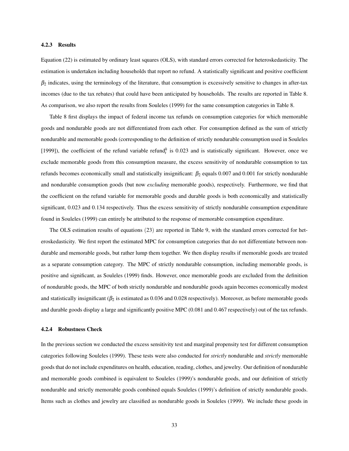#### 4.2.3 Results

Equation (22) is estimated by ordinary least squares (OLS), with standard errors corrected for heteroskedasticity. The estimation is undertaken including households that report no refund. A statistically significant and positive coefficient  $\beta_2$  indicates, using the terminology of the literature, that consumption is excessively sensitive to changes in after-tax incomes (due to the tax rebates) that could have been anticipated by households. The results are reported in Table 8. As comparison, we also report the results from Souleles (1999) for the same consumption categories in Table 8.

Table 8 first displays the impact of federal income tax refunds on consumption categories for which memorable goods and nondurable goods are not differentiated from each other. For consumption defined as the sum of strictly nondurable and memorable goods (corresponding to the definition of strictly nondurable consumption used in Souleles [1999]), the coefficient of the refund variable refund<sup>h</sup> is 0.023 and is statistically significant. However, once we exclude memorable goods from this consumption measure, the excess sensitivity of nondurable consumption to tax refunds becomes economically small and statistically insignificant:  $\beta_2$  equals 0.007 and 0.001 for strictly nondurable and nondurable consumption goods (but now *excluding* memorable goods), respectively. Furthermore, we find that the coefficient on the refund variable for memorable goods and durable goods is both economically and statistically significant, 0.023 and 0.134 respectively. Thus the excess sensitivity of strictly nondurable consumption expenditure found in Souleles (1999) can entirely be attributed to the response of memorable consumption expenditure.

The OLS estimation results of equations (23) are reported in Table 9, with the standard errors corrected for heteroskedasticity. We first report the estimated MPC for consumption categories that do not differentiate between nondurable and memorable goods, but rather lump them together. We then display results if memorable goods are treated as a separate consumption category. The MPC of strictly nondurable consumption, including memorable goods, is positive and significant, as Souleles (1999) finds. However, once memorable goods are excluded from the definition of nondurable goods, the MPC of both strictly nondurable and nondurable goods again becomes economically modest and statistically insignificant ( $\beta_2$  is estimated as 0.036 and 0.028 respectively). Moreover, as before memorable goods and durable goods display a large and significantly positive MPC (0.081 and 0.467 respectively) out of the tax refunds.

### 4.2.4 Robustness Check

In the previous section we conducted the excess sensitivity test and marginal propensity test for different consumption categories following Souleles (1999). These tests were also conducted for *strictly* nondurable and *strictly* memorable goods that do not include expenditures on health, education, reading, clothes, and jewelry. Our definition of nondurable and memorable goods combined is equivalent to Souleles (1999)'s nondurable goods, and our definition of strictly nondurable and strictly memorable goods combined equals Souleles (1999)'s definition of strictly nondurable goods. Items such as clothes and jewelry are classified as nondurable goods in Souleles (1999). We include these goods in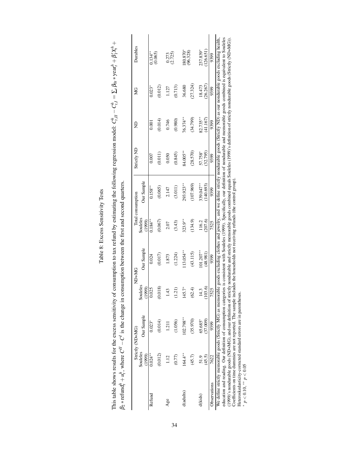|                            |                    | Strictly (ND+MG)                                                                                                                                                                                                                                                             |                    | ND+MG                                                        |                    | Total consumption      | Strictly ND         | $\Xi$                | МG                 | Durables                                                                                                                              |
|----------------------------|--------------------|------------------------------------------------------------------------------------------------------------------------------------------------------------------------------------------------------------------------------------------------------------------------------|--------------------|--------------------------------------------------------------|--------------------|------------------------|---------------------|----------------------|--------------------|---------------------------------------------------------------------------------------------------------------------------------------|
|                            | Souleles<br>(1999) | Our Sample                                                                                                                                                                                                                                                                   | Souleles<br>(1999) | Our Sample                                                   | Souleles<br>(1999) | Our Sample             |                     |                      |                    |                                                                                                                                       |
| Refund                     | $0.024**$          | $0.023*$                                                                                                                                                                                                                                                                     | 0.025              | 0.024                                                        | $0.184**$          | $0.158**$              | 0.007               | $\overline{0.001}$   | $0.023^\ast$       | $0.134**$<br>$(0.065)$                                                                                                                |
|                            | (0.012)            | (0.014)                                                                                                                                                                                                                                                                      | (0.018)            | (0.017)                                                      | (0.067)            | (0.065)                | (0.011)             | (0.014)              | (0.012)            |                                                                                                                                       |
| Age                        | 1.12               | 1.211                                                                                                                                                                                                                                                                        | 1.43               | 1.873                                                        | 2.07               | 2.147                  | 0.050               | 0.746                | 1.127              | 0.273                                                                                                                                 |
|                            | (0.77)             | (1.056)                                                                                                                                                                                                                                                                      | (1.21)             | (1.224)                                                      | (3.43)             | (3.011)                | (0.845)             | (0.980)              | (0.713)            | (2.725)                                                                                                                               |
| d(adults)                  | $164.4**$          | $102.798**$                                                                                                                                                                                                                                                                  | $145.7*$           | $13.054**$                                                   | $323.9**$          | 293.923**              | 84.005**            | 76.374**             | 36.680             | $180.870*$                                                                                                                            |
|                            | (45.7)             | (35.970)                                                                                                                                                                                                                                                                     | (62.4)             | (43.115)                                                     | (134.9)            | (107.969)              | (28.570)            | (34.799)             | (27.324)           | (96.328)                                                                                                                              |
| d(kids)                    | (45.5)<br>51.9     | (37.009)<br>65.685*                                                                                                                                                                                                                                                          | 14.3<br>(103.6)    | $101.207***$<br>(48.981)                                     | (207.6)<br>116.2   | 339.047**<br>(140.693) | 57.758*<br>(32.795) | 82.735**<br>(41.167) | (26.267)<br>18.473 | (126.651)<br>237.839*                                                                                                                 |
| <b>Observations</b>        | 7622               | 9399                                                                                                                                                                                                                                                                         | 7525               | 9399                                                         | 7525               | 9399                   | 9399                | 9399                 | 9399               | 9399                                                                                                                                  |
|                            |                    | We define strictly memorable goods (Strictly MG) as memorable goods excluding clothes and jewelry, and we define strictly nondurable goods (Strictly ND) as our nondurable goods excluding health.<br>education and reading. Our definition of consumption categories        |                    |                                                              |                    |                        |                     |                      |                    | is consistent with Souleles (1999). Specifically, our definition of nondurable and memorable goods combined is equivalent to Souleles |
|                            |                    | (1999)'s nondurable goods (ND+MG), and our definition of strictly nondurable and strictly memorable goods combined equals Souleles (1999)'s definition of strictly nondurable goods (Strictly (ND+MG)).<br>Coefficients on time dummies are not reported. The sample include |                    |                                                              |                    |                        |                     |                      |                    |                                                                                                                                       |
|                            |                    | Heteroskedasticity-corrected standard errors are in parentheses.                                                                                                                                                                                                             |                    | les the households not receiving refunds (the control group) |                    |                        |                     |                      |                    |                                                                                                                                       |
| $p < 0.10$ , ** $p < 0.05$ |                    |                                                                                                                                                                                                                                                                              |                    |                                                              |                    |                        |                     |                      |                    |                                                                                                                                       |

Table 8: Excess Sensitivity Tests Table 8: Excess Sensitivity Tests

This table shows results for the excess sensitivity of consumption to tax refund by estimating the following regression model:  $C_{i,I}^h = \sum_i \beta_{0t} * \text{year}_i^h + \beta_1' X_i^h +$ This table shows results for the excess sensitivity of consumption to tax refund by estimating the following regression model:  $C_{i,I}^h = C_{i,I}^h = \sum_i \beta_{0i} * \text{year}^h + \beta_1' X_i^h +$  $\beta_2$  \* refund $t^h + u^h_t$ , where  $C^U - C^U$  is the change in consumption between the first and second quarters.  $\beta_2 * \text{refund}_t^h + u_t^h$ , where  $C^I - C^I$  is the change in consumption between the first and second quarters.

*p* < 0.10, ∗∗ *p* < 0.05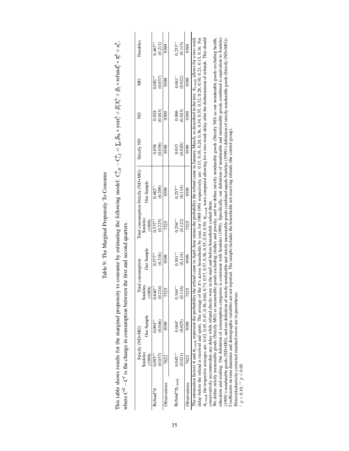| i<br>i<br>China<br>Ō         |
|------------------------------|
| I                            |
| ኑ<br>$\frac{1}{2}$<br>ı<br>ļ |
| ١                            |
| i                            |
|                              |
| l                            |

This table shows results for the marginal propensity to consume by estimating the following model:  $C_{i,I}^h - C_{i,I}^h = \sum_i \beta_{0i} * \text{year}_i + \beta_i' X_i^h + \beta_2 * \text{refund}_i^h * \pi_i^h + u_i^h$ , This table shows results for the marginal propensity to consume by estimating the following model:  $C_{i,I}^h - C_{i,I}^h = \sum_{i} \beta_{0i} * \text{year}_i + \beta_1' X_i^h + \beta_2 * \text{refund}_i^h * \pi_i^h + u_i^h$ , where  $C^{II} - C^{I}$  is the change in consumption between the first and second quarters. where *CII* −*CI* is the change in consumption between the first and second quarters.

|                                             | Strictly (ND+MG)   |                                                                        | Total             | consumption            |                        | Total consumption-Strictly (ND+MG)                                                                                                                | Strictly ND                                   | g                                             | ŽЮ                     | Durables               |
|---------------------------------------------|--------------------|------------------------------------------------------------------------|-------------------|------------------------|------------------------|---------------------------------------------------------------------------------------------------------------------------------------------------|-----------------------------------------------|-----------------------------------------------|------------------------|------------------------|
|                                             | Souleles<br>(6661) | Our Sample                                                             | Souleles<br>1999) | Our Sample             | Souleles<br>(1999)     | Our Sample                                                                                                                                        |                                               |                                               |                        |                        |
| Refund* $\pi$                               | $0.093***$         | $0.094**$                                                              | $0.640**$         |                        | $0.537**$              |                                                                                                                                                   |                                               |                                               | $0.081***$             |                        |
|                                             | (0.037)            | 0.046                                                                  | 0.224             | $0.577**$<br>$(0.216)$ | (0.225)                | $0.482**$<br>(0.209)                                                                                                                              | $\begin{array}{c} 0.036 \\ 0.038 \end{array}$ | $0.028$<br>$(0.043)$                          | (0.037)                | $0.467**$<br>$(0.211)$ |
| <b>Deservations</b>                         | 7622               | 9399                                                                   | 7525              | 9399                   | 7525                   | 9399                                                                                                                                              | 9399                                          | 9399                                          | 9399                   | 9399                   |
|                                             |                    |                                                                        |                   |                        |                        |                                                                                                                                                   |                                               |                                               |                        |                        |
| Refund <sup>*</sup> $\pi$ <sub>2</sub> week | $0.045**$          | $0.044*$                                                               | $0.344**$         |                        |                        |                                                                                                                                                   |                                               |                                               |                        |                        |
|                                             | (0.021)            | (0.025)                                                                | 0.116)            | $0.301**$<br>$(0.114)$ | $0.294**$<br>$(0.122)$ | $0.257**$<br>(0.114)                                                                                                                              | $\frac{0.015}{0.020}$                         | $\begin{array}{c} 0.006 \\ 0.023 \end{array}$ | $0.041$ *<br>$(0.022)$ | $0.253**$<br>(0.115)   |
| <b>Deservations</b>                         | 7622               | 9399                                                                   | 7525              | 9399                   | 7525                   | 9399                                                                                                                                              | 9399                                          | 9399                                          | 9399                   | 9399                   |
|                                             |                    | be affering factors $\pi$ and $\pi$ ,  represent the probability the r |                   |                        |                        | efind came in April-line minus the probability the refind came in January-March as described in the text $\pi$ , $\ldots$ , allows for a two-week |                                               |                                               |                        |                        |

 $\pi_2$ <sub>wek</sub> the respective averages are: 0.42, 0.45, 0.45, 0.47, 0.56, 0.60, 0.73, 0.57, 0.57, 0.56, 0.56, 0.50, 0.50, 0.50, 0.50,  $\pi_2$ <sub>wek</sub> were computed allowing for a two-week delay after the disbursement of refunds. The autenuation actions a and az<sub>week</sub> represent the probability the refund called in April-Dum million the probability the relation called in animally-viated, as described in the text. Az<sub>week</sub> aniws for a wo-week<br>delay b The attenuation factors  $\pi$  and  $\pi_2$  week represent the probability the refund came in April-June minus the probability the refund came in January-March, as described in the text.  $\pi_2$  week allows for a two-week delay before the refund is received and spent. The average of the  $\pi$ 's across households by year, for 1980-1991 respectively, are: 0.13, 0.16, 0.36, 0.34, 0.32, 0.28, 0.28, 0.15, 0.16. For  $\pi_{2}$ <sub>wek</sub> the respective averages are: 0.42, 0.45, 0.45, 0.45, 0.56, 0.60, 0.73, 0.57, 0.57, 0.57, 0.50, 0.50, 0.50, 0.50, 0.55, 0.55, 0.50, 0.50, 0.50, 0.50, 0.50, 0.50, 0.50, 0.50, 0.50, 0.50, 0.50, 0.50, 0.50, 0.50, conservatively accommodate any delay while refund checks were in the mail and before households cashed them.

education and reading. Our definition of consumption categories is consistent with Souleles (1999). Specifically, our definition of nondurable and memorable goods combined is equivalent to Souleles<br>(1999)'s nondurable good conservatively accommodate any delay while refund checks were in the mail and before households cashed them.<br>We define strictly memorable goods (Strictly MG) as memorable goods excluding clothes and jewelry, and we define We define strictly memorable goods (Strictly MG) as memorable goods excluding clothes and jewelry, and we define strictly nondurable goods (Strictly ND) as our nondurable goods excluding health, education and reading. Our definition of consumption at elements on the souleles is consistent with Souleles is consistent with Souleles (1999). Specifically, our definition of nondurable and memorable goods combined is eq (1999)'s nondurable goods (ND+MG), and our definition of strictly nondurable and strictly memorable goods combined equals Souleles (1999)'s definition of strictly nondurable goods (Strictly (ND+MG)). Coefficients on time dummies and demographic variables are not reported. The sample includes the households not receiving refunds (the control group).

Heteroskedasticity-corrected standard errors are in parentheses. Heteroskedasticity-corrected standard errors are in parentheses.  $p < 0.10, ** p < 0.05$ *p* < 0.10, ∗∗ *p* < 0.05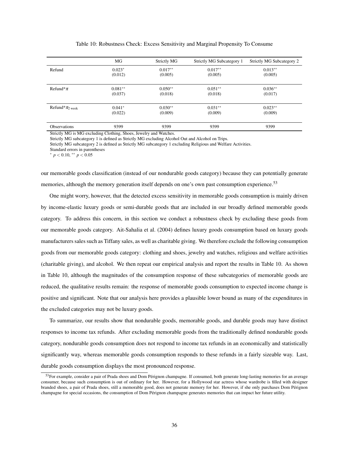|                                             | MG        | Strictly MG | Strictly MG Subcategory 1 | Strictly MG Subcategory 2 |
|---------------------------------------------|-----------|-------------|---------------------------|---------------------------|
| Refund                                      | $0.023*$  | $0.017**$   | $0.017**$                 | $0.013**$                 |
|                                             | (0.012)   | (0.005)     | (0.005)                   | (0.005)                   |
| Refund <sup>*</sup> $\pi$                   | $0.081**$ | $0.050**$   | $0.051**$                 | $0.036**$                 |
|                                             | (0.037)   | (0.018)     | (0.018)                   | (0.017)                   |
| Refund <sup>*</sup> $\pi$ <sub>2</sub> week | $0.041*$  | $0.030**$   | $0.031**$                 | $0.023**$                 |
|                                             | (0.022)   | (0.009)     | (0.009)                   | (0.009)                   |
| <b>Observations</b>                         | 9399      | 9399        | 9399                      | 9399                      |

## Table 10: Robustness Check: Excess Sensitivity and Marginal Propensity To Consume

Strictly MG is MG excluding Clothing, Shoes, Jewelry and Watches.

Strictly MG subcategory 1 is defined as Strictly MG excluding Alcohol Out and Alcohol on Trips.

Strictly MG subcategory 2 is defined as Strictly MG subcategory 1 excluding Religious and Welfare Activities.

Standard errors in parentheses

∗ *p* < 0.10, ∗∗ *p* < 0.05

our memorable goods classification (instead of our nondurable goods category) because they can potentially generate memories, although the memory generation itself depends on one's own past consumption experience.<sup>53</sup>

One might worry, however, that the detected excess sensitivity in memorable goods consumption is mainly driven by income-elastic luxury goods or semi-durable goods that are included in our broadly defined memorable goods category. To address this concern, in this section we conduct a robustness check by excluding these goods from our memorable goods category. Ait-Sahalia et al. (2004) defines luxury goods consumption based on luxury goods manufacturers sales such as Tiffany sales, as well as charitable giving. We therefore exclude the following consumption goods from our memorable goods category: clothing and shoes, jewelry and watches, religious and welfare activities (charitable giving), and alcohol. We then repeat our empirical analysis and report the results in Table 10. As shown in Table 10, although the magnitudes of the consumption response of these subcategories of memorable goods are reduced, the qualitative results remain: the response of memorable goods consumption to expected income change is positive and significant. Note that our analysis here provides a plausible lower bound as many of the expenditures in the excluded categories may not be luxury goods.

To summarize, our results show that nondurable goods, memorable goods, and durable goods may have distinct responses to income tax refunds. After excluding memorable goods from the traditionally defined nondurable goods category, nondurable goods consumption does not respond to income tax refunds in an economically and statistically significantly way, whereas memorable goods consumption responds to these refunds in a fairly sizeable way. Last, durable goods consumption displays the most pronounced response.

<sup>53</sup> For example, consider a pair of Prada shoes and Dom Pérignon champagne. If consumed, both generate long-lasting memories for an average consumer, because such consumption is out of ordinary for her. However, for a Hollywood star actress whose wardrobe is filled with designer branded shoes, a pair of Prada shoes, still a memorable good, does not generate memory for her. However, if she only purchases Dom Perignon ´ champagne for special occasions, the consumption of Dom Perignon champagne generates memories that can impact her future utility. ´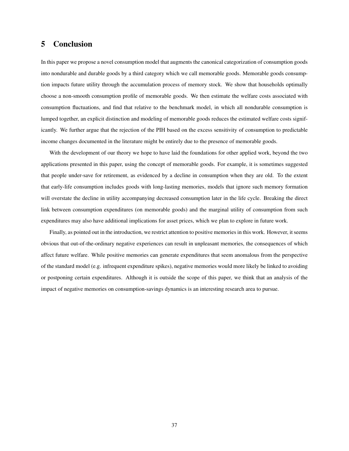# 5 Conclusion

In this paper we propose a novel consumption model that augments the canonical categorization of consumption goods into nondurable and durable goods by a third category which we call memorable goods. Memorable goods consumption impacts future utility through the accumulation process of memory stock. We show that households optimally choose a non-smooth consumption profile of memorable goods. We then estimate the welfare costs associated with consumption fluctuations, and find that relative to the benchmark model, in which all nondurable consumption is lumped together, an explicit distinction and modeling of memorable goods reduces the estimated welfare costs significantly. We further argue that the rejection of the PIH based on the excess sensitivity of consumption to predictable income changes documented in the literature might be entirely due to the presence of memorable goods.

With the development of our theory we hope to have laid the foundations for other applied work, beyond the two applications presented in this paper, using the concept of memorable goods. For example, it is sometimes suggested that people under-save for retirement, as evidenced by a decline in consumption when they are old. To the extent that early-life consumption includes goods with long-lasting memories, models that ignore such memory formation will overstate the decline in utility accompanying decreased consumption later in the life cycle. Breaking the direct link between consumption expenditures (on memorable goods) and the marginal utility of consumption from such expenditures may also have additional implications for asset prices, which we plan to explore in future work.

Finally, as pointed out in the introduction, we restrict attention to positive memories in this work. However, it seems obvious that out-of-the-ordinary negative experiences can result in unpleasant memories, the consequences of which affect future welfare. While positive memories can generate expenditures that seem anomalous from the perspective of the standard model (e.g. infrequent expenditure spikes), negative memories would more likely be linked to avoiding or postponing certain expenditures. Although it is outside the scope of this paper, we think that an analysis of the impact of negative memories on consumption-savings dynamics is an interesting research area to pursue.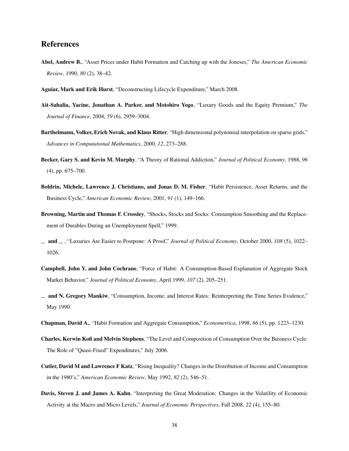# References

- Abel, Andrew B., "Asset Prices under Habit Formation and Catching up with the Joneses," *The American Economic Review*, 1990, *80* (2), 38–42.
- Aguiar, Mark and Erik Hurst, "Deconstructing Lifecycle Expenditure," March 2008.
- Ait-Sahalia, Yacine, Jonathan A. Parker, and Motohiro Yogo, "Luxury Goods and the Equity Premium," *The Journal of Finance*, 2004, *59* (6), 2959–3004.
- Barthelmann, Volker, Erich Novak, and Klaus Ritter, "High dimensional polynomial interpolation on sparse grids," *Advances in Computational Mathematics*, 2000, *12*, 273–288.
- Becker, Gary S. and Kevin M. Murphy, "A Theory of Rational Addiction," *Journal of Political Economy*, 1988, *96* (4), pp. 675–700.
- Boldrin, Michele, Lawrence J. Christiano, and Jonas D. M. Fisher, "Habit Persistence, Asset Returns, and the Business Cycle," *American Economic Review*, 2001, *91* (1), 149–166.
- Browning, Martin and Thomas F. Crossley, "Shocks, Stocks and Socks: Consumption Smoothing and the Replacement of Durables During an Unemployment Spell," 1999.
- and , "Luxuries Are Easier to Postpone: A Proof," *Journal of Political Economy*, October 2000, *108* (5), 1022– 1026.
- Campbell, John Y. and John Cochrane, "Force of Habit: A Consumption-Based Explanation of Aggregate Stock Market Behavior," *Journal of Political Economy*, April 1999, *107* (2), 205–251.
- $\Box$  and N. Gregory Mankiw, "Consumption, Income, and Interest Rates: Reinterpreting the Time Series Evidence," May 1990.
- Chapman, David A., "Habit Formation and Aggregate Consumption," *Econometrica*, 1998, *66* (5), pp. 1223–1230.
- Charles, Kerwin Kofi and Melvin Stephens, "The Level and Composition of Consumption Over the Business Cycle: The Role of "Quasi-Fixed" Expenditures," July 2006.
- Cutler, David M and Lawrence F Katz, "Rising Inequality? Changes in the Distribution of Income and Consumption in the 1980's," *American Economic Review*, May 1992, *82* (2), 546–51.
- Davis, Steven J. and James A. Kahn, "Interpreting the Great Moderation: Changes in the Volatility of Economic Activity at the Macro and Micro Levels," *Journal of Economic Perspectives*, Fall 2008, *22* (4), 155–80.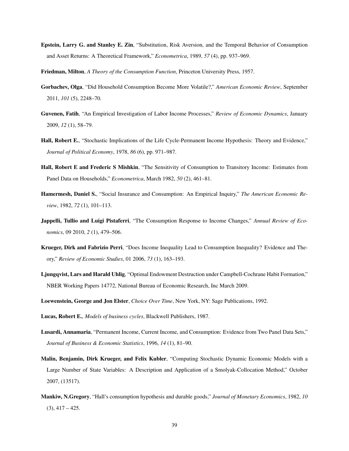- Epstein, Larry G. and Stanley E. Zin, "Substitution, Risk Aversion, and the Temporal Behavior of Consumption and Asset Returns: A Theoretical Framework," *Econometrica*, 1989, *57* (4), pp. 937–969.
- Friedman, Milton, *A Theory of the Consumption Function*, Princeton University Press, 1957.
- Gorbachev, Olga, "Did Household Consumption Become More Volatile?," *American Economic Review*, September 2011, *101* (5), 2248–70.
- Guvenen, Fatih, "An Empirical Investigation of Labor Income Processes," *Review of Economic Dynamics*, January 2009, *12* (1), 58–79.
- Hall, Robert E., "Stochastic Implications of the Life Cycle-Permanent Income Hypothesis: Theory and Evidence," *Journal of Political Economy*, 1978, *86* (6), pp. 971–987.
- Hall, Robert E and Frederic S Mishkin, "The Sensitivity of Consumption to Transitory Income: Estimates from Panel Data on Households," *Econometrica*, March 1982, *50* (2), 461–81.
- Hamermesh, Daniel S., "Social Insurance and Consumption: An Empirical Inquiry," *The American Economic Review*, 1982, *72* (1), 101–113.
- Jappelli, Tullio and Luigi Pistaferri, "The Consumption Response to Income Changes," *Annual Review of Economics*, 09 2010, *2* (1), 479–506.
- Krueger, Dirk and Fabrizio Perri, "Does Income Inequality Lead to Consumption Inequality? Evidence and Theory," *Review of Economic Studies*, 01 2006, *73* (1), 163–193.
- Ljungqvist, Lars and Harald Uhlig, "Optimal Endowment Destruction under Campbell-Cochrane Habit Formation," NBER Working Papers 14772, National Bureau of Economic Research, Inc March 2009.
- Loewenstein, George and Jon Elster, *Choice Over Time*, New York, NY: Sage Publications, 1992.

Lucas, Robert E., *Models of business cycles*, Blackwell Publishers, 1987.

- Lusardi, Annamaria, "Permanent Income, Current Income, and Consumption: Evidence from Two Panel Data Sets," *Journal of Business & Economic Statistics*, 1996, *14* (1), 81–90.
- Malin, Benjamin, Dirk Krueger, and Felix Kubler, "Computing Stochastic Dynamic Economic Models with a Large Number of State Variables: A Description and Application of a Smolyak-Collocation Method," October 2007, (13517).
- Mankiw, N.Gregory, "Hall's consumption hypothesis and durable goods," *Journal of Monetary Economics*, 1982, *10*  $(3), 417 - 425.$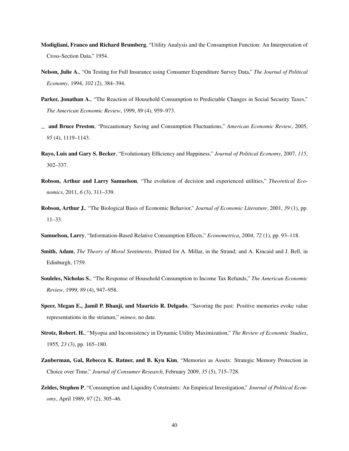- Modigliani, Franco and Richard Brumberg, "Utility Analysis and the Consumption Function: An Interpretation of Cross-Section Data," 1954.
- Nelson, Julie A., "On Testing for Full Insurance using Consumer Expenditure Survey Data," *The Journal of Political Economy*, 1994, *102* (2), 384–394.
- Parker, Jonathan A., "The Reaction of Household Consumption to Predictable Changes in Social Security Taxes," *The American Economic Review*, 1999, *89* (4), 959–973.
- and Bruce Preston, "Precautionary Saving and Consumption Fluctuations," *American Economic Review*, 2005, *95* (4), 1119–1143.
- Rayo, Luis and Gary S. Becker, "Evolutionary Efficiency and Happiness," *Journal of Political Economy*, 2007, *115*, 302–337.
- Robson, Arthur and Larry Samuelson, "The evolution of decision and experienced utilities," *Theoretical Economics*, 2011, *6* (3), 311–339.
- Robson, Arthur J., "The Biological Basis of Economic Behavior," *Journal of Economic Literature*, 2001, *39* (1), pp. 11–33.
- Samuelson, Larry, "Information-Based Relative Consumption Effects," *Econometrica*, 2004, *72* (1), pp. 93–118.
- Smith, Adam, *The Theory of Moral Sentiments*, Printed for A. Millar, in the Strand; and A. Kincaid and J. Bell, in Edinburgh, 1759.
- Souleles, Nicholas S., "The Response of Household Consumption to Income Tax Refunds," *The American Economic Review*, 1999, *89* (4), 947–958.
- Speer, Megan E., Jamil P. Bhanji, and Mauricio R. Delgado, "Savoring the past: Positive memories evoke value representations in the striatum," *mimeo*, no date.
- Strotz, Robert. H., "Myopia and Inconsistency in Dynamic Utility Maximization," *The Review of Economic Studies*, 1955, *23* (3), pp. 165–180.
- Zauberman, Gal, Rebecca K. Ratner, and B. Kyu Kim, "Memories as Assets: Strategic Memory Protection in Choice over Time," *Journal of Consumer Research*, February 2009, *35* (5), 715–728.
- Zeldes, Stephen P, "Consumption and Liquidity Constraints: An Empirical Investigation," *Journal of Political Economy*, April 1989, *97* (2), 305–46.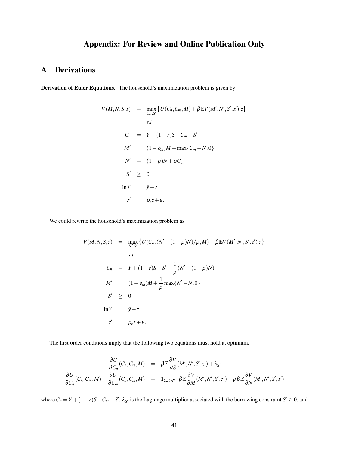# Appendix: For Review and Online Publication Only

# A Derivations

Derivation of Euler Equations. The household's maximization problem is given by

$$
V(M, N, S, z) = \max_{C_m, S'} \{ U(C_n, C_m, M) + \beta \mathbb{E} V(M', N', S', z') | z \}
$$
  
s.t.  

$$
C_n = Y + (1+r)S - C_m - S'
$$
  

$$
M' = (1 - \delta_m)M + \max\{C_m - N, 0\}
$$
  

$$
N' = (1 - \rho)N + \rho C_m
$$
  

$$
S' \geq 0
$$
  

$$
\ln Y = \bar{y} + z
$$
  

$$
z' = \rho_z z + \epsilon.
$$

We could rewrite the household's maximization problem as

$$
V(M, N, S, z) = \max_{N', S'} \{ U(C_n, (N' - (1 - \rho)N)/\rho, M) + \beta \mathbb{E}V(M', N', S', z') | z \}
$$
  
s.t.  

$$
C_n = Y + (1 + r)S - S' - \frac{1}{\rho}(N' - (1 - \rho)N)
$$
  

$$
M' = (1 - \delta_m)M + \frac{1}{\rho} \max\{N' - N, 0\}
$$
  

$$
S' \geq 0
$$
  

$$
\ln Y = \bar{y} + z
$$
  

$$
z' = \rho_z z + \epsilon.
$$

The first order conditions imply that the following two equations must hold at optimum,

$$
\frac{\partial U}{\partial C_n}(C_n, C_m, M) = \beta \mathbb{E} \frac{\partial V}{\partial S}(M', N', S', z') + \lambda_{S'}
$$
\n
$$
\frac{\partial U}{\partial C_n}(C_n, C_m, M) - \frac{\partial U}{\partial C_m}(C_n, C_m, M) = \mathbf{1}_{C_m > N} \cdot \beta \mathbb{E} \frac{\partial V}{\partial M}(M', N', S', z') + \rho \beta \mathbb{E} \frac{\partial V}{\partial N}(M', N', S', z')
$$

where  $C_n = Y + (1+r)S - C_m - S'$ ,  $\lambda_{S'}$  is the Lagrange multiplier associated with the borrowing constraint  $S' \ge 0$ , and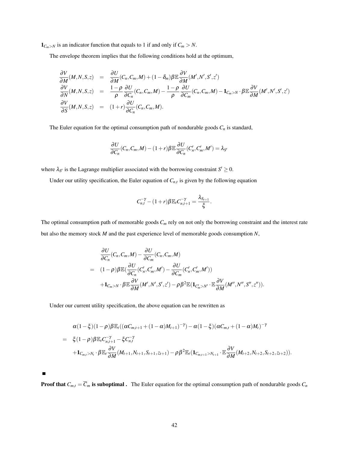$1_{C_m>N}$  is an indicator function that equals to 1 if and only if  $C_m > N$ .

The envelope theorem implies that the following conditions hold at the optimum,

$$
\frac{\partial V}{\partial M}(M,N,S,z) = \frac{\partial U}{\partial M}(C_n,C_m,M) + (1-\delta_m)\beta \mathbb{E} \frac{\partial V}{\partial M}(M',N',S',z')
$$
\n
$$
\frac{\partial V}{\partial N}(M,N,S,z) = \frac{1-\rho}{\rho} \frac{\partial U}{\partial C_n}(C_n,C_m,M) - \frac{1-\rho}{\rho} \frac{\partial U}{\partial C_m}(C_n,C_m,M) - \mathbf{1}_{C_m>N} \cdot \beta \mathbb{E} \frac{\partial V}{\partial M}(M',N',S',z')
$$
\n
$$
\frac{\partial V}{\partial S}(M,N,S,z) = (1+r)\frac{\partial U}{\partial C_n}(C_n,C_m,M).
$$

The Euler equation for the optimal consumption path of nondurable goods  $C_n$  is standard,

$$
\frac{\partial U}{\partial C_n}(C_n, C_m, M) - (1+r)\beta \mathbb{E} \frac{\partial U}{\partial C_n}(C'_n, C'_m, M') = \lambda_{S'}
$$

where  $\lambda_{S'}$  is the Lagrange multiplier associated with the borrowing constraint  $S' \geq 0$ .

Under our utility specification, the Euler equation of  $C_{n,t}$  is given by the following equation

$$
C_{n,t}^{-\gamma} - (1+r)\beta \mathbb{E}_{t} C_{n,t+1}^{-\gamma} = \frac{\lambda_{S_{t+1}}}{\xi}.
$$

The optimal consumption path of memorable goods *C<sup>m</sup>* rely on not only the borrowing constraint and the interest rate but also the memory stock *M* and the past experience level of memorable goods consumption *N*,

$$
\frac{\partial U}{\partial C_n}(C_n, C_m, M) - \frac{\partial U}{\partial C_m}(C_n, C_m, M)
$$
\n
$$
= (1 - \rho) \beta \mathbb{E}(\frac{\partial U}{\partial C_n}(C'_n, C'_m, M') - \frac{\partial U}{\partial C_m}(C'_n, C'_m, M'))
$$
\n
$$
+ \mathbf{1}_{C_m > N} \cdot \beta \mathbb{E} \frac{\partial V}{\partial M}(M', N', S', z') - \rho \beta^2 \mathbb{E}(\mathbf{1}_{C'_m > N'} \cdot \mathbb{E} \frac{\partial V}{\partial M}(M'', N'', S'', z'')).
$$

Under our current utility specification, the above equation can be rewritten as

$$
\alpha(1-\xi)(1-\rho)\beta \mathbb{E}_{t}((\alpha C_{m,t+1}+(1-\alpha)M_{t+1})^{-\gamma})-\alpha(1-\xi)(\alpha C_{m,t}+(1-\alpha)M_{t})^{-\gamma}
$$
\n
$$
= \xi(1-\rho)\beta \mathbb{E}_{t}C_{n,t+1}^{-\gamma}-\xi C_{n,t}^{-\gamma}
$$
\n
$$
+1_{C_{m,t}>N_{t}} \cdot \beta \mathbb{E}_{t} \frac{\partial V}{\partial M}(M_{t+1},N_{t+1},S_{t+1},z_{t+1})-\rho \beta^{2} \mathbb{E}_{t}(1_{C_{m,t+1}>N_{t+1}} \cdot \mathbb{E} \frac{\partial V}{\partial M}(M_{t+2},N_{t+2},S_{t+2},z_{t+2})).
$$

 $\blacksquare$ 

**Proof that**  $C_{m,t} = \overline{C}_m$  is suboptimal. The Euler equation for the optimal consumption path of nondurable goods  $C_n$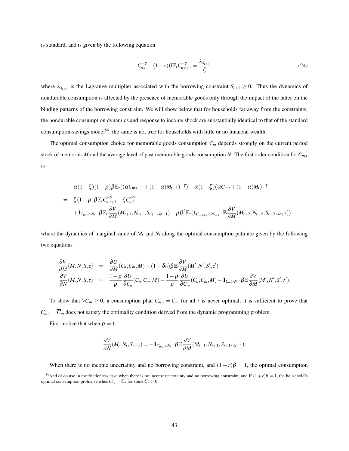is standard, and is given by the following equation

$$
C_{n,t}^{-\gamma} - (1+r)\beta \mathbb{E}_t C_{n,t+1}^{-\gamma} = \frac{\lambda_{S_{t+1}}}{\xi} \tag{24}
$$

where  $\lambda_{S_{t+1}}$  is the Lagrange multiplier associated with the borrowing constraint  $S_{t+1} \geq 0$ . Thus the dynamics of nondurable consumption is affected by the presence of memorable goods only through the impact of the latter on the binding patterns of the borrowing constraint. We will show below that for households far away from the constraints, the nondurable consumption dynamics and response to income shock are substantially identical to that of the standard consumption-savings model<sup>54</sup>, the same is not true for households with little or no financial wealth.

The optimal consumption choice for memorable goods consumption *C<sup>m</sup>* depends strongly on the current period stock of memories *M* and the average level of past memorable goods consumption *N*. The first order condition for *Cm*,*<sup>t</sup>* is

$$
\alpha(1-\xi)(1-\rho)\beta \mathbb{E}_{t}((\alpha C_{m,t+1}+(1-\alpha)M_{t+1})^{-\gamma})-\alpha(1-\xi)(\alpha C_{m,t}+(1-\alpha)M_{t})^{-\gamma}
$$
\n
$$
= \xi(1-\rho)\beta \mathbb{E}_{t}C_{n,t+1}^{-\gamma}-\xi C_{n,t}^{-\gamma}
$$
\n
$$
+1_{C_{m,t}>N_{t}} \cdot \beta \mathbb{E}_{t} \frac{\partial V}{\partial M}(M_{t+1},N_{t+1},S_{t+1},z_{t+1})-\rho\beta^{2} \mathbb{E}_{t}(1_{C_{m,t+1}>N_{t+1}} \cdot \mathbb{E} \frac{\partial V}{\partial M}(M_{t+2},N_{t+2},S_{t+2},z_{t+2}))
$$

where the dynamics of marginal value of  $M_t$  and  $N_t$  along the optimal consumption path are given by the following two equations

$$
\frac{\partial V}{\partial M}(M,N,S,z) = \frac{\partial U}{\partial M}(C_n,C_m,M) + (1-\delta_m)\beta \mathbb{E} \frac{\partial V}{\partial M}(M',N',S',z') \n\frac{\partial V}{\partial N}(M,N,S,z) = \frac{1-\rho}{\rho} \frac{\partial U}{\partial C_n}(C_n,C_m,M) - \frac{1-\rho}{\rho} \frac{\partial U}{\partial C_m}(C_n,C_m,M) - \mathbf{1}_{C_m>N} \cdot \beta \mathbb{E} \frac{\partial V}{\partial M}(M',N',S',z').
$$

To show that  $\forall \overline{C}_m \geq 0$ , a consumption plan  $C_{m,t} = \overline{C}_m$  for all *t* is never optimal, it is sufficient to prove that  $C_{m,t} = \overline{C}_m$  does not satisfy the optimality condition derived from the dynamic programming problem.

First, notice that when  $\rho = 1$ ,

$$
\frac{\partial V}{\partial N}(M_t,N_t,S_t,z_t)=-\mathbf{1}_{C_{m,t}>N_t}\cdot\beta\mathbb{E}\frac{\partial V}{\partial M}(M_{t+1},N_{t+1},S_{t+1},z_{t+1}).
$$

When there is no income uncertainty and no borrowing constraint, and  $(1 + r)\beta = 1$ , the optimal consumption <sup>54</sup>And of course in the frictionless case when there is no income uncertainty and no borrowing constraint, and if  $(1+r)\beta = 1$ , the household's optimal consumption profile satisfies  $C_{n,t}^* = \overline{C}_n$  for some  $\overline{C}_n > 0$ .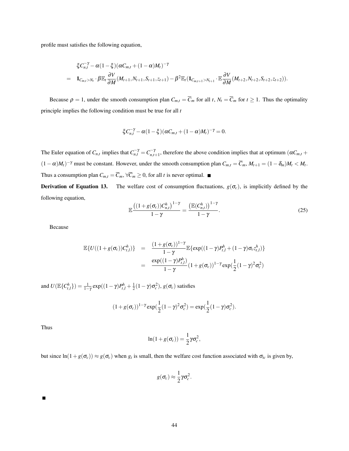profile must satisfies the following equation,

$$
\xi C_{n,t}^{-\gamma} - \alpha (1 - \xi) (\alpha C_{m,t} + (1 - \alpha) M_t)^{-\gamma}
$$
\n
$$
= \mathbf{1}_{C_{m,t} > N_t} \cdot \beta \mathbb{E}_t \frac{\partial V}{\partial M} (M_{t+1}, N_{t+1}, S_{t+1}, z_{t+1}) - \beta^2 \mathbb{E}_t (\mathbf{1}_{C_{m,t+1} > N_{t+1}} \cdot \mathbb{E} \frac{\partial V}{\partial M} (M_{t+2}, N_{t+2}, S_{t+2}, z_{t+2})).
$$

Because  $\rho = 1$ , under the smooth consumption plan  $C_{m,t} = \overline{C}_m$  for all *t*,  $N_t = \overline{C}_m$  for  $t \ge 1$ . Thus the optimality principle implies the following condition must be true for all *t*

$$
\xi C_{n,t}^{-\gamma} - \alpha (1 - \xi) (\alpha C_{m,t} + (1 - \alpha) M_t)^{-\gamma} = 0.
$$

The Euler equation of  $C_{n,t}$  implies that  $C_{n,t}^{-\gamma} = C_{n,t+1}^{-\gamma}$ , therefore the above condition implies that at optimum ( $\alpha C_{m,t}$  +  $(1 - \alpha)M_t$ <sup> $-γ$ </sup> must be constant. However, under the smooth consumption plan  $C_{m,t} = \overline{C}_m$ ,  $M_{t+1} = (1 - \delta_m)M_t < M_t$ . Thus a consumption plan  $C_{m,t} = \overline{C}_m$ ,  $\forall \overline{C}_m \geq 0$ , for all *t* is never optimal.

**Derivation of Equation 13.** The welfare cost of consumption fluctuations,  $g(\sigma_c)$ , is implicitly defined by the following equation,

$$
\mathbb{E}\frac{\left((1+g(\sigma_c))C_{n,t}^h\right)^{1-\gamma}}{1-\gamma}=\frac{\left(\mathbb{E}(C_{n,t}^h)\right)^{1-\gamma}}{1-\gamma}.
$$
\n(25)

Because

$$
\mathbb{E}\{U((1+g(\sigma_c))C_{t,l}^h)\} = \frac{(1+g(\sigma_c))^{1-\gamma}}{1-\gamma}\mathbb{E}\{\exp((1-\gamma)P_{t,l}^h + (1-\gamma)\sigma_c z_{t,l}^h)\}
$$
  

$$
= \frac{\exp((1-\gamma)P_{t,l}^h)}{1-\gamma}(1+g(\sigma_c))^{1-\gamma}\exp(\frac{1}{2}(1-\gamma)^2\sigma_c^2)
$$

and  $U(\mathbb{E}\{C_{t,l}^h\}) = \frac{1}{1-\gamma} \exp((1-\gamma)P_{t,l}^h + \frac{1}{2}(1-\gamma)\sigma_c^2), g(\sigma_c)$  satisfies

$$
(1+g(\sigma_c))^{1-\gamma} \exp(\frac{1}{2}(1-\gamma)^2 \sigma_c^2) = \exp(\frac{1}{2}(1-\gamma)\sigma_c^2).
$$

Thus

$$
\ln(1+g(\sigma_c))=\frac{1}{2}\gamma\sigma_c^2,
$$

but since  $ln(1+g(\sigma_c)) \approx g(\sigma_c)$  when  $g_i$  is small, then the welfare cost function associated with  $\sigma_{ic}$  is given by,

$$
g(\sigma_c) \approx \frac{1}{2} \gamma \sigma_c^2.
$$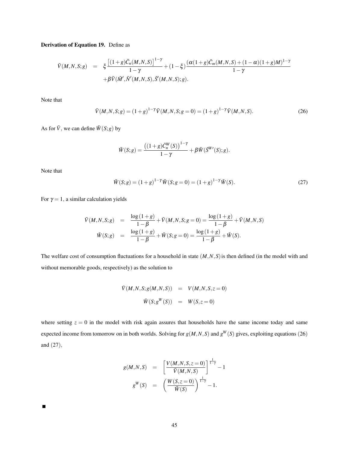Derivation of Equation 19. Define as

$$
\bar{V}(M,N,S;g) = \xi \frac{\left[ (1+g)\bar{C}_n(M,N,S) \right]^{1-\gamma}}{1-\gamma} + (1-\xi) \frac{(\alpha(1+g)\bar{C}_m(M,N,S) + (1-\alpha)(1+g)M)^{1-\gamma}}{1-\gamma} + \beta \bar{V}(M',\bar{N}'(M,N,S),\bar{S}'(M,N,S);g).
$$

Note that

$$
\bar{V}(M,N,S;g) = (1+g)^{1-\gamma}\bar{V}(M,N,S;g=0) = (1+g)^{1-\gamma}\bar{V}(M,N,S).
$$
\n(26)

As for  $\bar{V}$ , we can define  $\bar{W}(S;g)$  by

$$
\bar{W}(S;g) = \frac{((1+g)\bar{C}_n^W(S))^{1-\gamma}}{1-\gamma} + \beta \bar{W}(\bar{S}^{W'}(S);g).
$$

Note that

 $\blacksquare$ 

$$
\bar{W}(S;g) = (1+g)^{1-\gamma}\bar{W}(S;g=0) = (1+g)^{1-\gamma}\bar{W}(S).
$$
\n(27)

For  $\gamma = 1$ , a similar calculation yields

$$
\bar{V}(M, N, S; g) = \frac{\log(1+g)}{1-\beta} + \bar{V}(M, N, S; g = 0) = \frac{\log(1+g)}{1-\beta} + \bar{V}(M, N, S)
$$

$$
\bar{W}(S; g) = \frac{\log(1+g)}{1-\beta} + \bar{W}(S; g = 0) = \frac{\log(1+g)}{1-\beta} + \bar{W}(S).
$$

The welfare cost of consumption fluctuations for a household in state  $(M, N, S)$  is then defined (in the model with and without memorable goods, respectively) as the solution to

$$
\overline{V}(M,N,S;g(M,N,S)) = V(M,N,S,z=0)
$$

$$
\overline{W}(S;g^W(S)) = W(S,z=0)
$$

where setting  $z = 0$  in the model with risk again assures that households have the same income today and same expected income from tomorrow on in both worlds. Solving for  $g(M, N, S)$  and  $g^W(S)$  gives, exploiting equations (26) and (27),

$$
g(M, N, S) = \left[\frac{V(M, N, S, z = 0)}{\bar{V}(M, N, S)}\right]^{\frac{1}{1 - \gamma}} - 1
$$
  

$$
g^{W}(S) = \left(\frac{W(S, z = 0)}{\bar{W}(S)}\right)^{\frac{1}{1 - \gamma}} - 1.
$$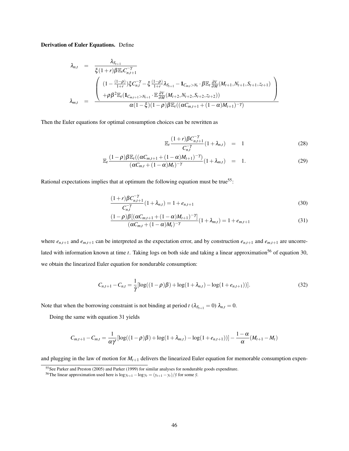## Derivation of Euler Equations. Define

$$
\lambda_{n,t} = \frac{\lambda_{S_{t+1}}}{\xi(1+r)\beta \mathbb{E}_{t}C_{n,t+1}^{-\gamma}}\n\n= \frac{\left( (1 - \frac{(1-\rho)}{1+r})\xi C_{n,t}^{-\gamma} - \xi \frac{(1-\rho)}{1+r}\lambda_{S_{t+1}} - \mathbf{1}_{C_{m,t} > N_t} \cdot \beta \mathbb{E}_{t} \frac{\partial V}{\partial M}(M_{t+1}, N_{t+1}, S_{t+1}, Z_{t+1}) \right)}{\rho \beta^2 \mathbb{E}_{t} (\mathbf{1}_{C_{m,t+1} > N_{t+1}} \cdot \mathbb{E} \frac{\partial V}{\partial M}(M_{t+2}, N_{t+2}, S_{t+2}, Z_{t+2}))}\n\n= \frac{\left( \frac{(1-\rho)}{1+r} \right)^2 \xi C_{n,t}^{-\gamma}}{\alpha(1-\xi)(1-\rho) \beta \mathbb{E}_{t} ((\alpha C_{m,t+1} + (1-\alpha)M_{t+1})^{-\gamma})}
$$

Then the Euler equations for optimal consumption choices can be rewritten as

$$
\mathbb{E}_{t} \frac{(1+r)\beta C_{n,t+1}^{-\gamma}}{C_{n,t}^{-\gamma}} (1+\lambda_{n,t}) = 1
$$
 (28)

$$
\mathbb{E}_{t} \frac{(1-\rho)\beta \mathbb{E}_{t}((\alpha C_{m,t+1}+(1-\alpha)M_{t+1})^{-\gamma})}{(\alpha C_{m,t}+(1-\alpha)M_{t})^{-\gamma}}(1+\lambda_{m,t}) = 1.
$$
\n(29)

Rational expectations implies that at optimum the following equation must be true<sup>55</sup>:

$$
\frac{(1+r)\beta C_{n,t+1}^{-\gamma}}{C_{n,t}^{-\gamma}}(1+\lambda_{n,t})=1+e_{n,t+1}
$$
\n(30)

$$
\frac{(1-\rho)\beta[(\alpha C_{m,t+1}+(1-\alpha)M_{t+1})^{-\gamma}]}{(\alpha C_{m,t}+(1-\alpha)M_t)^{-\gamma}}(1+\lambda_{m,t})=1+e_{m,t+1}
$$
\n(31)

where  $e_{n,t+1}$  and  $e_{m,t+1}$  can be interpreted as the expectation error, and by construction  $e_{n,t+1}$  and  $e_{m,t+1}$  are uncorrelated with information known at time *t*. Taking logs on both side and taking a linear approximation<sup>56</sup> of equation 30, we obtain the linearized Euler equation for nondurable consumption:

$$
C_{n,t+1} - C_{n,t} = \frac{1}{\tilde{\gamma}} [\log((1-\rho)\beta) + \log(1+\lambda_{n,t}) - \log(1+e_{n,t+1}))].
$$
\n(32)

Note that when the borrowing constraint is not binding at period  $t$  ( $\lambda_{S_{t+1}} = 0$ )  $\lambda_{n,t} = 0$ .

Doing the same with equation 31 yields

$$
C_{m,t+1} - C_{m,t} = \frac{1}{\alpha \gamma'} [log((1-\rho)\beta) + log(1+\lambda_{m,t}) - log(1+e_{n,t+1}))] - \frac{1-\alpha}{\alpha} (M_{t+1} - M_t)
$$

and plugging in the law of motion for *Mt*+<sup>1</sup> delivers the linearized Euler equation for memorable consumption expen-

<sup>&</sup>lt;sup>55</sup>See Parker and Preston (2005) and Parker (1999) for similar analyses for nondurable goods expenditure.

<sup>56</sup>The linear approximation used here is  $\log y_{t+1} - \log y_t = (y_{t+1} - y_t)/\bar{y}$  for some  $\bar{y}$ .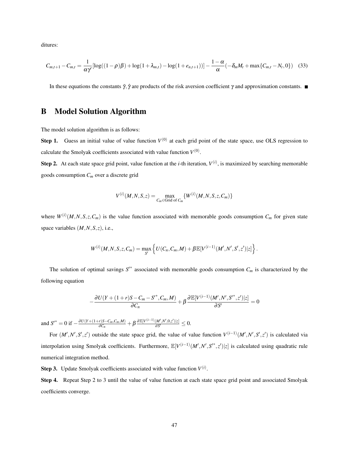ditures:

$$
C_{m,t+1} - C_{m,t} = \frac{1}{\alpha \gamma} \left[ \log((1-\rho)\beta) + \log(1+\lambda_{m,t}) - \log(1+e_{n,t+1})) \right] - \frac{1-\alpha}{\alpha} \left( -\delta_m M_t + \max\{C_{m,t} - N_t, 0\} \right) \tag{33}
$$

In these equations the constants  $\tilde{\gamma}$ ,  $\hat{\gamma}$  are products of the risk aversion coefficient  $\gamma$  and approximation constants.

# B Model Solution Algorithm

The model solution algorithm is as follows:

**Step 1.** Guess an initial value of value function  $V^{(0)}$  at each grid point of the state space, use OLS regression to calculate the Smolyak coefficients associated with value function  $V^{(0)}$ .

**Step 2.** At each state space grid point, value function at the *i*-th iteration,  $V^{(i)}$ , is maximized by searching memorable goods consumption *C<sup>m</sup>* over a discrete grid

$$
V^{(i)}(M, N, S, z) = \max_{C_m \in \text{Grid of } C_m} \{W^{(i)}(M, N, S, z, C_m)\}\
$$

where  $W^{(i)}(M, N, S, z, C_m)$  is the value function associated with memorable goods consumption  $C_m$  for given state space variables (*M*,*N*,*S*,*z*), i.e.,

$$
W^{(i)}(M,N,S,z,C_m) = \max_{S'} \left\{ U(C_n,C_m,M) + \beta \mathbb{E}[V^{(i-1)}(M',N',S',z')]z] \right\}.
$$

The solution of optimal savings  $S^*$  associated with memorable goods consumption  $C_m$  is characterized by the following equation

$$
-\frac{\partial U(Y+(1+r)S-C_m-S^{**},C_m,M)}{\partial C_n}+\beta \frac{\partial \mathbb{E}[V^{(i-1)}(M',N',S'^*,z')|z]}{\partial S'}=0
$$

and  $S'^{*} = 0$  if  $-\frac{\partial U(Y+(1+r)S-C_{m},C_{m},M)}{\partial C_{n}} + \beta \frac{\partial \mathbb{E}[V^{(i-1)}(M',N',0,z')]z]}{\partial S'} \leq 0.$ 

For  $(M', N', S', z')$  outside the state space grid, the value of value function  $V^{(i-1)}(M', N', S', z')$  is calculated via interpolation using Smolyak coefficients. Furthermore,  $\mathbb{E}[V^{(i-1)}(M',N',S'^*,z')|z]$  is calculated using quadratic rule numerical integration method.

**Step 3.** Update Smolyak coefficients associated with value function  $V^{(i)}$ .

Step 4. Repeat Step 2 to 3 until the value of value function at each state space grid point and associated Smolyak coefficients converge.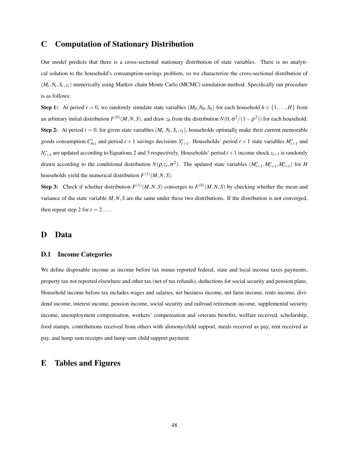# C Computation of Stationary Distribution

Our model predicts that there is a cross-sectional stationary distribution of state variables. There is no analytical solution to the household's consumption-savings problem, so we characterize the cross-sectional distribution of (*M<sup>t</sup>* ,*N<sup>t</sup>* ,*St* ,*zt*) numerically using Markov chain Monte Carlo (MCMC) simulation method. Specifically our procedure is as follows:

**Step 1:** At period  $t = 0$ , we randomly simulate state variables  $(M_0, N_0, S_0)$  for each household  $h \in \{1, ..., H\}$  from an arbitrary initial distribution  $F^{(0)}(M, N, S)$ , and draw  $z_0$  from the distribution  $N(0, \sigma^2/(1-\rho^2))$  for each household. **Step 2:** At period  $t = 0$ , for given state variables  $(M_t, N_t, S_t, z_t)$ , households optimally make their current memorable goods consumption  $C_{m,t}^*$  and period  $t+1$  savings decisions  $S_{t+1}^*$ . Households' period  $t+1$  state variables  $M_{t+1}^*$  and  $N_{t+1}^*$  are updated according to Equations 2 and 3 respectively. Households' period  $t+1$  income shock  $z_{t+1}$  is randomly drawn according to the conditional distribution  $N(\rho_z z_t, \sigma^2)$ . The updated state variables  $(M^*_{t+1}, M^*_{t+1}, M^*_{t+1})$  for *H* households yield the numerical distribution  $F^{(1)}(M, N, S)$ .

Step 3: Check if whether distribution  $F^{(1)}(M,N,S)$  converges to  $F^{(0)}(M,N,S)$  by checking whether the mean and variance of the state variable *M*,*N*,*S* are the same under these two distributions. If the distribution is not converged, then repeat step 2 for  $t = 2, \ldots$ 

# D Data

# D.1 Income Categories

We define disposable income as income before tax minus reported federal, state and local income taxes payments, property tax not reported elsewhere and other tax (net of tax refunds), deductions for social security and pension plans. Household income before tax includes wages and salaries, net business income, net farm income, rents income, dividend income, interest income, pension income, social security and railroad retirement income, supplemental security income, unemployment compensation, workers' compensation and veterans benefits, welfare received, scholarship, food stamps, contributions received from others with alimony/child support, meals received as pay, rent received as pay, and lump sum receipts and lump sum child support payment.

# E Tables and Figures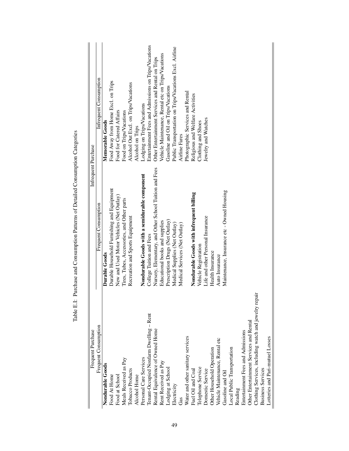| Frequent Purchase                                     | Infrequent Purchase                                    |                                                        |
|-------------------------------------------------------|--------------------------------------------------------|--------------------------------------------------------|
| Frequent Consumption                                  | Frequent Consumption                                   | Infrequent Consumption                                 |
| Nondurable Goods                                      | Durable Goods                                          | Memorable Goods                                        |
| Food At Home                                          | Durable Household Furnishing and Equipment             | Food Away from Home Excl. on Trips                     |
| Food at School                                        | New and Used Motor Vehicles (Net Outlay)               | Food for Catered Affairs                               |
| Meals Received as Pay                                 | Tires, Tubes, Accessories, and Other parts             | Food on Trips/Vacations                                |
| <b>Tobacco Products</b>                               | Recreation and Sports Equipment                        | Alcohol Out Excl. on Trips/Vacations                   |
| Alcohol Home                                          |                                                        | Alcohol on Trips                                       |
| Personal Care Services                                | Nondurable Goods with a semidurable component          | Lodging on Trips/Vacations                             |
| Tenant-Occupied Nonfarm Dwelling - Rent               | College Tuition and Fees                               | Entertainment Fees and Admissions on Trips/Vacations   |
| Rental Equivalence of Owned Home                      | Nursery, Elementary, and Other School Tuition and Fees | Other Entertainment Services and Rental on Trips       |
| Rent Received as Pay                                  | Educational books and supplies                         | Vehicle Maintenance, Rental etc on Trips/Vacations     |
| Lodging at School                                     | Prescription Drugs (Net Outlay)                        | Gasoline and Oil on Trips/Vacations                    |
| Electricity                                           | Medical Supplies (Net Outlay)                          | Public Transportation on Trips/Vacations Excl. Airline |
| Gas                                                   | Medical Services (Net Outlay)                          | Airline Fares                                          |
| Water and other sanitary services                     |                                                        | Photographic Services and Rental                       |
| Fuel Oil and Coal                                     | Nondurable Goods with infrequent billing               | Religious and Welfare Activities                       |
| Telephone Service                                     | Vehicle Registration                                   | Clothing and Shoes                                     |
| Domestic Service                                      | Life and other Personal Insurance                      | Jewelry and Watches                                    |
| Other Household Operation                             | Health Insurance                                       |                                                        |
| Vehicle Maintenance, Rental etc                       | Auto Insurance                                         |                                                        |
| Gasoline and Oil                                      | Maintenance, Insurance etc - Owned Housing             |                                                        |
| Local Public Transportation                           |                                                        |                                                        |
| Reading                                               |                                                        |                                                        |
| Entertainment Fees and Admissions                     |                                                        |                                                        |
| Other Entertainment Services and Rental               |                                                        |                                                        |
| Clothing Services, including watch and jewelry repair |                                                        |                                                        |
| <b>Business Services</b>                              |                                                        |                                                        |
| Lotteries and Pari-mutuel Losses                      |                                                        |                                                        |

 $\overline{\mathsf{I}}$ 

Table E.I: Purchase and Consumption Patterns of Detailed Consumption Categories Table E.I: Purchase and Consumption Patterns of Detailed Consumption Categories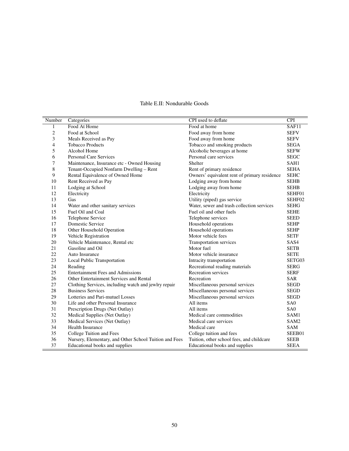# Table E.II: Nondurable Goods

| Number     | Categories                                             | CPI used to deflate                          | <b>CPI</b>       |
|------------|--------------------------------------------------------|----------------------------------------------|------------------|
| 1          | Food At Home                                           | Food at home                                 | SAF11            |
| $\sqrt{2}$ | Food at School                                         | Food away from home                          | <b>SEFV</b>      |
| 3          | Meals Received as Pay                                  | Food away from home                          | <b>SEFV</b>      |
| 4          | <b>Tobacco Products</b>                                | Tobacco and smoking products                 | <b>SEGA</b>      |
| 5          | Alcohol Home                                           | Alcoholic beverages at home                  | <b>SEFW</b>      |
| 6          | <b>Personal Care Services</b>                          | Personal care services                       | <b>SEGC</b>      |
| 7          | Maintenance, Insurance etc - Owned Housing             | Shelter                                      | SAH1             |
| 8          | Tenant-Occupied Nonfarm Dwelling - Rent                | Rent of primary residence                    | <b>SEHA</b>      |
| 9          | Rental Equivalence of Owned Home                       | Owners' equivalent rent of primary residence | <b>SEHC</b>      |
| 10         | Rent Received as Pay                                   | Lodging away from home                       | <b>SEHB</b>      |
| 11         | Lodging at School                                      | Lodging away from home                       | <b>SEHB</b>      |
| 12         | Electricity                                            | Electricity                                  | SEHF01           |
| 13         | Gas                                                    | Utility (piped) gas service                  | SEHF02           |
| 14         | Water and other sanitary services                      | Water, sewer and trash collection services   | <b>SEHG</b>      |
| 15         | Fuel Oil and Coal                                      | Fuel oil and other fuels                     | <b>SEHE</b>      |
| 16         | Telephone Service                                      | Telephone services                           | <b>SEED</b>      |
| 17         | Domestic Service                                       | Household operations                         | <b>SEHP</b>      |
| 18         | Other Household Operation                              | Household operations                         | <b>SEHP</b>      |
| 19         | Vehicle Registration                                   | Motor vehicle fees                           | <b>SETF</b>      |
| 20         | Vehicle Maintenance, Rental etc                        | Transportation services                      | SAS4             |
| 21         | Gasoline and Oil                                       | Motor fuel                                   | <b>SETB</b>      |
| 22         | Auto Insurance                                         | Motor vehicle insurance                      | <b>SETE</b>      |
| 23         | Local Public Transportation                            | Intracity transportation                     | SETG03           |
| 24         | Reading                                                | Recreational reading materials               | <b>SERG</b>      |
| 25         | <b>Entertainment Fees and Admissions</b>               | Recreation services                          | <b>SERF</b>      |
| 26         | Other Entertainment Services and Rental                | Recreation                                   | <b>SAR</b>       |
| 27         | Clothing Services, including watch and jewlry repair   | Miscellaneous personal services              | <b>SEGD</b>      |
| 28         | <b>Business Services</b>                               | Miscellaneous personal services              | <b>SEGD</b>      |
| 29         | Lotteries and Pari-mutuel Losses                       | Miscellaneous personal services              | <b>SEGD</b>      |
| 30         | Life and other Personal Insurance                      | All items                                    | SA <sub>0</sub>  |
| 31         | Prescription Drugs (Net Outlay)                        | All items                                    | SA <sub>0</sub>  |
| 32         | Medical Supplies (Net Outlay)                          | Medical care commodities                     | SAM1             |
| 33         | Medical Services (Net Outlay)                          | Medical care services                        | SAM <sub>2</sub> |
| 34         | <b>Health Insurance</b>                                | Medical care                                 | <b>SAM</b>       |
| 35         | College Tuition and Fees                               | College tuition and fees                     | SEEB01           |
| 36         | Nursery, Elementary, and Other School Tuition and Fees | Tuition, other school fees, and childcare    | <b>SEEB</b>      |
| 37         | Educational books and supplies                         | Educational books and supplies               | <b>SEEA</b>      |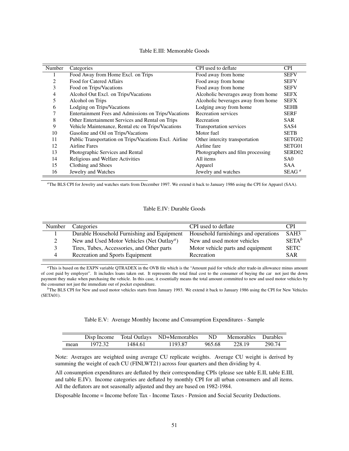# Table E.III: Memorable Goods

| Number | Categories                                             | CPI used to deflate                | <b>CPI</b>                     |
|--------|--------------------------------------------------------|------------------------------------|--------------------------------|
|        | Food Away from Home Excl. on Trips                     | Food away from home                | <b>SEFV</b>                    |
| 2      | Food for Catered Affairs                               | Food away from home                | <b>SEFV</b>                    |
| 3      | Food on Trips/Vacations                                | Food away from home                | <b>SEFV</b>                    |
| 4      | Alcohol Out Excl. on Trips/Vacations                   | Alcoholic beverages away from home | <b>SEFX</b>                    |
| 5      | Alcohol on Trips                                       | Alcoholic beverages away from home | <b>SEFX</b>                    |
| 6      | Lodging on Trips/Vacations                             | Lodging away from home             | <b>SEHB</b>                    |
|        | Entertainment Fees and Admissions on Trips/Vacations   | Recreation services                | <b>SERF</b>                    |
| 8      | Other Entertainment Services and Rental on Trips       | Recreation                         | <b>SAR</b>                     |
| 9      | Vehicle Maintenance, Rental etc on Trips/Vacations     | Transportation services            | SAS4                           |
| 10     | Gasoline and Oil on Trips/Vacations                    | Motor fuel                         | <b>SETB</b>                    |
| 11     | Public Transportation on Trips/Vacations Excl. Airline | Other intercity transportation     | SETG02                         |
| 12     | <b>Airline Fares</b>                                   | Airline fare                       | SETG01                         |
| 13     | Photographic Services and Rental                       | Photographers and film processing  | SERD <sub>02</sub>             |
| 14     | Religious and Welfare Activities                       | All items                          | SA0                            |
| 15     | Clothing and Shoes                                     | Apparel                            | SAA                            |
| 16     | Jewelry and Watches                                    | Jewelry and watches                | SEAG <sup><math>a</math></sup> |

*<sup>a</sup>*The BLS CPI for Jewelry and watches starts from December 1997. We extend it back to January 1986 using the CPI for Apparel (SAA).

## Table E.IV: Durable Goods

| Number | Categories                                                    | CPI used to deflate                  | <b>CPI</b>  |
|--------|---------------------------------------------------------------|--------------------------------------|-------------|
|        | Durable Household Furnishing and Equipment                    | Household furnishings and operations | SAH3        |
|        | New and Used Motor Vehicles (Net Outlay <sup><i>a</i></sup> ) | New and used motor vehicles          | $SETA^b$    |
| 3      | Tires, Tubes, Accessories, and Other parts                    | Motor vehicle parts and equipment    | <b>SETC</b> |
| 4      | Recreation and Sports Equipment                               | Recreation                           | <b>SAR</b>  |

*<sup>a</sup>*This is based on the EXPN variable QTRADEX in the OVB file which is the "Amount paid for vehicle after trade-in allowance minus amount of cost paid by employer". It includes loans taken out. It represents the total final cost to the consumer of buying the car not just the down payment they make when purchasing the vehicle. In this case, it essentially means the total amount committed to new and used motor vehicles by the consumer not just the immediate out of pocket expenditure.

*b*The BLS CPI for New and used motor vehicles starts from January 1993. We extend it back to January 1986 using the CPI for New Vehicles (SETA01).

|  |  |  | Table E.V: Average Monthly Income and Consumption Expenditures - Sample |  |
|--|--|--|-------------------------------------------------------------------------|--|
|  |  |  |                                                                         |  |

|      |         |         | Disp Income Total Outlays ND+Memorables ND Memorables Durables |        |        |        |
|------|---------|---------|----------------------------------------------------------------|--------|--------|--------|
| mean | 1972.32 | 1484.61 | 1193.87                                                        | 965.68 | 228.19 | 290.74 |

Note: Averages are weighted using average CU replicate weights. Average CU weight is derived by summing the weight of each CU (FINLWT21) across four quarters and then dividing by 4.

All consumption expenditures are deflated by their corresponding CPIs (please see table E.II, table E.III, and table E.IV). Income categories are deflated by monthly CPI for all urban consumers and all items. All the deflators are not seasonally adjusted and they are based on 1982-1984.

Disposable Income = Income before Tax - Income Taxes - Pension and Social Security Deductions.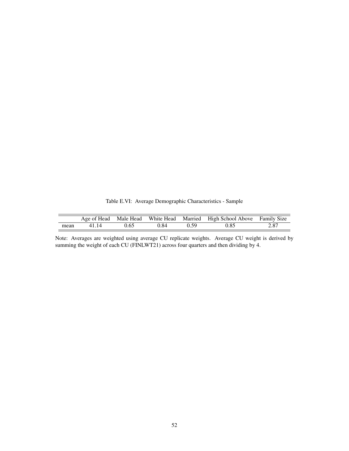Table E.VI: Average Demographic Characteristics - Sample

|      |       |      |      |      | Age of Head Male Head White Head Married High School Above Family Size |  |
|------|-------|------|------|------|------------------------------------------------------------------------|--|
| mean | 41.14 | 0.65 | 0.84 | 0.59 | 0.85                                                                   |  |

Note: Averages are weighted using average CU replicate weights. Average CU weight is derived by summing the weight of each CU (FINLWT21) across four quarters and then dividing by 4.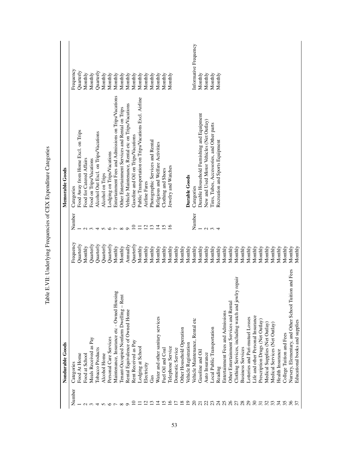|                 | Nondurable Goods                                            |           |                 | Memorable Goods                                        |                       |
|-----------------|-------------------------------------------------------------|-----------|-----------------|--------------------------------------------------------|-----------------------|
| Number          | Categories                                                  | Frequency | Number          | Categories                                             | Frequency             |
|                 | Food At Home                                                | Quarterly |                 | Food Away from Home Excl. on Trips                     | Quarterly             |
|                 | Food at School                                              | Monthly   | $\sim$          | Food for Catered Affairs                               | Monthly               |
|                 | Meals Received as Pay                                       | Quarterly | $\sim$          | Food on Trips/Vacations                                | Monthly               |
|                 | <b>Tobacco Products</b>                                     | Quarterly | 4               | Alcohol Out Excl. on Trips/Vacations                   | Quarterly             |
|                 | Alcohol Home                                                | Quarterly | n               | Alcohol on Trips                                       | Monthly               |
| r               | Personal Care Services                                      | Quarterly | ७               | odging on Trips/Vacations                              | Monthly               |
|                 | σā<br>Maintenance, Insurance etc - Owned Housi              | Monthly   |                 | Entertainment Fees and Admissions on Trips/Vacations   | Monthly               |
|                 | Tenant-Occupied Nonfarm Dwelling - Rent                     | Monthly   | $\infty$        | Other Entertainment Services and Rental on Trips       | Monthly               |
|                 | Rental Equivalence of Owned Home                            | Annually  | $\circ$         | Vehicle Maintenance, Rental etc on Trips/Vacations     | Monthly               |
|                 | Rent Received as Pay                                        | Quarterly | $\Xi$           | Gasoline and Oil on Trips/Vacations                    | Monthly               |
|                 | Lodging at School                                           | Monthly   | Ξ               | Public Transportation on Trips/Vacations Excl. Airline | Monthly               |
|                 | Electricity                                                 | Monthly   | $\overline{c}$  | <b>Airline Fares</b>                                   | Monthly               |
|                 | Gas                                                         | Monthly   | $\mathbf{r}$    | Photographic Services and Rental                       | Monthly               |
|                 | Water and other sanitary services                           | Monthly   | $\overline{4}$  | Religious and Welfare Activities                       | Monthly               |
|                 | Fuel Oil and Coal                                           | Monthly   | $\overline{15}$ | Clothing and Shoes                                     | Monthly               |
|                 | Telephone Service                                           | Monthly   | $\frac{1}{2}$   | Jewelry and Watches                                    | Monthly               |
|                 | Domestic Service                                            | Monthly   |                 |                                                        |                       |
|                 | Other Household Operation                                   | Monthly   |                 |                                                        |                       |
| ఇ               | Vehicle Registration                                        | Monthly   |                 | Durable Goods                                          |                       |
| $\Omega$        | Vehicle Maintenance, Rental etc                             | Monthly   | Number          | Categories                                             | Informative Frequency |
| $\overline{c}$  | Gasoline and Oil                                            | Monthly   |                 | Durable Household Furnishing and Equipment             | Monthly               |
| 22              | Auto Insurance                                              | Monthly   |                 | New and Used Motor Vehicles (Net Outlay)               | Monthly               |
| 23              | Local Public Transportation                                 | Monthly   | $\sim$ $\sim$   | Tires, Tubes, Accessories, and Other parts             | Monthly               |
| $\frac{4}{3}$   | Reading                                                     | Monthly   | $\overline{4}$  | Recreation and Sports Equipment                        | Monthly               |
| 25              | Entertainment Fees and Admissions                           | Monthly   |                 |                                                        |                       |
| 26              | Other Entertainment Services and Rental                     | Monthly   |                 |                                                        |                       |
| 27              | Clothing Services, including watch and jewlry repair        | Monthly   |                 |                                                        |                       |
| 28              | <b>Business Services</b>                                    | Monthly   |                 |                                                        |                       |
| 29              | Lotteries and Pari-mutuel Losses                            | Monthly   |                 |                                                        |                       |
| $30\,$          | Life and other Personal Insurance                           | Monthly   |                 |                                                        |                       |
| $\overline{31}$ | Prescription Drugs (Net Outlay)                             | Monthly   |                 |                                                        |                       |
| 32              | Medical Supplies (Net Outlay)                               | Monthly   |                 |                                                        |                       |
|                 | Medical Services (Net Outlay)                               | Monthly   |                 |                                                        |                       |
| 34              | Health Insurance                                            | Monthly   |                 |                                                        |                       |
| 35              | College Tuition and Fees                                    | Monthly   |                 |                                                        |                       |
| 36              | tion and Fees<br>Nursery, Elementary, and Other School Tuit | Monthly   |                 |                                                        |                       |
| 57              | Educational books and supplies                              | Monthly   |                 |                                                        |                       |
|                 |                                                             |           |                 |                                                        |                       |

Table E.VII: Underlying Frequencies of CEX Expenditure Categories Table E.VII: Underlying Frequencies of CEX Expenditure Categories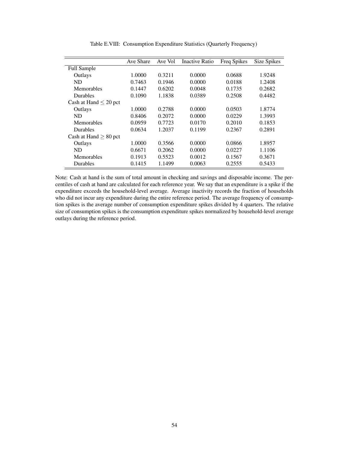|                            | Ave Share | Ave Vol | Inactive Ratio | Freq Spikes | <b>Size Spikes</b> |
|----------------------------|-----------|---------|----------------|-------------|--------------------|
| <b>Full Sample</b>         |           |         |                |             |                    |
| Outlays                    | 1.0000    | 0.3211  | 0.0000         | 0.0688      | 1.9248             |
| ND                         | 0.7463    | 0.1946  | 0.0000         | 0.0188      | 1.2408             |
| Memorables                 | 0.1447    | 0.6202  | 0.0048         | 0.1735      | 0.2682             |
| <b>Durables</b>            | 0.1090    | 1.1838  | 0.0389         | 0.2508      | 0.4482             |
| Cash at Hand $\leq 20$ pct |           |         |                |             |                    |
| Outlays                    | 1.0000    | 0.2788  | 0.0000         | 0.0503      | 1.8774             |
| ND                         | 0.8406    | 0.2072  | 0.0000         | 0.0229      | 1.3993             |
| Memorables                 | 0.0959    | 0.7723  | 0.0170         | 0.2010      | 0.1853             |
| <b>Durables</b>            | 0.0634    | 1.2037  | 0.1199         | 0.2367      | 0.2891             |
| Cash at Hand $\geq 80$ pct |           |         |                |             |                    |
| Outlays                    | 1.0000    | 0.3566  | 0.0000         | 0.0866      | 1.8957             |
| ND                         | 0.6671    | 0.2062  | 0.0000         | 0.0227      | 1.1106             |
| Memorables                 | 0.1913    | 0.5523  | 0.0012         | 0.1567      | 0.3671             |
| Durables                   | 0.1415    | 1.1499  | 0.0063         | 0.2555      | 0.5433             |

Table E.VIII: Consumption Expenditure Statistics (Quarterly Frequency)

Note: Cash at hand is the sum of total amount in checking and savings and disposable income. The percentiles of cash at hand are calculated for each reference year. We say that an expenditure is a spike if the expenditure exceeds the household-level average. Average inactivity records the fraction of households who did not incur any expenditure during the entire reference period. The average frequency of consumption spikes is the average number of consumption expenditure spikes divided by 4 quarters. The relative size of consumption spikes is the consumption expenditure spikes normalized by household-level average outlays during the reference period.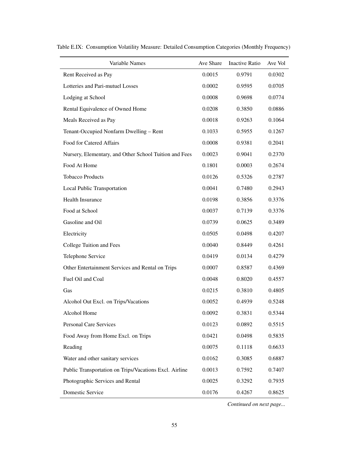| Variable Names                                         | Ave Share | <b>Inactive Ratio</b> | Ave Vol |
|--------------------------------------------------------|-----------|-----------------------|---------|
| Rent Received as Pay                                   | 0.0015    | 0.9791                | 0.0302  |
| Lotteries and Pari-mutuel Losses                       | 0.0002    | 0.9595                | 0.0705  |
| Lodging at School                                      | 0.0008    | 0.9698                | 0.0774  |
| Rental Equivalence of Owned Home                       | 0.0208    | 0.3850                | 0.0886  |
| Meals Received as Pay                                  | 0.0018    | 0.9263                | 0.1064  |
| Tenant-Occupied Nonfarm Dwelling - Rent                | 0.1033    | 0.5955                | 0.1267  |
| Food for Catered Affairs                               | 0.0008    | 0.9381                | 0.2041  |
| Nursery, Elementary, and Other School Tuition and Fees | 0.0023    | 0.9041                | 0.2370  |
| Food At Home                                           | 0.1801    | 0.0003                | 0.2674  |
| <b>Tobacco Products</b>                                | 0.0126    | 0.5326                | 0.2787  |
| Local Public Transportation                            | 0.0041    | 0.7480                | 0.2943  |
| Health Insurance                                       | 0.0198    | 0.3856                | 0.3376  |
| Food at School                                         | 0.0037    | 0.7139                | 0.3376  |
| Gasoline and Oil                                       | 0.0739    | 0.0625                | 0.3489  |
| Electricity                                            | 0.0505    | 0.0498                | 0.4207  |
| College Tuition and Fees                               | 0.0040    | 0.8449                | 0.4261  |
| Telephone Service                                      | 0.0419    | 0.0134                | 0.4279  |
| Other Entertainment Services and Rental on Trips       | 0.0007    | 0.8587                | 0.4369  |
| Fuel Oil and Coal                                      | 0.0048    | 0.8020                | 0.4557  |
| Gas                                                    | 0.0215    | 0.3810                | 0.4805  |
| Alcohol Out Excl. on Trips/Vacations                   | 0.0052    | 0.4939                | 0.5248  |
| Alcohol Home                                           | 0.0092    | 0.3831                | 0.5344  |
| <b>Personal Care Services</b>                          | 0.0123    | 0.0892                | 0.5515  |
| Food Away from Home Excl. on Trips                     | 0.0421    | 0.0498                | 0.5835  |
| Reading                                                | 0.0075    | 0.1118                | 0.6633  |
| Water and other sanitary services                      | 0.0162    | 0.3085                | 0.6887  |
| Public Transportation on Trips/Vacations Excl. Airline | 0.0013    | 0.7592                | 0.7407  |
| Photographic Services and Rental                       | 0.0025    | 0.3292                | 0.7935  |
| Domestic Service                                       | 0.0176    | 0.4267                | 0.8625  |

Table E.IX: Consumption Volatility Measure: Detailed Consumption Categories (Monthly Frequency)

*Continued on next page...*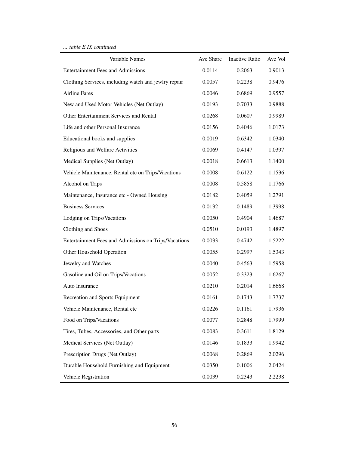*... table E.IX continued*

| Variable Names                                       | Ave Share | <b>Inactive Ratio</b> | Ave Vol |
|------------------------------------------------------|-----------|-----------------------|---------|
| <b>Entertainment Fees and Admissions</b>             | 0.0114    | 0.2063                | 0.9013  |
| Clothing Services, including watch and jewlry repair | 0.0057    | 0.2238                | 0.9476  |
| <b>Airline Fares</b>                                 | 0.0046    | 0.6869                | 0.9557  |
| New and Used Motor Vehicles (Net Outlay)             | 0.0193    | 0.7033                | 0.9888  |
| Other Entertainment Services and Rental              | 0.0268    | 0.0607                | 0.9989  |
| Life and other Personal Insurance                    | 0.0156    | 0.4046                | 1.0173  |
| Educational books and supplies                       | 0.0019    | 0.6342                | 1.0340  |
| Religious and Welfare Activities                     | 0.0069    | 0.4147                | 1.0397  |
| Medical Supplies (Net Outlay)                        | 0.0018    | 0.6613                | 1.1400  |
| Vehicle Maintenance, Rental etc on Trips/Vacations   | 0.0008    | 0.6122                | 1.1536  |
| Alcohol on Trips                                     | 0.0008    | 0.5858                | 1.1766  |
| Maintenance, Insurance etc - Owned Housing           | 0.0182    | 0.4059                | 1.2791  |
| <b>Business Services</b>                             | 0.0132    | 0.1489                | 1.3998  |
| Lodging on Trips/Vacations                           | 0.0050    | 0.4904                | 1.4687  |
| Clothing and Shoes                                   | 0.0510    | 0.0193                | 1.4897  |
| Entertainment Fees and Admissions on Trips/Vacations | 0.0033    | 0.4742                | 1.5222  |
| Other Household Operation                            | 0.0055    | 0.2997                | 1.5343  |
| Jewelry and Watches                                  | 0.0040    | 0.4563                | 1.5958  |
| Gasoline and Oil on Trips/Vacations                  | 0.0052    | 0.3323                | 1.6267  |
| Auto Insurance                                       | 0.0210    | 0.2014                | 1.6668  |
| Recreation and Sports Equipment                      | 0.0161    | 0.1743                | 1.7737  |
| Vehicle Maintenance, Rental etc                      | 0.0226    | 0.1161                | 1.7936  |
| Food on Trips/Vacations                              | 0.0077    | 0.2848                | 1.7999  |
| Tires, Tubes, Accessories, and Other parts           | 0.0083    | 0.3611                | 1.8129  |
| Medical Services (Net Outlay)                        | 0.0146    | 0.1833                | 1.9942  |
| Prescription Drugs (Net Outlay)                      | 0.0068    | 0.2869                | 2.0296  |
| Durable Household Furnishing and Equipment           | 0.0350    | 0.1006                | 2.0424  |
| Vehicle Registration                                 | 0.0039    | 0.2343                | 2.2238  |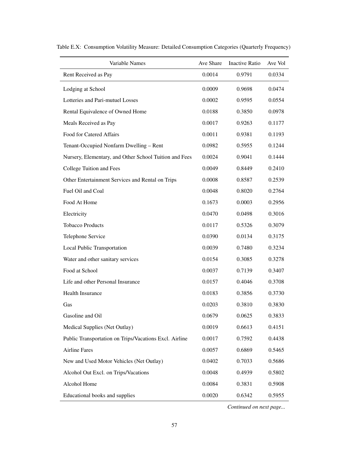| Variable Names                                         | Ave Share | <b>Inactive Ratio</b> | Ave Vol |
|--------------------------------------------------------|-----------|-----------------------|---------|
| Rent Received as Pay                                   | 0.0014    | 0.9791                | 0.0334  |
| Lodging at School                                      | 0.0009    | 0.9698                | 0.0474  |
| Lotteries and Pari-mutuel Losses                       | 0.0002    | 0.9595                | 0.0554  |
| Rental Equivalence of Owned Home                       | 0.0188    | 0.3850                | 0.0978  |
| Meals Received as Pay                                  | 0.0017    | 0.9263                | 0.1177  |
| Food for Catered Affairs                               | 0.0011    | 0.9381                | 0.1193  |
| Tenant-Occupied Nonfarm Dwelling - Rent                | 0.0982    | 0.5955                | 0.1244  |
| Nursery, Elementary, and Other School Tuition and Fees | 0.0024    | 0.9041                | 0.1444  |
| College Tuition and Fees                               | 0.0049    | 0.8449                | 0.2410  |
| Other Entertainment Services and Rental on Trips       | 0.0008    | 0.8587                | 0.2539  |
| Fuel Oil and Coal                                      | 0.0048    | 0.8020                | 0.2764  |
| Food At Home                                           | 0.1673    | 0.0003                | 0.2956  |
| Electricity                                            | 0.0470    | 0.0498                | 0.3016  |
| <b>Tobacco Products</b>                                | 0.0117    | 0.5326                | 0.3079  |
| Telephone Service                                      | 0.0390    | 0.0134                | 0.3175  |
| Local Public Transportation                            | 0.0039    | 0.7480                | 0.3234  |
| Water and other sanitary services                      | 0.0154    | 0.3085                | 0.3278  |
| Food at School                                         | 0.0037    | 0.7139                | 0.3407  |
| Life and other Personal Insurance                      | 0.0157    | 0.4046                | 0.3708  |
| Health Insurance                                       | 0.0183    | 0.3856                | 0.3730  |
| Gas                                                    | 0.0203    | 0.3810                | 0.3830  |
| Gasoline and Oil                                       | 0.0679    | 0.0625                | 0.3833  |
| Medical Supplies (Net Outlay)                          | 0.0019    | 0.6613                | 0.4151  |
| Public Transportation on Trips/Vacations Excl. Airline | 0.0017    | 0.7592                | 0.4438  |
| <b>Airline Fares</b>                                   | 0.0057    | 0.6869                | 0.5465  |
| New and Used Motor Vehicles (Net Outlay)               | 0.0402    | 0.7033                | 0.5686  |
| Alcohol Out Excl. on Trips/Vacations                   | 0.0048    | 0.4939                | 0.5802  |
| Alcohol Home                                           | 0.0084    | 0.3831                | 0.5908  |
| Educational books and supplies                         | 0.0020    | 0.6342                | 0.5955  |

Table E.X: Consumption Volatility Measure: Detailed Consumption Categories (Quarterly Frequency)

*Continued on next page...*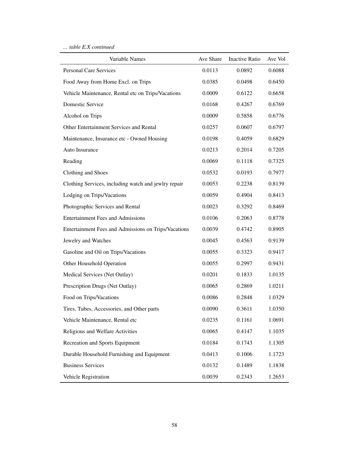*... table E.X continued*

| Variable Names                                       | Ave Share | <b>Inactive Ratio</b> | Ave Vol |
|------------------------------------------------------|-----------|-----------------------|---------|
| <b>Personal Care Services</b>                        | 0.0113    | 0.0892                | 0.6088  |
| Food Away from Home Excl. on Trips                   | 0.0385    | 0.0498                | 0.6450  |
| Vehicle Maintenance, Rental etc on Trips/Vacations   | 0.0009    | 0.6122                | 0.6658  |
| Domestic Service                                     | 0.0168    | 0.4267                | 0.6769  |
| Alcohol on Trips                                     | 0.0009    | 0.5858                | 0.6776  |
| Other Entertainment Services and Rental              | 0.0257    | 0.0607                | 0.6797  |
| Maintenance, Insurance etc - Owned Housing           | 0.0198    | 0.4059                | 0.6829  |
| Auto Insurance                                       | 0.0213    | 0.2014                | 0.7205  |
| Reading                                              | 0.0069    | 0.1118                | 0.7325  |
| Clothing and Shoes                                   | 0.0532    | 0.0193                | 0.7977  |
| Clothing Services, including watch and jewlry repair | 0.0053    | 0.2238                | 0.8139  |
| Lodging on Trips/Vacations                           | 0.0059    | 0.4904                | 0.8413  |
| Photographic Services and Rental                     | 0.0023    | 0.3292                | 0.8469  |
| <b>Entertainment Fees and Admissions</b>             | 0.0106    | 0.2063                | 0.8778  |
| Entertainment Fees and Admissions on Trips/Vacations | 0.0039    | 0.4742                | 0.8905  |
| Jewelry and Watches                                  | 0.0045    | 0.4563                | 0.9139  |
| Gasoline and Oil on Trips/Vacations                  | 0.0055    | 0.3323                | 0.9417  |
| Other Household Operation                            | 0.0055    | 0.2997                | 0.9431  |
| Medical Services (Net Outlay)                        | 0.0201    | 0.1833                | 1.0135  |
| Prescription Drugs (Net Outlay)                      | 0.0065    | 0.2869                | 1.0211  |
| Food on Trips/Vacations                              | 0.0086    | 0.2848                | 1.0329  |
| Tires, Tubes, Accessories, and Other parts           | 0.0090    | 0.3611                | 1.0350  |
| Vehicle Maintenance, Rental etc                      | 0.0235    | 0.1161                | 1.0691  |
| Religious and Welfare Activities                     | 0.0065    | 0.4147                | 1.1035  |
| Recreation and Sports Equipment                      | 0.0184    | 0.1743                | 1.1305  |
| Durable Household Furnishing and Equipment           | 0.0413    | 0.1006                | 1.1723  |
| <b>Business Services</b>                             | 0.0132    | 0.1489                | 1.1838  |
| Vehicle Registration                                 | 0.0039    | 0.2343                | 1.2653  |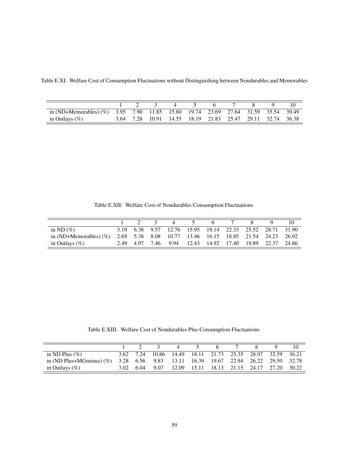| Table E.XI: Welfare Cost of Consumption Fluctuations without Distinguishing between Nondurables and Memorables |
|----------------------------------------------------------------------------------------------------------------|
|----------------------------------------------------------------------------------------------------------------|

|                                                                                  |  | 4 |  |  |                                                           | 10 |
|----------------------------------------------------------------------------------|--|---|--|--|-----------------------------------------------------------|----|
| in (ND+Memorables) (%) 3.95 7.90 11.85 15.80 19.74 23.69 27.64 31.59 35.54 39.49 |  |   |  |  |                                                           |    |
| in Outlays $(\%)$                                                                |  |   |  |  | 3.64 7.28 10.91 14.55 18.19 21.83 25.47 29.11 32.74 36.38 |    |

Table E.XII: Welfare Cost of Nondurables Consumption Fluctuations

|                                                                                 |  |  | $1 \t 2 \t 3 \t 4 \t 5$                                  | 6 <sup>6</sup> |  |  |
|---------------------------------------------------------------------------------|--|--|----------------------------------------------------------|----------------|--|--|
| in ND $(\%)$                                                                    |  |  | 3.19 6.38 9.57 12.76 15.95 19.14 22.33 25.52 28.71 31.90 |                |  |  |
| in (ND+Memorables) (%) 2.69 5.38 8.08 10.77 13.46 16.15 18.85 21.54 24.23 26.92 |  |  |                                                          |                |  |  |
| in Outlays $(\% )$                                                              |  |  | 2.49 4.97 7.46 9.94 12.43 14.92 17.40 19.89 22.37 24.86  |                |  |  |

Table E.XIII: Welfare Cost of Nondurables Plus Consumption Fluctuations

|                                                                                   |                   |  | $\frac{4}{5}$ | 6 <sup>6</sup> |                                                           |  |
|-----------------------------------------------------------------------------------|-------------------|--|---------------|----------------|-----------------------------------------------------------|--|
| in ND Plus $(\% )$                                                                |                   |  |               |                | 3.62 7.24 10.86 14.49 18.11 21.73 25.35 28.97 32.59 36.21 |  |
| in (ND Plus+MGminus) (%) 3.28 6.56 9.83 13.11 16.39 19.67 22.94 26.22 29.50 32.78 |                   |  |               |                |                                                           |  |
| in Outlays $(\%)$                                                                 | $3.02 \quad 6.04$ |  |               |                | 9.07 12.09 15.11 18.13 21.15 24.17 27.20 30.22            |  |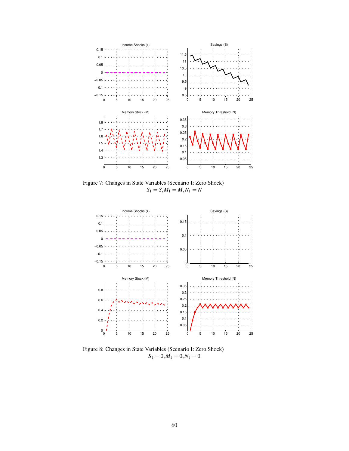

Figure 7: Changes in State Variables (Scenario I: Zero Shock)  $S_1 = \bar{S}, M_1 = \bar{M}, N_1 = \bar{N}$ 



Figure 8: Changes in State Variables (Scenario I: Zero Shock)  $S_1 = 0, M_1 = 0, N_1 = 0$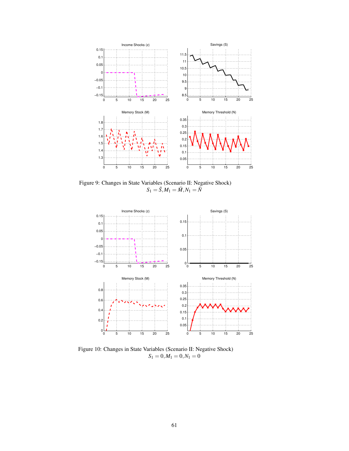

Figure 9: Changes in State Variables (Scenario II: Negative Shock)  $S_1 = \bar{S}, M_1 = \bar{M}, N_1 = \bar{N}$ 



Figure 10: Changes in State Variables (Scenario II: Negative Shock)  $S_1 = 0, M_1 = 0, N_1 = 0$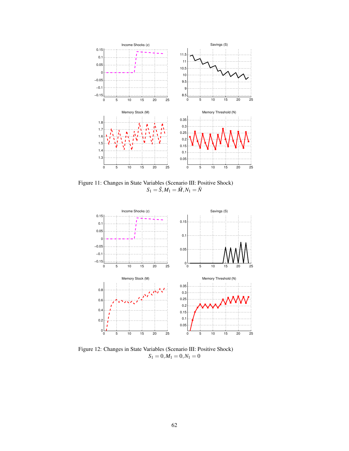

Figure 11: Changes in State Variables (Scenario III: Positive Shock)  $S_1 = \bar{S}, M_1 = \bar{M}, N_1 = \bar{N}$ 



Figure 12: Changes in State Variables (Scenario III: Positive Shock)  $S_1 = 0, M_1 = 0, N_1 = 0$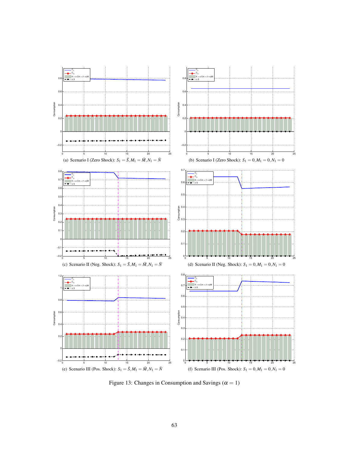

Figure 13: Changes in Consumption and Savings ( $\alpha = 1$ )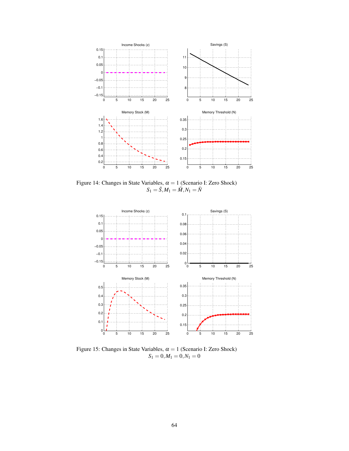

Figure 14: Changes in State Variables,  $\alpha=1$  (Scenario I: Zero Shock)  $S_1 = \bar{S}, M_1 = \bar{M}, N_1 = \bar{N}$ 



Figure 15: Changes in State Variables,  $\alpha = 1$  (Scenario I: Zero Shock)  $S_1 = 0, M_1 = 0, N_1 = 0$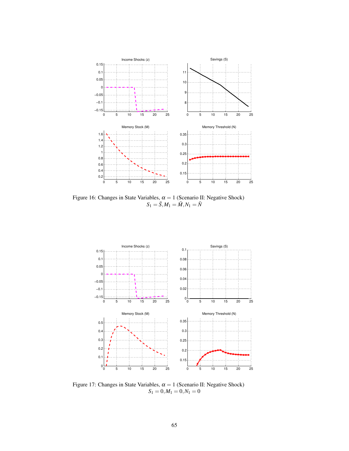

Figure 16: Changes in State Variables,  $\alpha = 1$  (Scenario II: Negative Shock)  $S_1 = \overline{S}, M_1 = \overline{M}, N_1 = \overline{N}$ 



Figure 17: Changes in State Variables,  $\alpha = 1$  (Scenario II: Negative Shock)  $S_1 = 0, M_1 = 0, N_1 = 0$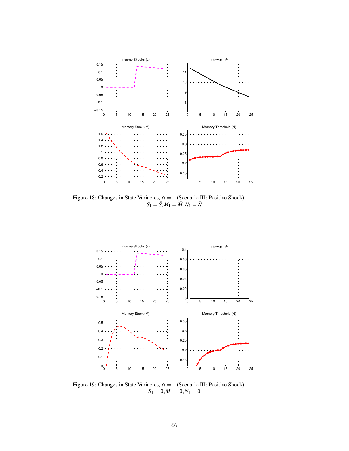

Figure 18: Changes in State Variables,  $\alpha = 1$  (Scenario III: Positive Shock)  $S_1 = \overline{S}, M_1 = \overline{M}, N_1 = \overline{N}$ 



Figure 19: Changes in State Variables,  $\alpha = 1$  (Scenario III: Positive Shock)  $S_1 = 0, M_1 = 0, N_1 = 0$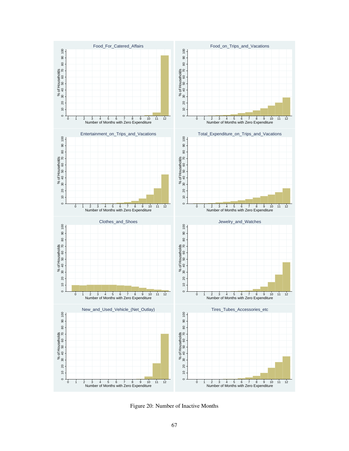

Figure 20: Number of Inactive Months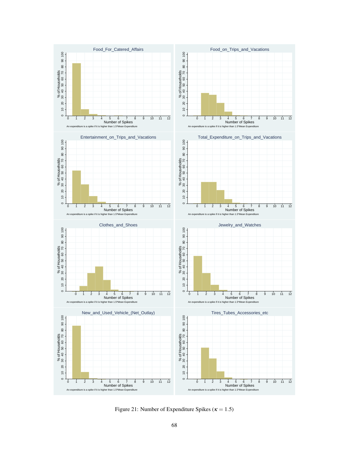

Figure 21: Number of Expenditure Spikes ( $\kappa = 1.5$ )